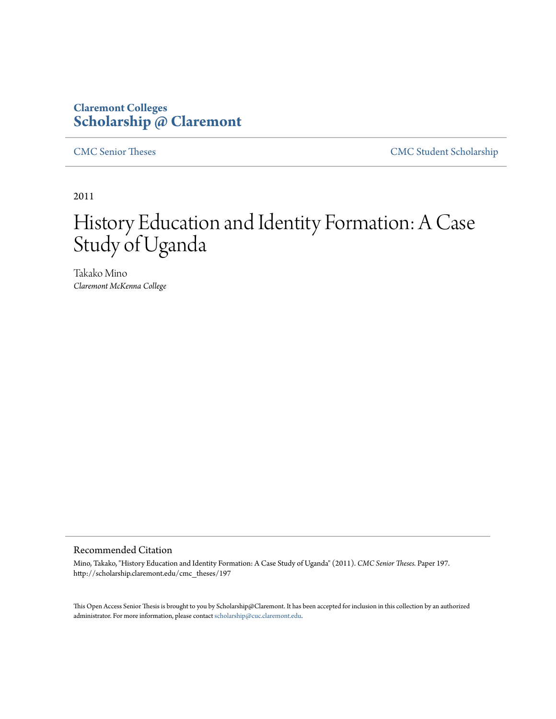# **Claremont Colleges [Scholarship @ Claremont](http://scholarship.claremont.edu)**

[CMC Senior Theses](http://scholarship.claremont.edu/cmc_theses) [CMC Student Scholarship](http://scholarship.claremont.edu/cmc_student)

2011

# History Education and Identity Formation: A Case Study of Uganda

Takako Mino *Claremont McKenna College*

#### Recommended Citation

Mino, Takako, "History Education and Identity Formation: A Case Study of Uganda" (2011). *CMC Senior Theses.* Paper 197. http://scholarship.claremont.edu/cmc\_theses/197

This Open Access Senior Thesis is brought to you by Scholarship@Claremont. It has been accepted for inclusion in this collection by an authorized administrator. For more information, please contact [scholarship@cuc.claremont.edu.](mailto:scholarship@cuc.claremont.edu)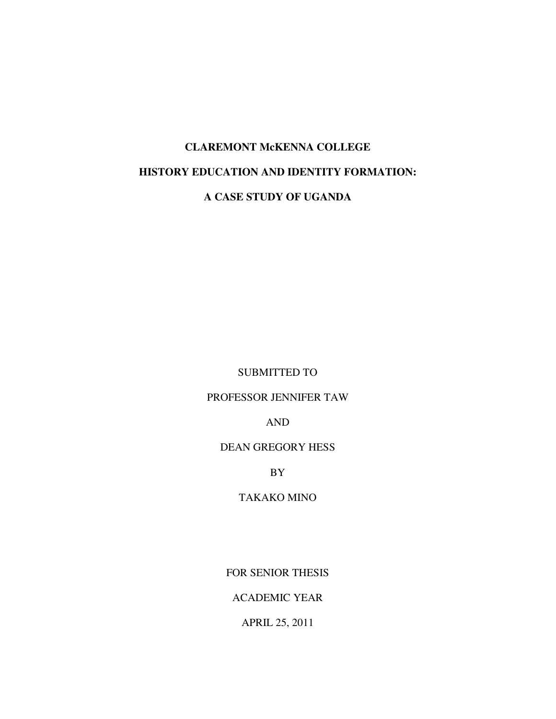# **CLAREMONT McKENNA COLLEGE HISTORY EDUCATION AND IDENTITY FORMATION:**

**A CASE STUDY OF UGANDA** 

SUBMITTED TO

# PROFESSOR JENNIFER TAW

AND

# DEAN GREGORY HESS

BY

# TAKAKO MINO

FOR SENIOR THESIS

ACADEMIC YEAR

APRIL 25, 2011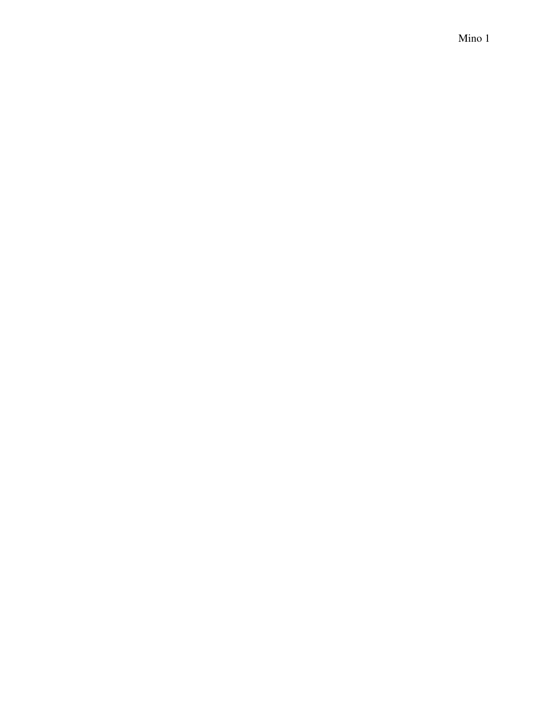Mino 1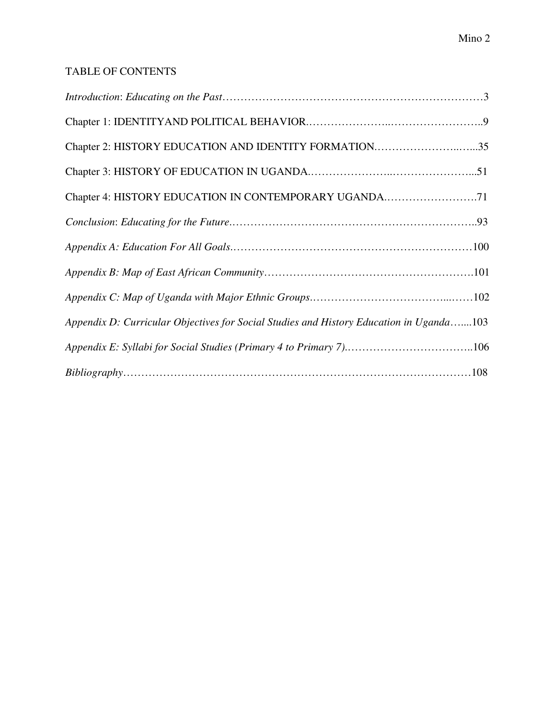# TABLE OF CONTENTS

| Chapter 2: HISTORY EDUCATION AND IDENTITY FORMATION35                                   |
|-----------------------------------------------------------------------------------------|
|                                                                                         |
| Chapter 4: HISTORY EDUCATION IN CONTEMPORARY UGANDA71                                   |
|                                                                                         |
|                                                                                         |
|                                                                                         |
|                                                                                         |
| Appendix D: Curricular Objectives for Social Studies and History Education in Uganda103 |
|                                                                                         |
|                                                                                         |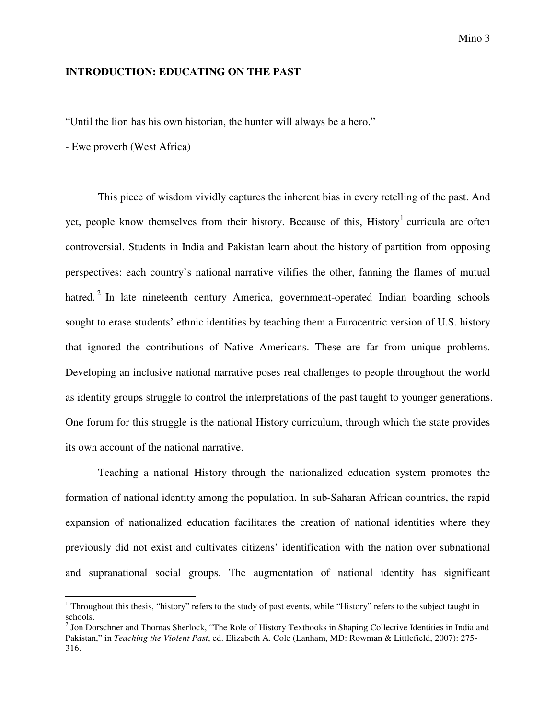## **INTRODUCTION: EDUCATING ON THE PAST**

"Until the lion has his own historian, the hunter will always be a hero."

- Ewe proverb (West Africa)

 $\overline{a}$ 

This piece of wisdom vividly captures the inherent bias in every retelling of the past. And yet, people know themselves from their history. Because of this, History<sup>1</sup> curricula are often controversial. Students in India and Pakistan learn about the history of partition from opposing perspectives: each country's national narrative vilifies the other, fanning the flames of mutual hatred.<sup>2</sup> In late nineteenth century America, government-operated Indian boarding schools sought to erase students' ethnic identities by teaching them a Eurocentric version of U.S. history that ignored the contributions of Native Americans. These are far from unique problems. Developing an inclusive national narrative poses real challenges to people throughout the world as identity groups struggle to control the interpretations of the past taught to younger generations. One forum for this struggle is the national History curriculum, through which the state provides its own account of the national narrative.

Teaching a national History through the nationalized education system promotes the formation of national identity among the population. In sub-Saharan African countries, the rapid expansion of nationalized education facilitates the creation of national identities where they previously did not exist and cultivates citizens' identification with the nation over subnational and supranational social groups. The augmentation of national identity has significant

<sup>&</sup>lt;sup>1</sup> Throughout this thesis, "history" refers to the study of past events, while "History" refers to the subject taught in schools.

<sup>&</sup>lt;sup>2</sup> Jon Dorschner and Thomas Sherlock, "The Role of History Textbooks in Shaping Collective Identities in India and Pakistan," in *Teaching the Violent Past*, ed. Elizabeth A. Cole (Lanham, MD: Rowman & Littlefield, 2007): 275- 316.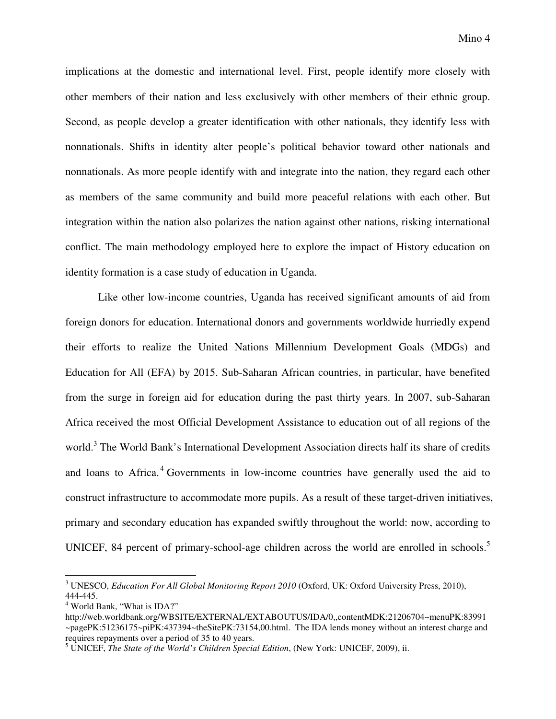implications at the domestic and international level. First, people identify more closely with other members of their nation and less exclusively with other members of their ethnic group. Second, as people develop a greater identification with other nationals, they identify less with nonnationals. Shifts in identity alter people's political behavior toward other nationals and nonnationals. As more people identify with and integrate into the nation, they regard each other as members of the same community and build more peaceful relations with each other. But integration within the nation also polarizes the nation against other nations, risking international conflict. The main methodology employed here to explore the impact of History education on identity formation is a case study of education in Uganda.

Like other low-income countries, Uganda has received significant amounts of aid from foreign donors for education. International donors and governments worldwide hurriedly expend their efforts to realize the United Nations Millennium Development Goals (MDGs) and Education for All (EFA) by 2015. Sub-Saharan African countries, in particular, have benefited from the surge in foreign aid for education during the past thirty years. In 2007, sub-Saharan Africa received the most Official Development Assistance to education out of all regions of the world.<sup>3</sup> The World Bank's International Development Association directs half its share of credits and loans to Africa.<sup>4</sup> Governments in low-income countries have generally used the aid to construct infrastructure to accommodate more pupils. As a result of these target-driven initiatives, primary and secondary education has expanded swiftly throughout the world: now, according to UNICEF, 84 percent of primary-school-age children across the world are enrolled in schools.<sup>5</sup>

l

<sup>3</sup> UNESCO, *Education For All Global Monitoring Report 2010* (Oxford, UK: Oxford University Press, 2010), 444-445.

<sup>4</sup> World Bank, "What is IDA?"

http://web.worldbank.org/WBSITE/EXTERNAL/EXTABOUTUS/IDA/0,,contentMDK:21206704~menuPK:83991 ~pagePK:51236175~piPK:437394~theSitePK:73154,00.html. The IDA lends money without an interest charge and requires repayments over a period of 35 to 40 years.

<sup>5</sup> UNICEF, *The State of the World's Children Special Edition*, (New York: UNICEF, 2009), ii.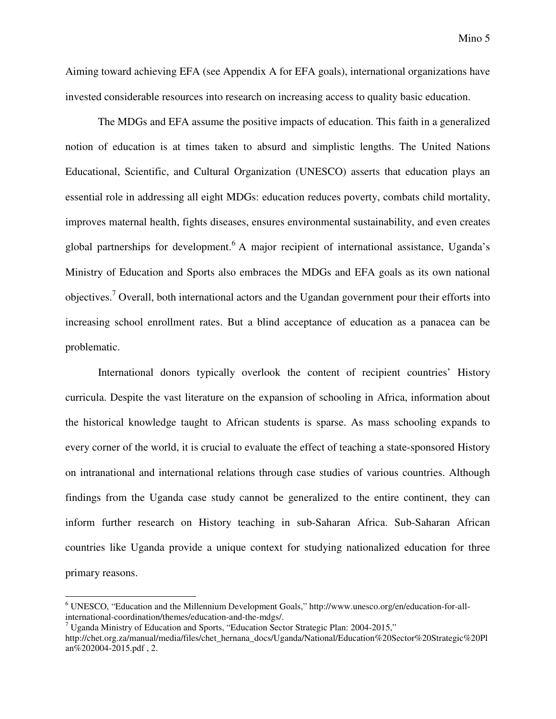Aiming toward achieving EFA (see Appendix A for EFA goals), international organizations have invested considerable resources into research on increasing access to quality basic education.

The MDGs and EFA assume the positive impacts of education. This faith in a generalized notion of education is at times taken to absurd and simplistic lengths. The United Nations Educational, Scientific, and Cultural Organization (UNESCO) asserts that education plays an essential role in addressing all eight MDGs: education reduces poverty, combats child mortality, improves maternal health, fights diseases, ensures environmental sustainability, and even creates global partnerships for development.<sup>6</sup> A major recipient of international assistance, Uganda's Ministry of Education and Sports also embraces the MDGs and EFA goals as its own national objectives.<sup>7</sup> Overall, both international actors and the Ugandan government pour their efforts into increasing school enrollment rates. But a blind acceptance of education as a panacea can be problematic.

International donors typically overlook the content of recipient countries' History curricula. Despite the vast literature on the expansion of schooling in Africa, information about the historical knowledge taught to African students is sparse. As mass schooling expands to every corner of the world, it is crucial to evaluate the effect of teaching a state-sponsored History on intranational and international relations through case studies of various countries. Although findings from the Uganda case study cannot be generalized to the entire continent, they can inform further research on History teaching in sub-Saharan Africa. Sub-Saharan African countries like Uganda provide a unique context for studying nationalized education for three primary reasons.

<sup>&</sup>lt;sup>6</sup> UNESCO, "Education and the Millennium Development Goals," http://www.unesco.org/en/education-for-allinternational-coordination/themes/education-and-the-mdgs/.

<sup>&</sup>lt;sup>7</sup> Uganda Ministry of Education and Sports, "Education Sector Strategic Plan: 2004-2015," http://chet.org.za/manual/media/files/chet\_hernana\_docs/Uganda/National/Education%20Sector%20Strategic%20Pl an%202004-2015.pdf , 2.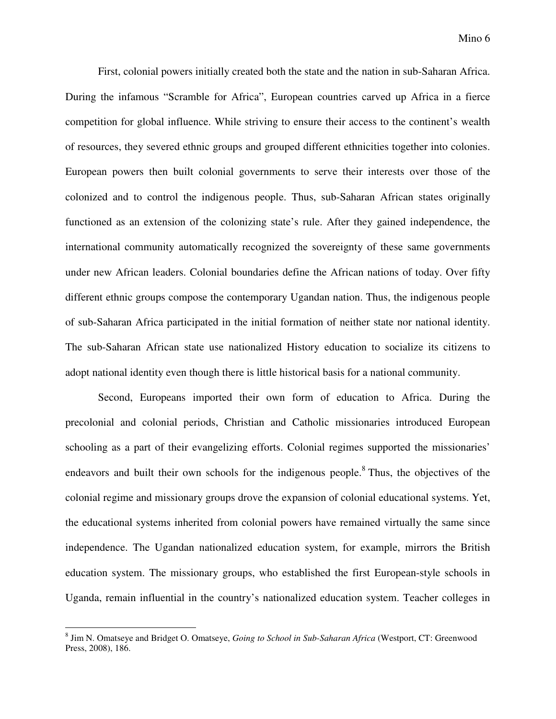First, colonial powers initially created both the state and the nation in sub-Saharan Africa. During the infamous "Scramble for Africa", European countries carved up Africa in a fierce competition for global influence. While striving to ensure their access to the continent's wealth of resources, they severed ethnic groups and grouped different ethnicities together into colonies. European powers then built colonial governments to serve their interests over those of the colonized and to control the indigenous people. Thus, sub-Saharan African states originally functioned as an extension of the colonizing state's rule. After they gained independence, the international community automatically recognized the sovereignty of these same governments under new African leaders. Colonial boundaries define the African nations of today. Over fifty different ethnic groups compose the contemporary Ugandan nation. Thus, the indigenous people of sub-Saharan Africa participated in the initial formation of neither state nor national identity. The sub-Saharan African state use nationalized History education to socialize its citizens to adopt national identity even though there is little historical basis for a national community.

Second, Europeans imported their own form of education to Africa. During the precolonial and colonial periods, Christian and Catholic missionaries introduced European schooling as a part of their evangelizing efforts. Colonial regimes supported the missionaries' endeavors and built their own schools for the indigenous people.<sup>8</sup> Thus, the objectives of the colonial regime and missionary groups drove the expansion of colonial educational systems. Yet, the educational systems inherited from colonial powers have remained virtually the same since independence. The Ugandan nationalized education system, for example, mirrors the British education system. The missionary groups, who established the first European-style schools in Uganda, remain influential in the country's nationalized education system. Teacher colleges in

<sup>8</sup> Jim N. Omatseye and Bridget O. Omatseye, *Going to School in Sub-Saharan Africa* (Westport, CT: Greenwood Press, 2008), 186.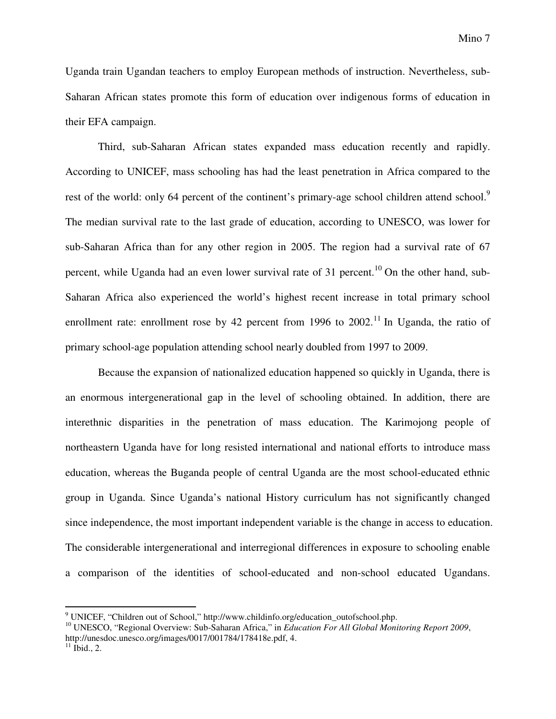Uganda train Ugandan teachers to employ European methods of instruction. Nevertheless, sub-Saharan African states promote this form of education over indigenous forms of education in their EFA campaign.

Third, sub-Saharan African states expanded mass education recently and rapidly. According to UNICEF, mass schooling has had the least penetration in Africa compared to the rest of the world: only 64 percent of the continent's primary-age school children attend school.<sup>9</sup> The median survival rate to the last grade of education, according to UNESCO, was lower for sub-Saharan Africa than for any other region in 2005. The region had a survival rate of 67 percent, while Uganda had an even lower survival rate of 31 percent.<sup>10</sup> On the other hand, sub-Saharan Africa also experienced the world's highest recent increase in total primary school enrollment rate: enrollment rose by 42 percent from 1996 to 2002.<sup>11</sup> In Uganda, the ratio of primary school-age population attending school nearly doubled from 1997 to 2009.

Because the expansion of nationalized education happened so quickly in Uganda, there is an enormous intergenerational gap in the level of schooling obtained. In addition, there are interethnic disparities in the penetration of mass education. The Karimojong people of northeastern Uganda have for long resisted international and national efforts to introduce mass education, whereas the Buganda people of central Uganda are the most school-educated ethnic group in Uganda. Since Uganda's national History curriculum has not significantly changed since independence, the most important independent variable is the change in access to education. The considerable intergenerational and interregional differences in exposure to schooling enable a comparison of the identities of school-educated and non-school educated Ugandans.

<sup>&</sup>lt;sup>9</sup> UNICEF, "Children out of School," http://www.childinfo.org/education\_outofschool.php.

<sup>&</sup>lt;sup>10</sup> UNESCO, "Regional Overview: Sub-Saharan Africa," in *Education For All Global Monitoring Report 2009*, http://unesdoc.unesco.org/images/0017/001784/178418e.pdf, 4.

 $11$  Ibid., 2.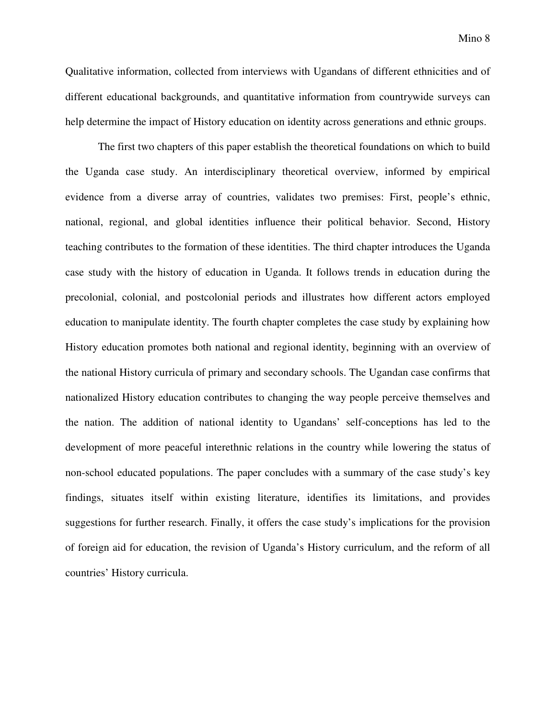Qualitative information, collected from interviews with Ugandans of different ethnicities and of different educational backgrounds, and quantitative information from countrywide surveys can help determine the impact of History education on identity across generations and ethnic groups.

The first two chapters of this paper establish the theoretical foundations on which to build the Uganda case study. An interdisciplinary theoretical overview, informed by empirical evidence from a diverse array of countries, validates two premises: First, people's ethnic, national, regional, and global identities influence their political behavior. Second, History teaching contributes to the formation of these identities. The third chapter introduces the Uganda case study with the history of education in Uganda. It follows trends in education during the precolonial, colonial, and postcolonial periods and illustrates how different actors employed education to manipulate identity. The fourth chapter completes the case study by explaining how History education promotes both national and regional identity, beginning with an overview of the national History curricula of primary and secondary schools. The Ugandan case confirms that nationalized History education contributes to changing the way people perceive themselves and the nation. The addition of national identity to Ugandans' self-conceptions has led to the development of more peaceful interethnic relations in the country while lowering the status of non-school educated populations. The paper concludes with a summary of the case study's key findings, situates itself within existing literature, identifies its limitations, and provides suggestions for further research. Finally, it offers the case study's implications for the provision of foreign aid for education, the revision of Uganda's History curriculum, and the reform of all countries' History curricula.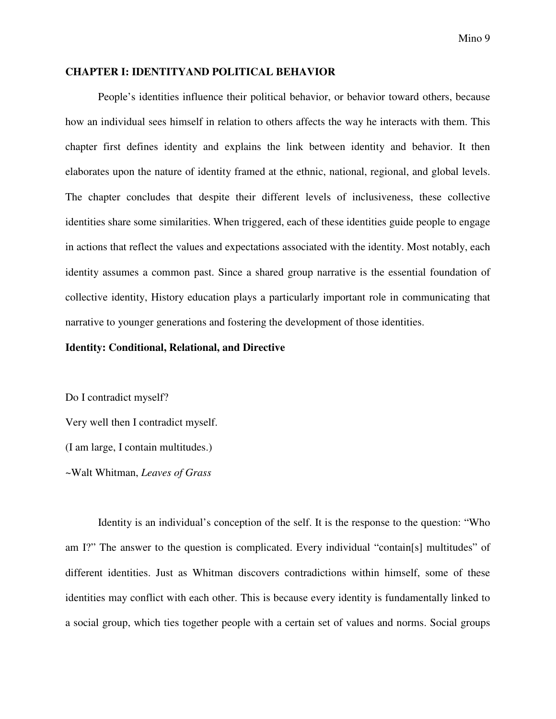# **CHAPTER I: IDENTITYAND POLITICAL BEHAVIOR**

 People's identities influence their political behavior, or behavior toward others, because how an individual sees himself in relation to others affects the way he interacts with them. This chapter first defines identity and explains the link between identity and behavior. It then elaborates upon the nature of identity framed at the ethnic, national, regional, and global levels. The chapter concludes that despite their different levels of inclusiveness, these collective identities share some similarities. When triggered, each of these identities guide people to engage in actions that reflect the values and expectations associated with the identity. Most notably, each identity assumes a common past. Since a shared group narrative is the essential foundation of collective identity, History education plays a particularly important role in communicating that narrative to younger generations and fostering the development of those identities.

### **Identity: Conditional, Relational, and Directive**

Do I contradict myself? Very well then I contradict myself. (I am large, I contain multitudes.) ~Walt Whitman, *Leaves of Grass*

Identity is an individual's conception of the self. It is the response to the question: "Who am I?" The answer to the question is complicated. Every individual "contain[s] multitudes" of different identities. Just as Whitman discovers contradictions within himself, some of these identities may conflict with each other. This is because every identity is fundamentally linked to a social group, which ties together people with a certain set of values and norms. Social groups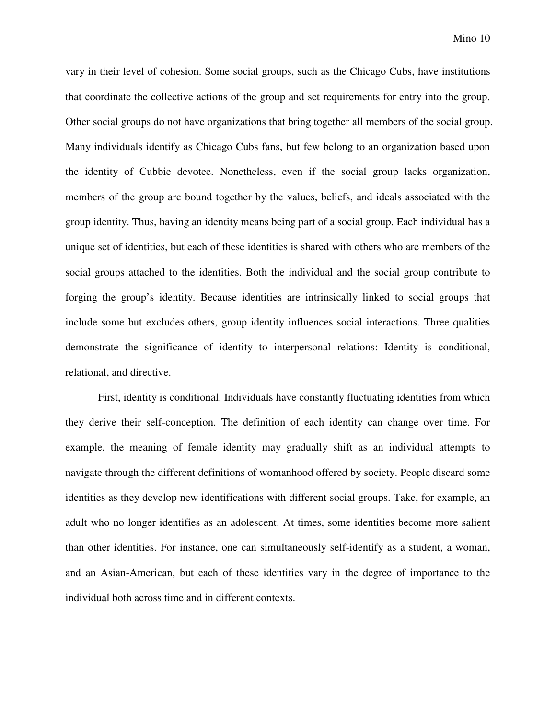vary in their level of cohesion. Some social groups, such as the Chicago Cubs, have institutions that coordinate the collective actions of the group and set requirements for entry into the group. Other social groups do not have organizations that bring together all members of the social group. Many individuals identify as Chicago Cubs fans, but few belong to an organization based upon the identity of Cubbie devotee. Nonetheless, even if the social group lacks organization, members of the group are bound together by the values, beliefs, and ideals associated with the group identity. Thus, having an identity means being part of a social group. Each individual has a unique set of identities, but each of these identities is shared with others who are members of the social groups attached to the identities. Both the individual and the social group contribute to forging the group's identity. Because identities are intrinsically linked to social groups that include some but excludes others, group identity influences social interactions. Three qualities demonstrate the significance of identity to interpersonal relations: Identity is conditional, relational, and directive.

 First, identity is conditional. Individuals have constantly fluctuating identities from which they derive their self-conception. The definition of each identity can change over time. For example, the meaning of female identity may gradually shift as an individual attempts to navigate through the different definitions of womanhood offered by society. People discard some identities as they develop new identifications with different social groups. Take, for example, an adult who no longer identifies as an adolescent. At times, some identities become more salient than other identities. For instance, one can simultaneously self-identify as a student, a woman, and an Asian-American, but each of these identities vary in the degree of importance to the individual both across time and in different contexts.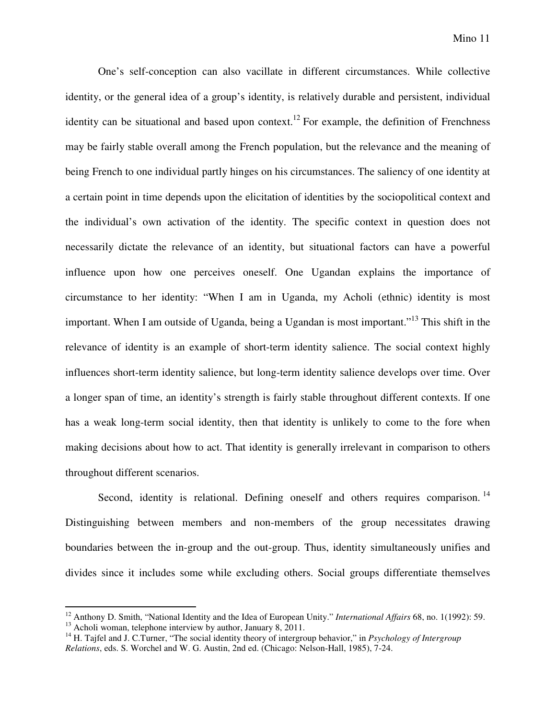One's self-conception can also vacillate in different circumstances. While collective identity, or the general idea of a group's identity, is relatively durable and persistent, individual identity can be situational and based upon context.<sup>12</sup> For example, the definition of Frenchness may be fairly stable overall among the French population, but the relevance and the meaning of being French to one individual partly hinges on his circumstances. The saliency of one identity at a certain point in time depends upon the elicitation of identities by the sociopolitical context and the individual's own activation of the identity. The specific context in question does not necessarily dictate the relevance of an identity, but situational factors can have a powerful influence upon how one perceives oneself. One Ugandan explains the importance of circumstance to her identity: "When I am in Uganda, my Acholi (ethnic) identity is most important. When I am outside of Uganda, being a Ugandan is most important."<sup>13</sup> This shift in the relevance of identity is an example of short-term identity salience. The social context highly influences short-term identity salience, but long-term identity salience develops over time. Over a longer span of time, an identity's strength is fairly stable throughout different contexts. If one has a weak long-term social identity, then that identity is unlikely to come to the fore when making decisions about how to act. That identity is generally irrelevant in comparison to others throughout different scenarios.

Second, identity is relational. Defining oneself and others requires comparison.<sup>14</sup> Distinguishing between members and non-members of the group necessitates drawing boundaries between the in-group and the out-group. Thus, identity simultaneously unifies and divides since it includes some while excluding others. Social groups differentiate themselves

<sup>12</sup> Anthony D. Smith, "National Identity and the Idea of European Unity." *International Affairs* 68, no. 1(1992): 59. <sup>13</sup> Acholi woman, telephone interview by author, January 8, 2011.

<sup>&</sup>lt;sup>14</sup> H. Tajfel and J. C.Turner, "The social identity theory of intergroup behavior," in *Psychology of Intergroup Relations*, eds. S. Worchel and W. G. Austin, 2nd ed. (Chicago: Nelson-Hall, 1985), 7-24.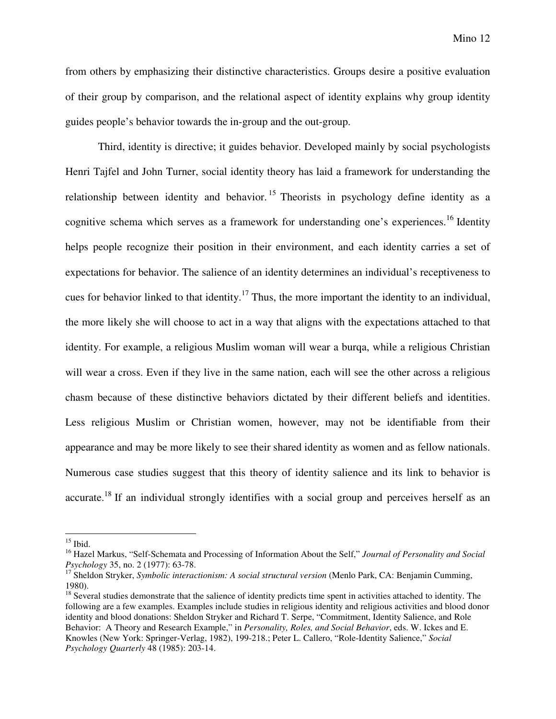from others by emphasizing their distinctive characteristics. Groups desire a positive evaluation of their group by comparison, and the relational aspect of identity explains why group identity guides people's behavior towards the in-group and the out-group.

 Third, identity is directive; it guides behavior. Developed mainly by social psychologists Henri Tajfel and John Turner, social identity theory has laid a framework for understanding the relationship between identity and behavior.<sup>15</sup> Theorists in psychology define identity as a cognitive schema which serves as a framework for understanding one's experiences.<sup>16</sup> Identity helps people recognize their position in their environment, and each identity carries a set of expectations for behavior. The salience of an identity determines an individual's receptiveness to cues for behavior linked to that identity.<sup>17</sup> Thus, the more important the identity to an individual, the more likely she will choose to act in a way that aligns with the expectations attached to that identity. For example, a religious Muslim woman will wear a burqa, while a religious Christian will wear a cross. Even if they live in the same nation, each will see the other across a religious chasm because of these distinctive behaviors dictated by their different beliefs and identities. Less religious Muslim or Christian women, however, may not be identifiable from their appearance and may be more likely to see their shared identity as women and as fellow nationals. Numerous case studies suggest that this theory of identity salience and its link to behavior is accurate.<sup>18</sup> If an individual strongly identifies with a social group and perceives herself as an

 $15$  Ibid.

<sup>16</sup> Hazel Markus, "Self-Schemata and Processing of Information About the Self," *Journal of Personality and Social Psychology* 35, no. 2 (1977): 63-78.

<sup>&</sup>lt;sup>17</sup> Sheldon Stryker, *Symbolic interactionism: A social structural version* (Menlo Park, CA: Benjamin Cumming, 1980).

 $<sup>18</sup>$  Several studies demonstrate that the salience of identity predicts time spent in activities attached to identity. The</sup> following are a few examples. Examples include studies in religious identity and religious activities and blood donor identity and blood donations: Sheldon Stryker and Richard T. Serpe, "Commitment, Identity Salience, and Role Behavior: A Theory and Research Example," in *Personality, Roles, and Social Behavior*, eds. W. Ickes and E. Knowles (New York: Springer-Verlag, 1982), 199-218.; Peter L. Callero, "Role-Identity Salience," *Social Psychology Quarterly* 48 (1985): 203-14.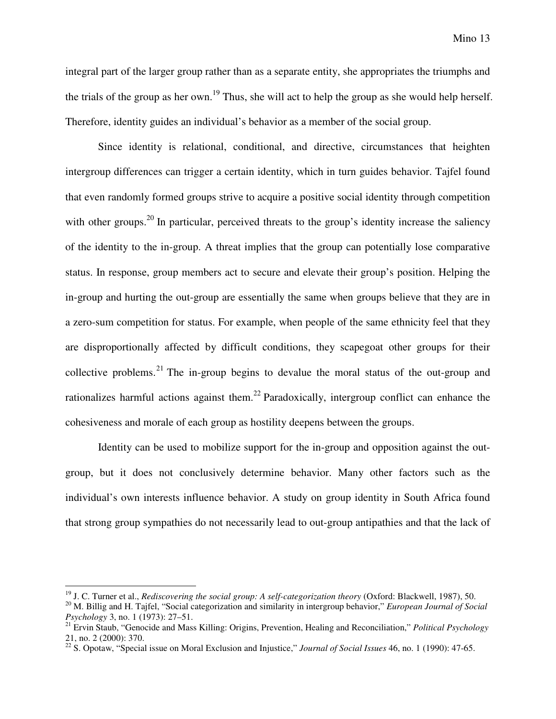integral part of the larger group rather than as a separate entity, she appropriates the triumphs and the trials of the group as her own.<sup>19</sup> Thus, she will act to help the group as she would help herself. Therefore, identity guides an individual's behavior as a member of the social group.

 Since identity is relational, conditional, and directive, circumstances that heighten intergroup differences can trigger a certain identity, which in turn guides behavior. Tajfel found that even randomly formed groups strive to acquire a positive social identity through competition with other groups.<sup>20</sup> In particular, perceived threats to the group's identity increase the saliency of the identity to the in-group. A threat implies that the group can potentially lose comparative status. In response, group members act to secure and elevate their group's position. Helping the in-group and hurting the out-group are essentially the same when groups believe that they are in a zero-sum competition for status. For example, when people of the same ethnicity feel that they are disproportionally affected by difficult conditions, they scapegoat other groups for their collective problems.<sup>21</sup> The in-group begins to devalue the moral status of the out-group and rationalizes harmful actions against them.<sup>22</sup> Paradoxically, intergroup conflict can enhance the cohesiveness and morale of each group as hostility deepens between the groups.

 Identity can be used to mobilize support for the in-group and opposition against the outgroup, but it does not conclusively determine behavior. Many other factors such as the individual's own interests influence behavior. A study on group identity in South Africa found that strong group sympathies do not necessarily lead to out-group antipathies and that the lack of

l

<sup>19</sup> J. C. Turner et al., *Rediscovering the social group: A self-categorization theory* (Oxford: Blackwell, 1987), 50.

<sup>20</sup> M. Billig and H. Tajfel, "Social categorization and similarity in intergroup behavior," *European Journal of Social Psychology* 3, no. 1 (1973): 27–51.

<sup>21</sup> Ervin Staub, "Genocide and Mass Killing: Origins, Prevention, Healing and Reconciliation," *Political Psychology*  21, no. 2 (2000): 370.

<sup>22</sup> S. Opotaw, "Special issue on Moral Exclusion and Injustice," *Journal of Social Issues* 46, no. 1 (1990): 47-65.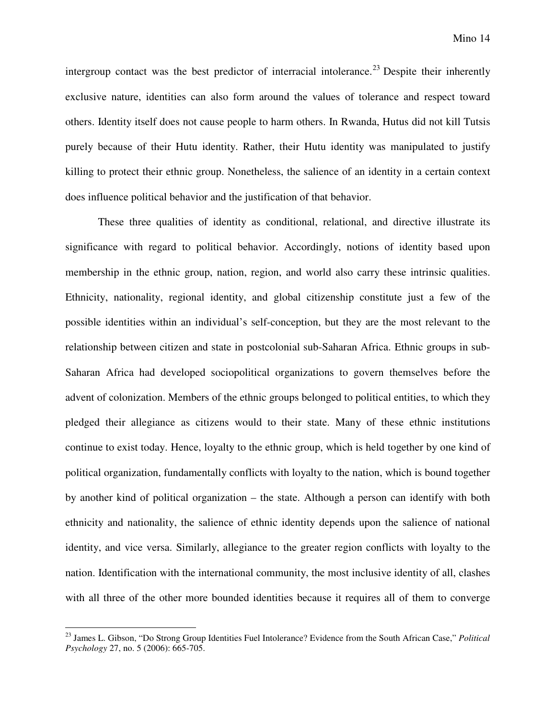intergroup contact was the best predictor of interracial intolerance.<sup>23</sup> Despite their inherently exclusive nature, identities can also form around the values of tolerance and respect toward others. Identity itself does not cause people to harm others. In Rwanda, Hutus did not kill Tutsis purely because of their Hutu identity. Rather, their Hutu identity was manipulated to justify killing to protect their ethnic group. Nonetheless, the salience of an identity in a certain context does influence political behavior and the justification of that behavior.

 These three qualities of identity as conditional, relational, and directive illustrate its significance with regard to political behavior. Accordingly, notions of identity based upon membership in the ethnic group, nation, region, and world also carry these intrinsic qualities. Ethnicity, nationality, regional identity, and global citizenship constitute just a few of the possible identities within an individual's self-conception, but they are the most relevant to the relationship between citizen and state in postcolonial sub-Saharan Africa. Ethnic groups in sub-Saharan Africa had developed sociopolitical organizations to govern themselves before the advent of colonization. Members of the ethnic groups belonged to political entities, to which they pledged their allegiance as citizens would to their state. Many of these ethnic institutions continue to exist today. Hence, loyalty to the ethnic group, which is held together by one kind of political organization, fundamentally conflicts with loyalty to the nation, which is bound together by another kind of political organization – the state. Although a person can identify with both ethnicity and nationality, the salience of ethnic identity depends upon the salience of national identity, and vice versa. Similarly, allegiance to the greater region conflicts with loyalty to the nation. Identification with the international community, the most inclusive identity of all, clashes with all three of the other more bounded identities because it requires all of them to converge

<sup>23</sup> James L. Gibson, "Do Strong Group Identities Fuel Intolerance? Evidence from the South African Case," *Political Psychology* 27, no. 5 (2006): 665-705.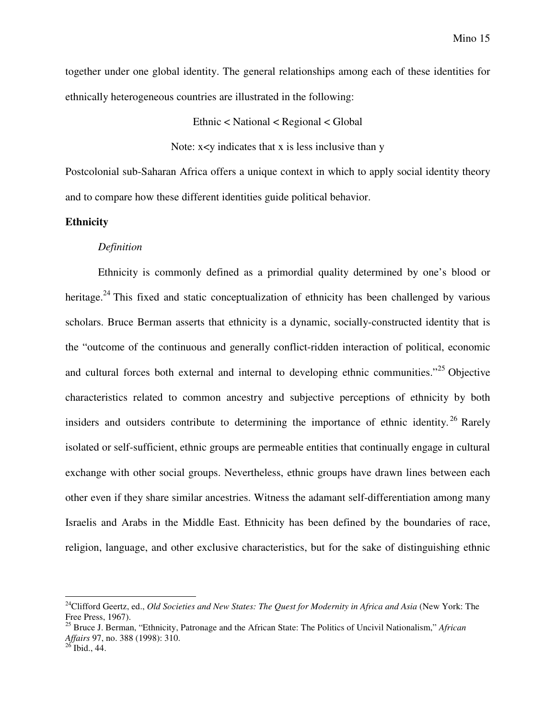together under one global identity. The general relationships among each of these identities for ethnically heterogeneous countries are illustrated in the following:

Ethnic < National < Regional < Global

Note:  $x \leq y$  indicates that x is less inclusive than y

Postcolonial sub-Saharan Africa offers a unique context in which to apply social identity theory and to compare how these different identities guide political behavior.

## **Ethnicity**

## *Definition*

Ethnicity is commonly defined as a primordial quality determined by one's blood or heritage.<sup>24</sup> This fixed and static conceptualization of ethnicity has been challenged by various scholars. Bruce Berman asserts that ethnicity is a dynamic, socially-constructed identity that is the "outcome of the continuous and generally conflict-ridden interaction of political, economic and cultural forces both external and internal to developing ethnic communities."<sup>25</sup> Objective characteristics related to common ancestry and subjective perceptions of ethnicity by both insiders and outsiders contribute to determining the importance of ethnic identity.<sup>26</sup> Rarely isolated or self-sufficient, ethnic groups are permeable entities that continually engage in cultural exchange with other social groups. Nevertheless, ethnic groups have drawn lines between each other even if they share similar ancestries. Witness the adamant self-differentiation among many Israelis and Arabs in the Middle East. Ethnicity has been defined by the boundaries of race, religion, language, and other exclusive characteristics, but for the sake of distinguishing ethnic

<sup>&</sup>lt;sup>24</sup>Clifford Geertz, ed., *Old Societies and New States: The Quest for Modernity in Africa and Asia* (New York: The Free Press, 1967).

<sup>25</sup> Bruce J. Berman, "Ethnicity, Patronage and the African State: The Politics of Uncivil Nationalism," *African Affairs* 97, no. 388 (1998): 310.

 $^{26}$  Ibid., 44.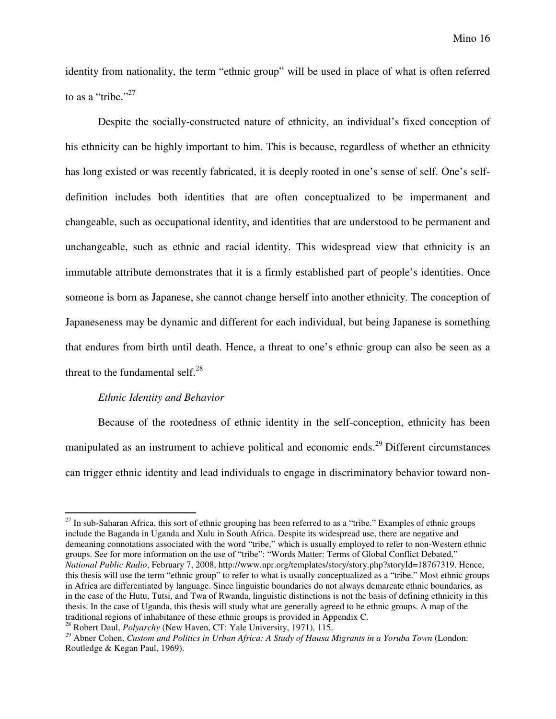identity from nationality, the term "ethnic group" will be used in place of what is often referred to as a "tribe."<sup>27</sup>

 Despite the socially-constructed nature of ethnicity, an individual's fixed conception of his ethnicity can be highly important to him. This is because, regardless of whether an ethnicity has long existed or was recently fabricated, it is deeply rooted in one's sense of self. One's selfdefinition includes both identities that are often conceptualized to be impermanent and changeable, such as occupational identity, and identities that are understood to be permanent and unchangeable, such as ethnic and racial identity. This widespread view that ethnicity is an immutable attribute demonstrates that it is a firmly established part of people's identities. Once someone is born as Japanese, she cannot change herself into another ethnicity. The conception of Japaneseness may be dynamic and different for each individual, but being Japanese is something that endures from birth until death. Hence, a threat to one's ethnic group can also be seen as a threat to the fundamental self. $^{28}$ 

#### *Ethnic Identity and Behavior*

l

Because of the rootedness of ethnic identity in the self-conception, ethnicity has been manipulated as an instrument to achieve political and economic ends.<sup>29</sup> Different circumstances can trigger ethnic identity and lead individuals to engage in discriminatory behavior toward non-

 $^{27}$  In sub-Saharan Africa, this sort of ethnic grouping has been referred to as a "tribe." Examples of ethnic groups include the Baganda in Uganda and Xulu in South Africa. Despite its widespread use, there are negative and demeaning connotations associated with the word "tribe," which is usually employed to refer to non-Western ethnic groups. See for more information on the use of "tribe": "Words Matter: Terms of Global Conflict Debated," *National Public Radio*, February 7, 2008, http://www.npr.org/templates/story/story.php?storyId=18767319. Hence, this thesis will use the term "ethnic group" to refer to what is usually conceptualized as a "tribe." Most ethnic groups in Africa are differentiated by language. Since linguistic boundaries do not always demarcate ethnic boundaries, as in the case of the Hutu, Tutsi, and Twa of Rwanda, linguistic distinctions is not the basis of defining ethnicity in this thesis. In the case of Uganda, this thesis will study what are generally agreed to be ethnic groups. A map of the traditional regions of inhabitance of these ethnic groups is provided in Appendix C.

<sup>28</sup> Robert Daul, *Polyarchy* (New Haven, CT: Yale University, 1971), 115.

<sup>29</sup> Abner Cohen, *Custom and Politics in Urban Africa: A Study of Hausa Migrants in a Yoruba Town* (London: Routledge & Kegan Paul, 1969).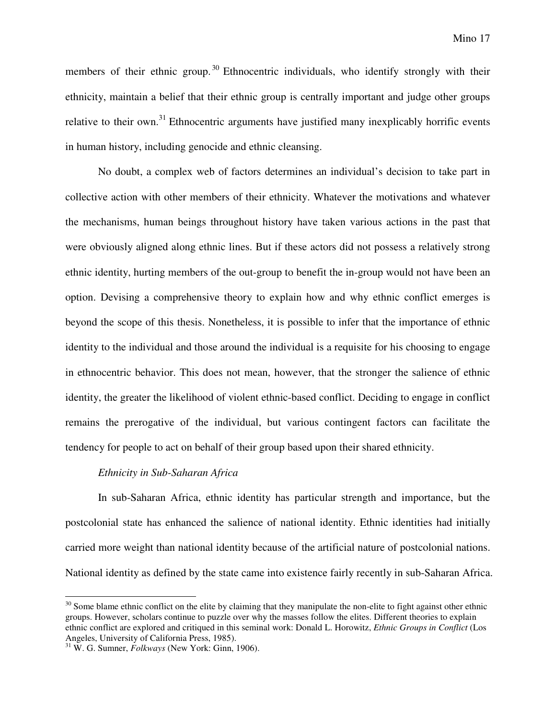members of their ethnic group.<sup>30</sup> Ethnocentric individuals, who identify strongly with their ethnicity, maintain a belief that their ethnic group is centrally important and judge other groups relative to their own.<sup>31</sup> Ethnocentric arguments have justified many inexplicably horrific events in human history, including genocide and ethnic cleansing.

 No doubt, a complex web of factors determines an individual's decision to take part in collective action with other members of their ethnicity. Whatever the motivations and whatever the mechanisms, human beings throughout history have taken various actions in the past that were obviously aligned along ethnic lines. But if these actors did not possess a relatively strong ethnic identity, hurting members of the out-group to benefit the in-group would not have been an option. Devising a comprehensive theory to explain how and why ethnic conflict emerges is beyond the scope of this thesis. Nonetheless, it is possible to infer that the importance of ethnic identity to the individual and those around the individual is a requisite for his choosing to engage in ethnocentric behavior. This does not mean, however, that the stronger the salience of ethnic identity, the greater the likelihood of violent ethnic-based conflict. Deciding to engage in conflict remains the prerogative of the individual, but various contingent factors can facilitate the tendency for people to act on behalf of their group based upon their shared ethnicity.

#### *Ethnicity in Sub-Saharan Africa*

 In sub-Saharan Africa, ethnic identity has particular strength and importance, but the postcolonial state has enhanced the salience of national identity. Ethnic identities had initially carried more weight than national identity because of the artificial nature of postcolonial nations. National identity as defined by the state came into existence fairly recently in sub-Saharan Africa.

 $30$  Some blame ethnic conflict on the elite by claiming that they manipulate the non-elite to fight against other ethnic groups. However, scholars continue to puzzle over why the masses follow the elites. Different theories to explain ethnic conflict are explored and critiqued in this seminal work: Donald L. Horowitz, *Ethnic Groups in Conflict* (Los Angeles, University of California Press, 1985).

<sup>31</sup> W. G. Sumner, *Folkways* (New York: Ginn, 1906).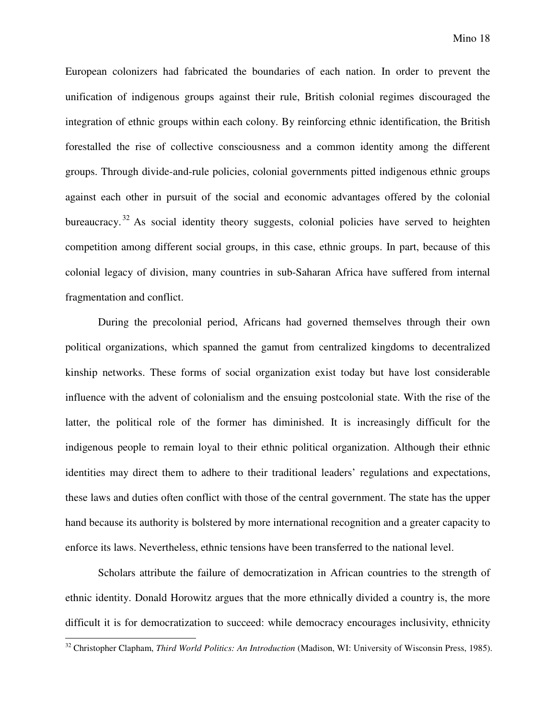European colonizers had fabricated the boundaries of each nation. In order to prevent the unification of indigenous groups against their rule, British colonial regimes discouraged the integration of ethnic groups within each colony. By reinforcing ethnic identification, the British forestalled the rise of collective consciousness and a common identity among the different groups. Through divide-and-rule policies, colonial governments pitted indigenous ethnic groups against each other in pursuit of the social and economic advantages offered by the colonial bureaucracy.<sup>32</sup> As social identity theory suggests, colonial policies have served to heighten competition among different social groups, in this case, ethnic groups. In part, because of this colonial legacy of division, many countries in sub-Saharan Africa have suffered from internal fragmentation and conflict.

During the precolonial period, Africans had governed themselves through their own political organizations, which spanned the gamut from centralized kingdoms to decentralized kinship networks. These forms of social organization exist today but have lost considerable influence with the advent of colonialism and the ensuing postcolonial state. With the rise of the latter, the political role of the former has diminished. It is increasingly difficult for the indigenous people to remain loyal to their ethnic political organization. Although their ethnic identities may direct them to adhere to their traditional leaders' regulations and expectations, these laws and duties often conflict with those of the central government. The state has the upper hand because its authority is bolstered by more international recognition and a greater capacity to enforce its laws. Nevertheless, ethnic tensions have been transferred to the national level.

 Scholars attribute the failure of democratization in African countries to the strength of ethnic identity. Donald Horowitz argues that the more ethnically divided a country is, the more difficult it is for democratization to succeed: while democracy encourages inclusivity, ethnicity l

<sup>32</sup> Christopher Clapham, *Third World Politics: An Introduction* (Madison, WI: University of Wisconsin Press, 1985).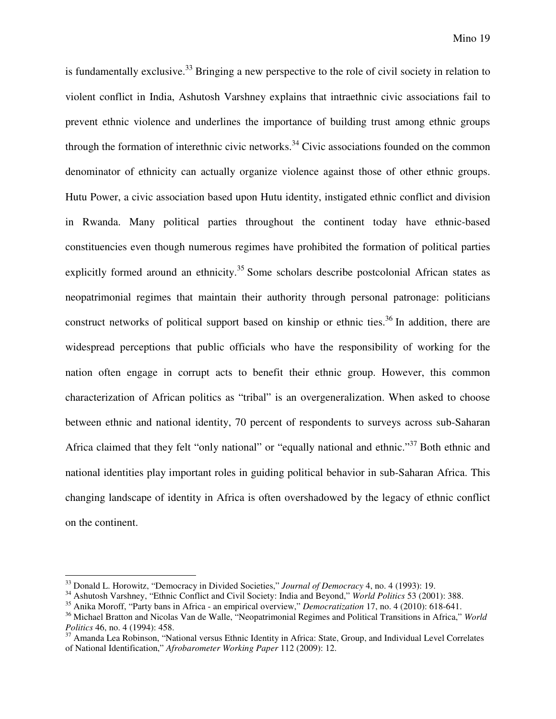is fundamentally exclusive.<sup>33</sup> Bringing a new perspective to the role of civil society in relation to violent conflict in India, Ashutosh Varshney explains that intraethnic civic associations fail to prevent ethnic violence and underlines the importance of building trust among ethnic groups through the formation of interethnic civic networks.<sup>34</sup> Civic associations founded on the common denominator of ethnicity can actually organize violence against those of other ethnic groups. Hutu Power, a civic association based upon Hutu identity, instigated ethnic conflict and division in Rwanda. Many political parties throughout the continent today have ethnic-based constituencies even though numerous regimes have prohibited the formation of political parties explicitly formed around an ethnicity.<sup>35</sup> Some scholars describe postcolonial African states as neopatrimonial regimes that maintain their authority through personal patronage: politicians construct networks of political support based on kinship or ethnic ties.<sup>36</sup> In addition, there are widespread perceptions that public officials who have the responsibility of working for the nation often engage in corrupt acts to benefit their ethnic group. However, this common characterization of African politics as "tribal" is an overgeneralization. When asked to choose between ethnic and national identity, 70 percent of respondents to surveys across sub-Saharan Africa claimed that they felt "only national" or "equally national and ethnic."<sup>37</sup> Both ethnic and national identities play important roles in guiding political behavior in sub-Saharan Africa. This changing landscape of identity in Africa is often overshadowed by the legacy of ethnic conflict on the continent.

<sup>33</sup> Donald L. Horowitz, "Democracy in Divided Societies," *Journal of Democracy* 4, no. 4 (1993): 19.

<sup>34</sup> Ashutosh Varshney, "Ethnic Conflict and Civil Society: India and Beyond," *World Politics* 53 (2001): 388.

<sup>35</sup> Anika Moroff, "Party bans in Africa - an empirical overview," *Democratization* 17, no. 4 (2010): 618-641.

<sup>36</sup> Michael Bratton and Nicolas Van de Walle, "Neopatrimonial Regimes and Political Transitions in Africa," *World Politics* 46, no. 4 (1994): 458.

<sup>&</sup>lt;sup>37</sup> Amanda Lea Robinson, "National versus Ethnic Identity in Africa: State, Group, and Individual Level Correlates of National Identification," *Afrobarometer Working Paper* 112 (2009): 12.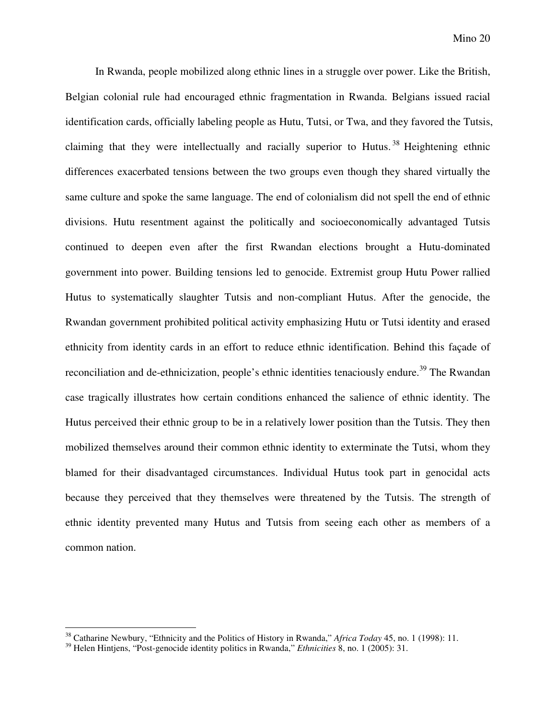In Rwanda, people mobilized along ethnic lines in a struggle over power. Like the British, Belgian colonial rule had encouraged ethnic fragmentation in Rwanda. Belgians issued racial identification cards, officially labeling people as Hutu, Tutsi, or Twa, and they favored the Tutsis, claiming that they were intellectually and racially superior to Hutus.<sup>38</sup> Heightening ethnic differences exacerbated tensions between the two groups even though they shared virtually the same culture and spoke the same language. The end of colonialism did not spell the end of ethnic divisions. Hutu resentment against the politically and socioeconomically advantaged Tutsis continued to deepen even after the first Rwandan elections brought a Hutu-dominated government into power. Building tensions led to genocide. Extremist group Hutu Power rallied Hutus to systematically slaughter Tutsis and non-compliant Hutus. After the genocide, the Rwandan government prohibited political activity emphasizing Hutu or Tutsi identity and erased ethnicity from identity cards in an effort to reduce ethnic identification. Behind this façade of reconciliation and de-ethnicization, people's ethnic identities tenaciously endure.<sup>39</sup> The Rwandan case tragically illustrates how certain conditions enhanced the salience of ethnic identity. The Hutus perceived their ethnic group to be in a relatively lower position than the Tutsis. They then mobilized themselves around their common ethnic identity to exterminate the Tutsi, whom they blamed for their disadvantaged circumstances. Individual Hutus took part in genocidal acts because they perceived that they themselves were threatened by the Tutsis. The strength of ethnic identity prevented many Hutus and Tutsis from seeing each other as members of a common nation.

<sup>38</sup> Catharine Newbury, "Ethnicity and the Politics of History in Rwanda," *Africa Today* 45, no. 1 (1998): 11.

<sup>39</sup> Helen Hintjens, "Post-genocide identity politics in Rwanda," *Ethnicities* 8, no. 1 (2005): 31.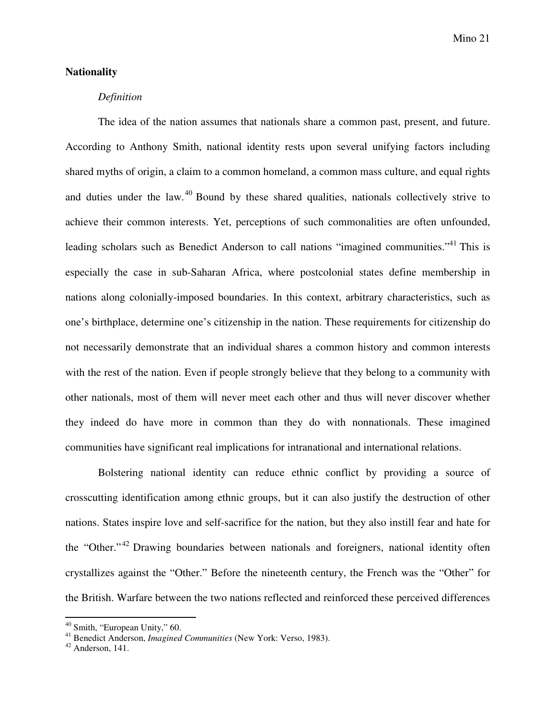Mino 21

# **Nationality**

# *Definition*

The idea of the nation assumes that nationals share a common past, present, and future. According to Anthony Smith, national identity rests upon several unifying factors including shared myths of origin, a claim to a common homeland, a common mass culture, and equal rights and duties under the law. $40$  Bound by these shared qualities, nationals collectively strive to achieve their common interests. Yet, perceptions of such commonalities are often unfounded, leading scholars such as Benedict Anderson to call nations "imagined communities."<sup>41</sup> This is especially the case in sub-Saharan Africa, where postcolonial states define membership in nations along colonially-imposed boundaries. In this context, arbitrary characteristics, such as one's birthplace, determine one's citizenship in the nation. These requirements for citizenship do not necessarily demonstrate that an individual shares a common history and common interests with the rest of the nation. Even if people strongly believe that they belong to a community with other nationals, most of them will never meet each other and thus will never discover whether they indeed do have more in common than they do with nonnationals. These imagined communities have significant real implications for intranational and international relations.

Bolstering national identity can reduce ethnic conflict by providing a source of crosscutting identification among ethnic groups, but it can also justify the destruction of other nations. States inspire love and self-sacrifice for the nation, but they also instill fear and hate for the "Other."<sup>42</sup> Drawing boundaries between nationals and foreigners, national identity often crystallizes against the "Other." Before the nineteenth century, the French was the "Other" for the British. Warfare between the two nations reflected and reinforced these perceived differences

 $40$  Smith, "European Unity," 60.

<sup>41</sup> Benedict Anderson, *Imagined Communities* (New York: Verso, 1983).

<sup>42</sup> Anderson, 141.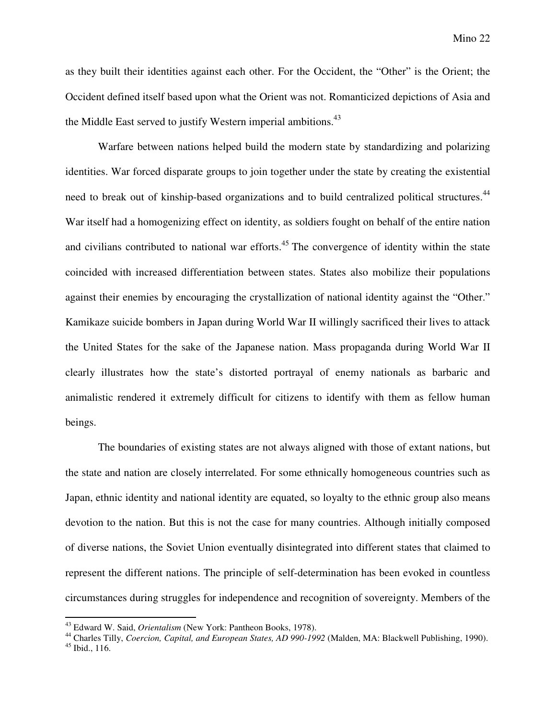as they built their identities against each other. For the Occident, the "Other" is the Orient; the Occident defined itself based upon what the Orient was not. Romanticized depictions of Asia and the Middle East served to justify Western imperial ambitions.<sup>43</sup>

Warfare between nations helped build the modern state by standardizing and polarizing identities. War forced disparate groups to join together under the state by creating the existential need to break out of kinship-based organizations and to build centralized political structures.<sup>44</sup> War itself had a homogenizing effect on identity, as soldiers fought on behalf of the entire nation and civilians contributed to national war efforts.<sup>45</sup> The convergence of identity within the state coincided with increased differentiation between states. States also mobilize their populations against their enemies by encouraging the crystallization of national identity against the "Other." Kamikaze suicide bombers in Japan during World War II willingly sacrificed their lives to attack the United States for the sake of the Japanese nation. Mass propaganda during World War II clearly illustrates how the state's distorted portrayal of enemy nationals as barbaric and animalistic rendered it extremely difficult for citizens to identify with them as fellow human beings.

The boundaries of existing states are not always aligned with those of extant nations, but the state and nation are closely interrelated. For some ethnically homogeneous countries such as Japan, ethnic identity and national identity are equated, so loyalty to the ethnic group also means devotion to the nation. But this is not the case for many countries. Although initially composed of diverse nations, the Soviet Union eventually disintegrated into different states that claimed to represent the different nations. The principle of self-determination has been evoked in countless circumstances during struggles for independence and recognition of sovereignty. Members of the

<sup>43</sup> Edward W. Said, *Orientalism* (New York: Pantheon Books, 1978).

<sup>44</sup> Charles Tilly, *Coercion, Capital, and European States, AD 990-1992* (Malden, MA: Blackwell Publishing, 1990). <sup>45</sup> Ibid., 116.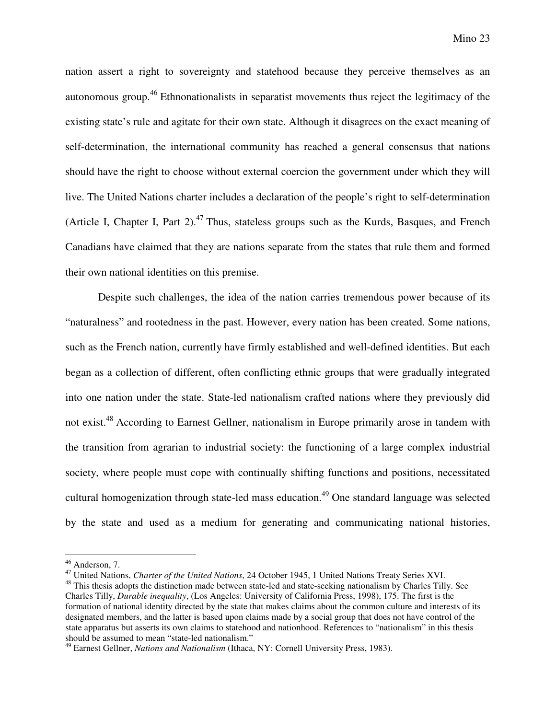nation assert a right to sovereignty and statehood because they perceive themselves as an autonomous group.<sup>46</sup> Ethnonationalists in separatist movements thus reject the legitimacy of the existing state's rule and agitate for their own state. Although it disagrees on the exact meaning of self-determination, the international community has reached a general consensus that nations should have the right to choose without external coercion the government under which they will live. The United Nations charter includes a declaration of the people's right to self-determination (Article I, Chapter I, Part 2).<sup>47</sup> Thus, stateless groups such as the Kurds, Basques, and French Canadians have claimed that they are nations separate from the states that rule them and formed their own national identities on this premise.

Despite such challenges, the idea of the nation carries tremendous power because of its "naturalness" and rootedness in the past. However, every nation has been created. Some nations, such as the French nation, currently have firmly established and well-defined identities. But each began as a collection of different, often conflicting ethnic groups that were gradually integrated into one nation under the state. State-led nationalism crafted nations where they previously did not exist.<sup>48</sup> According to Earnest Gellner, nationalism in Europe primarily arose in tandem with the transition from agrarian to industrial society: the functioning of a large complex industrial society, where people must cope with continually shifting functions and positions, necessitated cultural homogenization through state-led mass education.<sup>49</sup> One standard language was selected by the state and used as a medium for generating and communicating national histories,

<sup>&</sup>lt;sup>46</sup> Anderson, 7.

<sup>47</sup> United Nations, *Charter of the United Nations*, 24 October 1945, 1 United Nations Treaty Series XVI.

<sup>&</sup>lt;sup>48</sup> This thesis adopts the distinction made between state-led and state-seeking nationalism by Charles Tilly. See Charles Tilly, *Durable inequality*, (Los Angeles: University of California Press, 1998), 175. The first is the formation of national identity directed by the state that makes claims about the common culture and interests of its designated members, and the latter is based upon claims made by a social group that does not have control of the state apparatus but asserts its own claims to statehood and nationhood. References to "nationalism" in this thesis should be assumed to mean "state-led nationalism."

<sup>49</sup> Earnest Gellner, *Nations and Nationalism* (Ithaca, NY: Cornell University Press, 1983).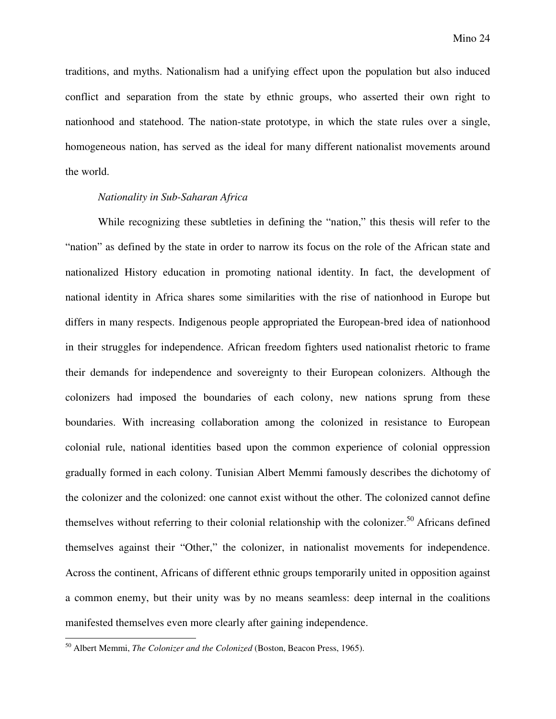traditions, and myths. Nationalism had a unifying effect upon the population but also induced conflict and separation from the state by ethnic groups, who asserted their own right to nationhood and statehood. The nation-state prototype, in which the state rules over a single, homogeneous nation, has served as the ideal for many different nationalist movements around the world.

# *Nationality in Sub-Saharan Africa*

While recognizing these subtleties in defining the "nation," this thesis will refer to the "nation" as defined by the state in order to narrow its focus on the role of the African state and nationalized History education in promoting national identity. In fact, the development of national identity in Africa shares some similarities with the rise of nationhood in Europe but differs in many respects. Indigenous people appropriated the European-bred idea of nationhood in their struggles for independence. African freedom fighters used nationalist rhetoric to frame their demands for independence and sovereignty to their European colonizers. Although the colonizers had imposed the boundaries of each colony, new nations sprung from these boundaries. With increasing collaboration among the colonized in resistance to European colonial rule, national identities based upon the common experience of colonial oppression gradually formed in each colony. Tunisian Albert Memmi famously describes the dichotomy of the colonizer and the colonized: one cannot exist without the other. The colonized cannot define themselves without referring to their colonial relationship with the colonizer.<sup>50</sup> Africans defined themselves against their "Other," the colonizer, in nationalist movements for independence. Across the continent, Africans of different ethnic groups temporarily united in opposition against a common enemy, but their unity was by no means seamless: deep internal in the coalitions manifested themselves even more clearly after gaining independence.

l

<sup>50</sup> Albert Memmi, *The Colonizer and the Colonized* (Boston, Beacon Press, 1965).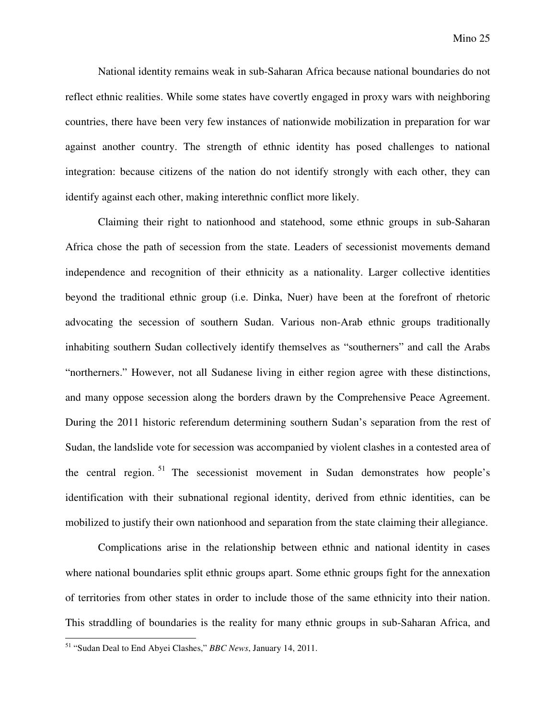National identity remains weak in sub-Saharan Africa because national boundaries do not reflect ethnic realities. While some states have covertly engaged in proxy wars with neighboring countries, there have been very few instances of nationwide mobilization in preparation for war against another country. The strength of ethnic identity has posed challenges to national integration: because citizens of the nation do not identify strongly with each other, they can identify against each other, making interethnic conflict more likely.

Claiming their right to nationhood and statehood, some ethnic groups in sub-Saharan Africa chose the path of secession from the state. Leaders of secessionist movements demand independence and recognition of their ethnicity as a nationality. Larger collective identities beyond the traditional ethnic group (i.e. Dinka, Nuer) have been at the forefront of rhetoric advocating the secession of southern Sudan. Various non-Arab ethnic groups traditionally inhabiting southern Sudan collectively identify themselves as "southerners" and call the Arabs "northerners." However, not all Sudanese living in either region agree with these distinctions, and many oppose secession along the borders drawn by the Comprehensive Peace Agreement. During the 2011 historic referendum determining southern Sudan's separation from the rest of Sudan, the landslide vote for secession was accompanied by violent clashes in a contested area of the central region. <sup>51</sup> The secessionist movement in Sudan demonstrates how people's identification with their subnational regional identity, derived from ethnic identities, can be mobilized to justify their own nationhood and separation from the state claiming their allegiance.

Complications arise in the relationship between ethnic and national identity in cases where national boundaries split ethnic groups apart. Some ethnic groups fight for the annexation of territories from other states in order to include those of the same ethnicity into their nation. This straddling of boundaries is the reality for many ethnic groups in sub-Saharan Africa, and

l

<sup>51</sup> "Sudan Deal to End Abyei Clashes," *BBC News*, January 14, 2011.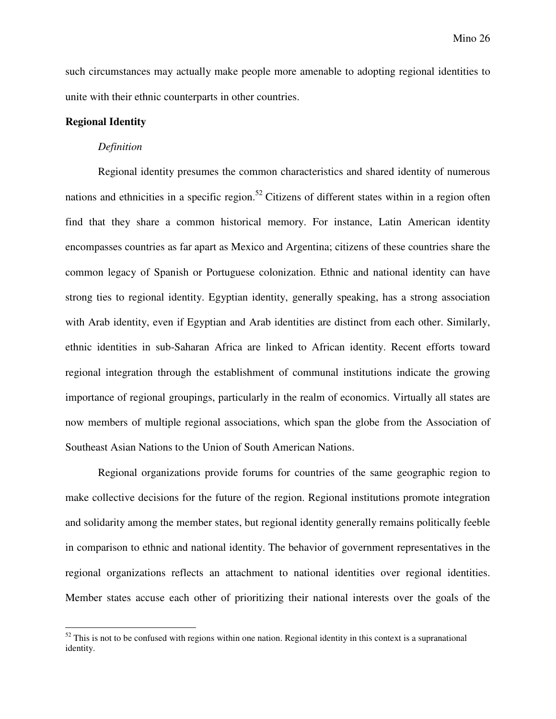such circumstances may actually make people more amenable to adopting regional identities to unite with their ethnic counterparts in other countries.

# **Regional Identity**

 $\overline{a}$ 

#### *Definition*

Regional identity presumes the common characteristics and shared identity of numerous nations and ethnicities in a specific region.<sup>52</sup> Citizens of different states within in a region often find that they share a common historical memory. For instance, Latin American identity encompasses countries as far apart as Mexico and Argentina; citizens of these countries share the common legacy of Spanish or Portuguese colonization. Ethnic and national identity can have strong ties to regional identity. Egyptian identity, generally speaking, has a strong association with Arab identity, even if Egyptian and Arab identities are distinct from each other. Similarly, ethnic identities in sub-Saharan Africa are linked to African identity. Recent efforts toward regional integration through the establishment of communal institutions indicate the growing importance of regional groupings, particularly in the realm of economics. Virtually all states are now members of multiple regional associations, which span the globe from the Association of Southeast Asian Nations to the Union of South American Nations.

Regional organizations provide forums for countries of the same geographic region to make collective decisions for the future of the region. Regional institutions promote integration and solidarity among the member states, but regional identity generally remains politically feeble in comparison to ethnic and national identity. The behavior of government representatives in the regional organizations reflects an attachment to national identities over regional identities. Member states accuse each other of prioritizing their national interests over the goals of the

 $52$  This is not to be confused with regions within one nation. Regional identity in this context is a supranational identity.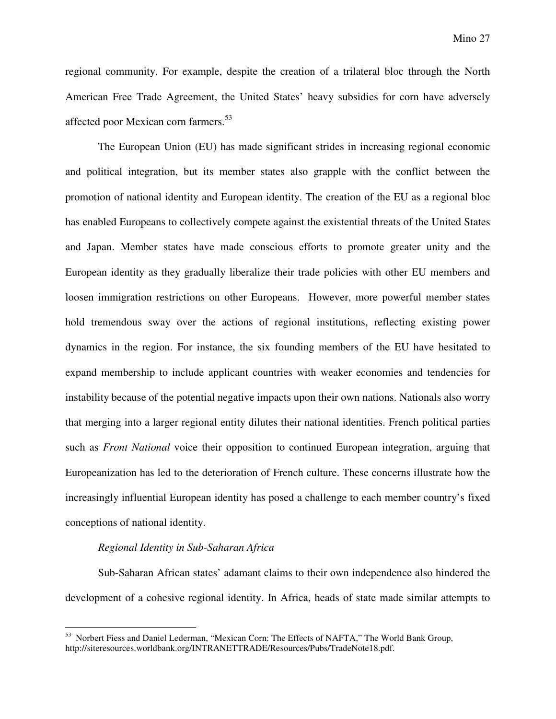regional community. For example, despite the creation of a trilateral bloc through the North American Free Trade Agreement, the United States' heavy subsidies for corn have adversely affected poor Mexican corn farmers.<sup>53</sup>

The European Union (EU) has made significant strides in increasing regional economic and political integration, but its member states also grapple with the conflict between the promotion of national identity and European identity. The creation of the EU as a regional bloc has enabled Europeans to collectively compete against the existential threats of the United States and Japan. Member states have made conscious efforts to promote greater unity and the European identity as they gradually liberalize their trade policies with other EU members and loosen immigration restrictions on other Europeans. However, more powerful member states hold tremendous sway over the actions of regional institutions, reflecting existing power dynamics in the region. For instance, the six founding members of the EU have hesitated to expand membership to include applicant countries with weaker economies and tendencies for instability because of the potential negative impacts upon their own nations. Nationals also worry that merging into a larger regional entity dilutes their national identities. French political parties such as *Front National* voice their opposition to continued European integration, arguing that Europeanization has led to the deterioration of French culture. These concerns illustrate how the increasingly influential European identity has posed a challenge to each member country's fixed conceptions of national identity.

# *Regional Identity in Sub-Saharan Africa*

 $\overline{a}$ 

Sub-Saharan African states' adamant claims to their own independence also hindered the development of a cohesive regional identity. In Africa, heads of state made similar attempts to

<sup>&</sup>lt;sup>53</sup> Norbert Fiess and Daniel Lederman, "Mexican Corn: The Effects of NAFTA," The World Bank Group, http://siteresources.worldbank.org/INTRANETTRADE/Resources/Pubs/TradeNote18.pdf.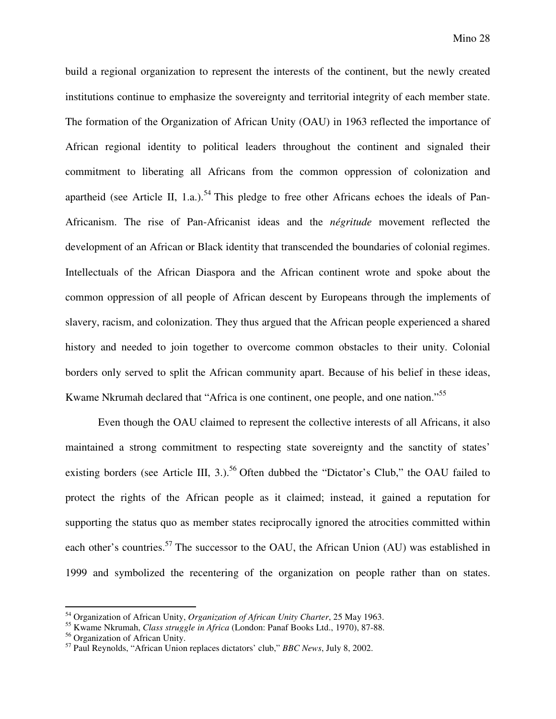build a regional organization to represent the interests of the continent, but the newly created institutions continue to emphasize the sovereignty and territorial integrity of each member state. The formation of the Organization of African Unity (OAU) in 1963 reflected the importance of African regional identity to political leaders throughout the continent and signaled their commitment to liberating all Africans from the common oppression of colonization and apartheid (see Article II, 1.a.).<sup>54</sup> This pledge to free other Africans echoes the ideals of Pan-Africanism. The rise of Pan-Africanist ideas and the *négritude* movement reflected the development of an African or Black identity that transcended the boundaries of colonial regimes. Intellectuals of the African Diaspora and the African continent wrote and spoke about the common oppression of all people of African descent by Europeans through the implements of slavery, racism, and colonization. They thus argued that the African people experienced a shared history and needed to join together to overcome common obstacles to their unity. Colonial borders only served to split the African community apart. Because of his belief in these ideas, Kwame Nkrumah declared that "Africa is one continent, one people, and one nation."<sup>55</sup>

Even though the OAU claimed to represent the collective interests of all Africans, it also maintained a strong commitment to respecting state sovereignty and the sanctity of states' existing borders (see Article III, 3.).<sup>56</sup> Often dubbed the "Dictator's Club," the OAU failed to protect the rights of the African people as it claimed; instead, it gained a reputation for supporting the status quo as member states reciprocally ignored the atrocities committed within each other's countries.<sup>57</sup> The successor to the OAU, the African Union (AU) was established in 1999 and symbolized the recentering of the organization on people rather than on states.

<sup>54</sup> Organization of African Unity, *Organization of African Unity Charter*, 25 May 1963.

<sup>55</sup> Kwame Nkrumah, *Class struggle in Africa* (London: Panaf Books Ltd., 1970), 87-88.

<sup>56</sup> Organization of African Unity.

<sup>57</sup> Paul Reynolds, "African Union replaces dictators' club," *BBC News*, July 8, 2002.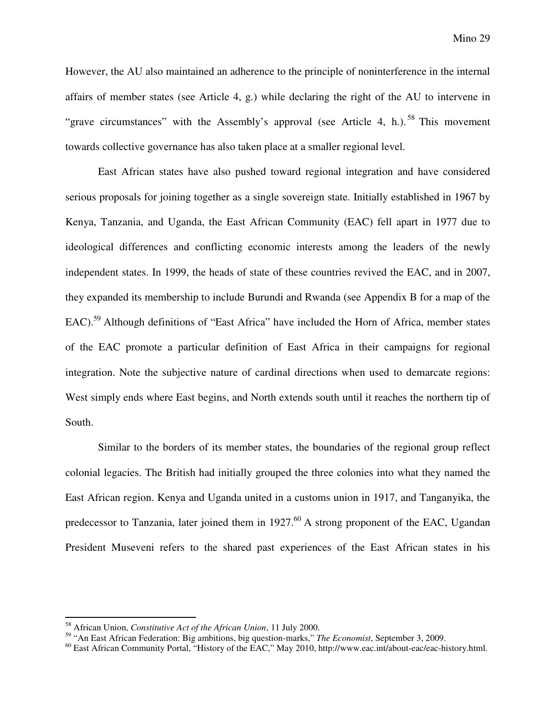However, the AU also maintained an adherence to the principle of noninterference in the internal affairs of member states (see Article 4, g.) while declaring the right of the AU to intervene in "grave circumstances" with the Assembly's approval (see Article 4, h.).<sup>58</sup> This movement towards collective governance has also taken place at a smaller regional level.

East African states have also pushed toward regional integration and have considered serious proposals for joining together as a single sovereign state. Initially established in 1967 by Kenya, Tanzania, and Uganda, the East African Community (EAC) fell apart in 1977 due to ideological differences and conflicting economic interests among the leaders of the newly independent states. In 1999, the heads of state of these countries revived the EAC, and in 2007, they expanded its membership to include Burundi and Rwanda (see Appendix B for a map of the EAC).<sup>59</sup> Although definitions of "East Africa" have included the Horn of Africa, member states of the EAC promote a particular definition of East Africa in their campaigns for regional integration. Note the subjective nature of cardinal directions when used to demarcate regions: West simply ends where East begins, and North extends south until it reaches the northern tip of South.

Similar to the borders of its member states, the boundaries of the regional group reflect colonial legacies. The British had initially grouped the three colonies into what they named the East African region. Kenya and Uganda united in a customs union in 1917, and Tanganyika, the predecessor to Tanzania, later joined them in  $1927$ .<sup>60</sup> A strong proponent of the EAC, Ugandan President Museveni refers to the shared past experiences of the East African states in his

<sup>58</sup> African Union, *Constitutive Act of the African Union*, 11 July 2000.

<sup>59</sup> "An East African Federation: Big ambitions, big question-marks," *The Economist*, September 3, 2009.

<sup>60</sup> East African Community Portal, "History of the EAC," May 2010, http://www.eac.int/about-eac/eac-history.html.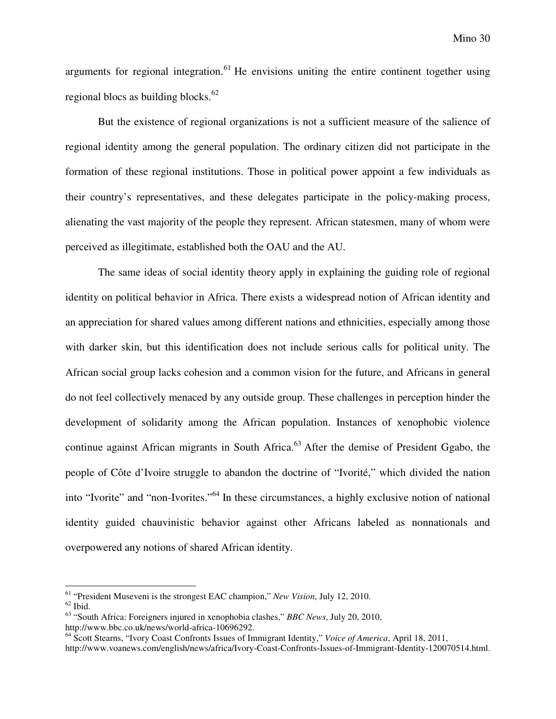arguments for regional integration.<sup>61</sup> He envisions uniting the entire continent together using regional blocs as building blocks.<sup>62</sup>

But the existence of regional organizations is not a sufficient measure of the salience of regional identity among the general population. The ordinary citizen did not participate in the formation of these regional institutions. Those in political power appoint a few individuals as their country's representatives, and these delegates participate in the policy-making process, alienating the vast majority of the people they represent. African statesmen, many of whom were perceived as illegitimate, established both the OAU and the AU.

The same ideas of social identity theory apply in explaining the guiding role of regional identity on political behavior in Africa. There exists a widespread notion of African identity and an appreciation for shared values among different nations and ethnicities, especially among those with darker skin, but this identification does not include serious calls for political unity. The African social group lacks cohesion and a common vision for the future, and Africans in general do not feel collectively menaced by any outside group. These challenges in perception hinder the development of solidarity among the African population. Instances of xenophobic violence continue against African migrants in South Africa.<sup>63</sup> After the demise of President Ggabo, the people of Côte d'Ivoire struggle to abandon the doctrine of "Ivorité," which divided the nation into "Ivorite" and "non-Ivorites."<sup>64</sup> In these circumstances, a highly exclusive notion of national identity guided chauvinistic behavior against other Africans labeled as nonnationals and overpowered any notions of shared African identity.

l

<sup>61</sup> "President Museveni is the strongest EAC champion," *New Vision*, July 12, 2010.  $62$  Ibid.

<sup>63</sup> "South Africa: Foreigners injured in xenophobia clashes," *BBC News*, July 20, 2010, http://www.bbc.co.uk/news/world-africa-10696292.

<sup>64</sup> Scott Stearns, "Ivory Coast Confronts Issues of Immigrant Identity," *Voice of America*, April 18, 2011, http://www.voanews.com/english/news/africa/Ivory-Coast-Confronts-Issues-of-Immigrant-Identity-120070514.html.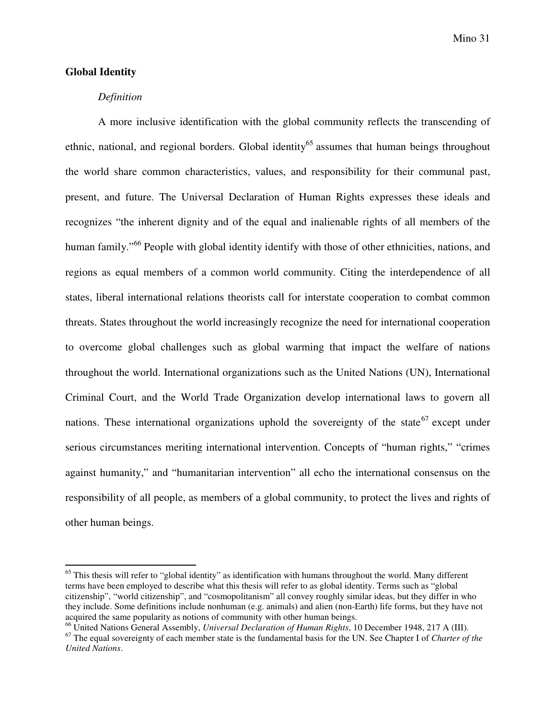# **Global Identity**

 $\overline{a}$ 

# *Definition*

 A more inclusive identification with the global community reflects the transcending of ethnic, national, and regional borders. Global identity<sup>65</sup> assumes that human beings throughout the world share common characteristics, values, and responsibility for their communal past, present, and future. The Universal Declaration of Human Rights expresses these ideals and recognizes "the inherent dignity and of the equal and inalienable rights of all members of the human family."<sup>66</sup> People with global identity identify with those of other ethnicities, nations, and regions as equal members of a common world community. Citing the interdependence of all states, liberal international relations theorists call for interstate cooperation to combat common threats. States throughout the world increasingly recognize the need for international cooperation to overcome global challenges such as global warming that impact the welfare of nations throughout the world. International organizations such as the United Nations (UN), International Criminal Court, and the World Trade Organization develop international laws to govern all nations. These international organizations uphold the sovereignty of the state<sup>67</sup> except under serious circumstances meriting international intervention. Concepts of "human rights," "crimes against humanity," and "humanitarian intervention" all echo the international consensus on the responsibility of all people, as members of a global community, to protect the lives and rights of other human beings.

<sup>&</sup>lt;sup>65</sup> This thesis will refer to "global identity" as identification with humans throughout the world. Many different terms have been employed to describe what this thesis will refer to as global identity. Terms such as "global citizenship", "world citizenship", and "cosmopolitanism" all convey roughly similar ideas, but they differ in who they include. Some definitions include nonhuman (e.g. animals) and alien (non-Earth) life forms, but they have not acquired the same popularity as notions of community with other human beings.

<sup>66</sup> United Nations General Assembly, *Universal Declaration of Human Rights*, 10 December 1948, 217 A (III).

<sup>&</sup>lt;sup>67</sup> The equal sovereignty of each member state is the fundamental basis for the UN. See Chapter I of *Charter of the United Nations*.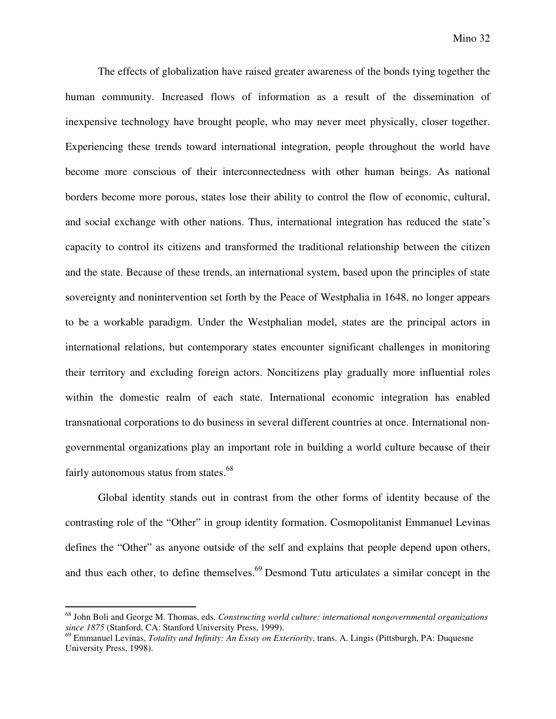The effects of globalization have raised greater awareness of the bonds tying together the human community. Increased flows of information as a result of the dissemination of inexpensive technology have brought people, who may never meet physically, closer together. Experiencing these trends toward international integration, people throughout the world have become more conscious of their interconnectedness with other human beings. As national borders become more porous, states lose their ability to control the flow of economic, cultural, and social exchange with other nations. Thus, international integration has reduced the state's capacity to control its citizens and transformed the traditional relationship between the citizen and the state. Because of these trends, an international system, based upon the principles of state sovereignty and nonintervention set forth by the Peace of Westphalia in 1648, no longer appears to be a workable paradigm. Under the Westphalian model, states are the principal actors in international relations, but contemporary states encounter significant challenges in monitoring their territory and excluding foreign actors. Noncitizens play gradually more influential roles within the domestic realm of each state. International economic integration has enabled transnational corporations to do business in several different countries at once. International nongovernmental organizations play an important role in building a world culture because of their fairly autonomous status from states.<sup>68</sup>

Global identity stands out in contrast from the other forms of identity because of the contrasting role of the "Other" in group identity formation. Cosmopolitanist Emmanuel Levinas defines the "Other" as anyone outside of the self and explains that people depend upon others, and thus each other, to define themselves.<sup>69</sup> Desmond Tutu articulates a similar concept in the

<sup>68</sup> John Boli and George M. Thomas, eds. *Constructing world culture: international nongovernmental organizations since 1875* (Stanford, CA: Stanford University Press, 1999).

<sup>69</sup> Emmanuel Levinas, *Totality and Infinity: An Essay on Exteriority*, trans. A. Lingis (Pittsburgh, PA: Duquesne University Press, 1998).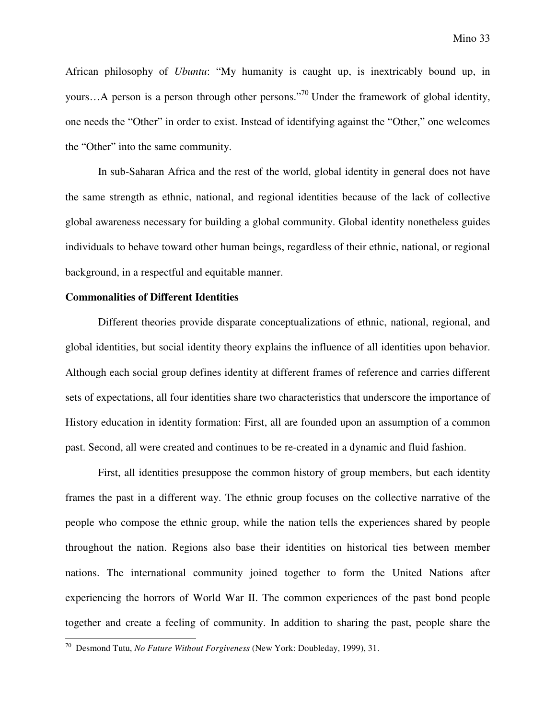African philosophy of *Ubuntu*: "My humanity is caught up, is inextricably bound up, in yours…A person is a person through other persons."<sup>70</sup> Under the framework of global identity, one needs the "Other" in order to exist. Instead of identifying against the "Other," one welcomes the "Other" into the same community.

In sub-Saharan Africa and the rest of the world, global identity in general does not have the same strength as ethnic, national, and regional identities because of the lack of collective global awareness necessary for building a global community. Global identity nonetheless guides individuals to behave toward other human beings, regardless of their ethnic, national, or regional background, in a respectful and equitable manner.

## **Commonalities of Different Identities**

l

 Different theories provide disparate conceptualizations of ethnic, national, regional, and global identities, but social identity theory explains the influence of all identities upon behavior. Although each social group defines identity at different frames of reference and carries different sets of expectations, all four identities share two characteristics that underscore the importance of History education in identity formation: First, all are founded upon an assumption of a common past. Second, all were created and continues to be re-created in a dynamic and fluid fashion.

 First, all identities presuppose the common history of group members, but each identity frames the past in a different way. The ethnic group focuses on the collective narrative of the people who compose the ethnic group, while the nation tells the experiences shared by people throughout the nation. Regions also base their identities on historical ties between member nations. The international community joined together to form the United Nations after experiencing the horrors of World War II. The common experiences of the past bond people together and create a feeling of community. In addition to sharing the past, people share the

<sup>70</sup> Desmond Tutu, *No Future Without Forgiveness* (New York: Doubleday, 1999), 31.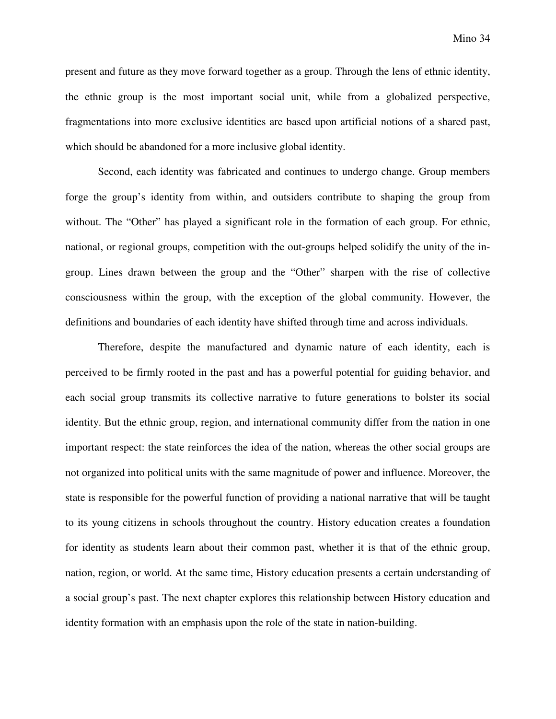present and future as they move forward together as a group. Through the lens of ethnic identity, the ethnic group is the most important social unit, while from a globalized perspective, fragmentations into more exclusive identities are based upon artificial notions of a shared past, which should be abandoned for a more inclusive global identity.

 Second, each identity was fabricated and continues to undergo change. Group members forge the group's identity from within, and outsiders contribute to shaping the group from without. The "Other" has played a significant role in the formation of each group. For ethnic, national, or regional groups, competition with the out-groups helped solidify the unity of the ingroup. Lines drawn between the group and the "Other" sharpen with the rise of collective consciousness within the group, with the exception of the global community. However, the definitions and boundaries of each identity have shifted through time and across individuals.

 Therefore, despite the manufactured and dynamic nature of each identity, each is perceived to be firmly rooted in the past and has a powerful potential for guiding behavior, and each social group transmits its collective narrative to future generations to bolster its social identity. But the ethnic group, region, and international community differ from the nation in one important respect: the state reinforces the idea of the nation, whereas the other social groups are not organized into political units with the same magnitude of power and influence. Moreover, the state is responsible for the powerful function of providing a national narrative that will be taught to its young citizens in schools throughout the country. History education creates a foundation for identity as students learn about their common past, whether it is that of the ethnic group, nation, region, or world. At the same time, History education presents a certain understanding of a social group's past. The next chapter explores this relationship between History education and identity formation with an emphasis upon the role of the state in nation-building.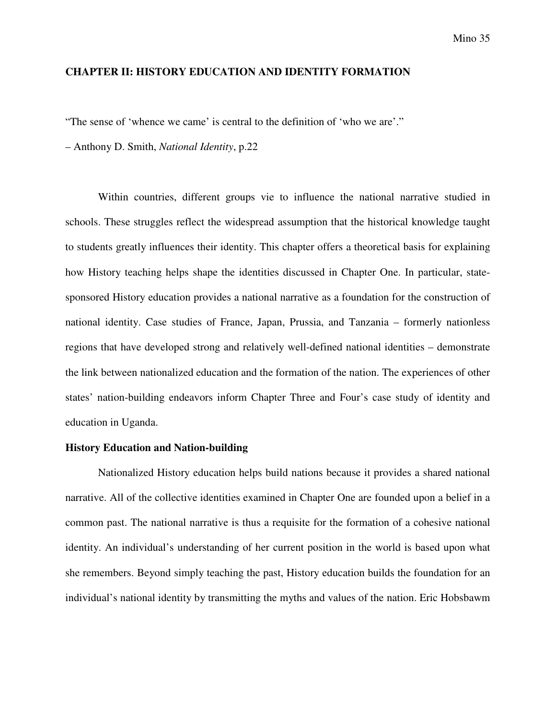# **CHAPTER II: HISTORY EDUCATION AND IDENTITY FORMATION**

"The sense of 'whence we came' is central to the definition of 'who we are'."

– Anthony D. Smith, *National Identity*, p.22

Within countries, different groups vie to influence the national narrative studied in schools. These struggles reflect the widespread assumption that the historical knowledge taught to students greatly influences their identity. This chapter offers a theoretical basis for explaining how History teaching helps shape the identities discussed in Chapter One. In particular, statesponsored History education provides a national narrative as a foundation for the construction of national identity. Case studies of France, Japan, Prussia, and Tanzania – formerly nationless regions that have developed strong and relatively well-defined national identities – demonstrate the link between nationalized education and the formation of the nation. The experiences of other states' nation-building endeavors inform Chapter Three and Four's case study of identity and education in Uganda.

#### **History Education and Nation-building**

Nationalized History education helps build nations because it provides a shared national narrative. All of the collective identities examined in Chapter One are founded upon a belief in a common past. The national narrative is thus a requisite for the formation of a cohesive national identity. An individual's understanding of her current position in the world is based upon what she remembers. Beyond simply teaching the past, History education builds the foundation for an individual's national identity by transmitting the myths and values of the nation. Eric Hobsbawm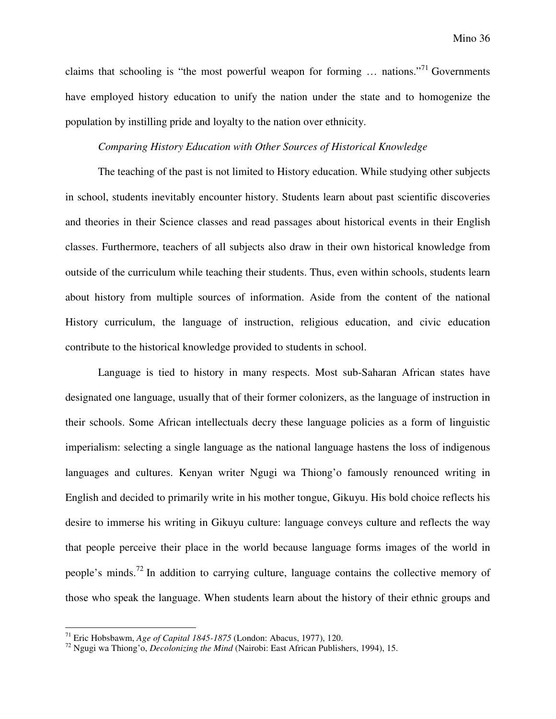claims that schooling is "the most powerful weapon for forming … nations."<sup>71</sup> Governments have employed history education to unify the nation under the state and to homogenize the population by instilling pride and loyalty to the nation over ethnicity.

# *Comparing History Education with Other Sources of Historical Knowledge*

The teaching of the past is not limited to History education. While studying other subjects in school, students inevitably encounter history. Students learn about past scientific discoveries and theories in their Science classes and read passages about historical events in their English classes. Furthermore, teachers of all subjects also draw in their own historical knowledge from outside of the curriculum while teaching their students. Thus, even within schools, students learn about history from multiple sources of information. Aside from the content of the national History curriculum, the language of instruction, religious education, and civic education contribute to the historical knowledge provided to students in school.

 Language is tied to history in many respects. Most sub-Saharan African states have designated one language, usually that of their former colonizers, as the language of instruction in their schools. Some African intellectuals decry these language policies as a form of linguistic imperialism: selecting a single language as the national language hastens the loss of indigenous languages and cultures. Kenyan writer Ngugi wa Thiong'o famously renounced writing in English and decided to primarily write in his mother tongue, Gikuyu. His bold choice reflects his desire to immerse his writing in Gikuyu culture: language conveys culture and reflects the way that people perceive their place in the world because language forms images of the world in people's minds.<sup>72</sup> In addition to carrying culture, language contains the collective memory of those who speak the language. When students learn about the history of their ethnic groups and

<sup>71</sup> Eric Hobsbawm, *Age of Capital 1845-1875* (London: Abacus, 1977), 120.

<sup>72</sup> Ngugi wa Thiong'o, *Decolonizing the Mind* (Nairobi: East African Publishers, 1994), 15.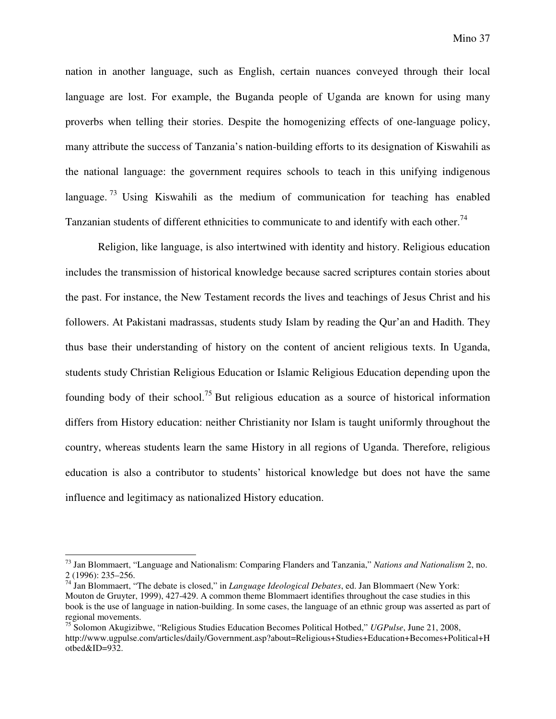nation in another language, such as English, certain nuances conveyed through their local language are lost. For example, the Buganda people of Uganda are known for using many proverbs when telling their stories. Despite the homogenizing effects of one-language policy, many attribute the success of Tanzania's nation-building efforts to its designation of Kiswahili as the national language: the government requires schools to teach in this unifying indigenous language.<sup>73</sup> Using Kiswahili as the medium of communication for teaching has enabled Tanzanian students of different ethnicities to communicate to and identify with each other.<sup>74</sup>

Religion, like language, is also intertwined with identity and history. Religious education includes the transmission of historical knowledge because sacred scriptures contain stories about the past. For instance, the New Testament records the lives and teachings of Jesus Christ and his followers. At Pakistani madrassas, students study Islam by reading the Qur'an and Hadith. They thus base their understanding of history on the content of ancient religious texts. In Uganda, students study Christian Religious Education or Islamic Religious Education depending upon the founding body of their school.<sup>75</sup> But religious education as a source of historical information differs from History education: neither Christianity nor Islam is taught uniformly throughout the country, whereas students learn the same History in all regions of Uganda. Therefore, religious education is also a contributor to students' historical knowledge but does not have the same influence and legitimacy as nationalized History education.

<sup>73</sup> Jan Blommaert, "Language and Nationalism: Comparing Flanders and Tanzania," *Nations and Nationalism* 2, no. 2 (1996): 235–256.

<sup>74</sup> Jan Blommaert, "The debate is closed," in *Language Ideological Debates*, ed. Jan Blommaert (New York: Mouton de Gruyter, 1999), 427-429. A common theme Blommaert identifies throughout the case studies in this book is the use of language in nation-building. In some cases, the language of an ethnic group was asserted as part of regional movements.

<sup>75</sup> Solomon Akugizibwe, "Religious Studies Education Becomes Political Hotbed," *UGPulse*, June 21, 2008, http://www.ugpulse.com/articles/daily/Government.asp?about=Religious+Studies+Education+Becomes+Political+H otbed&ID=932.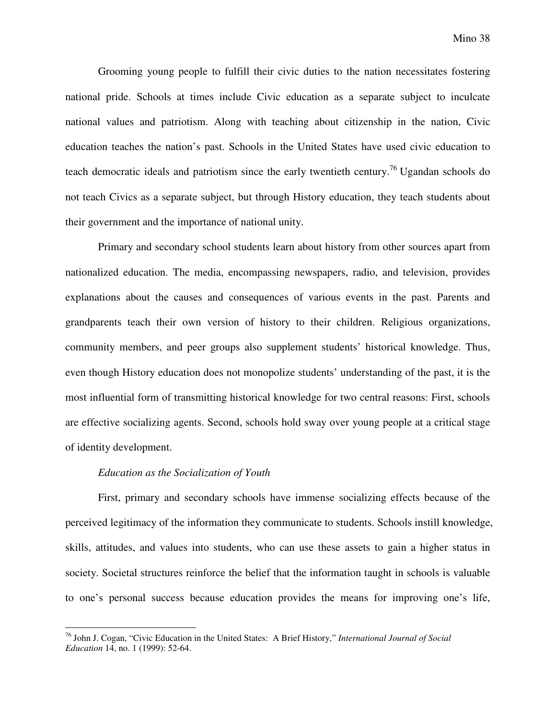Grooming young people to fulfill their civic duties to the nation necessitates fostering national pride. Schools at times include Civic education as a separate subject to inculcate national values and patriotism. Along with teaching about citizenship in the nation, Civic education teaches the nation's past. Schools in the United States have used civic education to teach democratic ideals and patriotism since the early twentieth century.<sup>76</sup> Ugandan schools do not teach Civics as a separate subject, but through History education, they teach students about their government and the importance of national unity.

 Primary and secondary school students learn about history from other sources apart from nationalized education. The media, encompassing newspapers, radio, and television, provides explanations about the causes and consequences of various events in the past. Parents and grandparents teach their own version of history to their children. Religious organizations, community members, and peer groups also supplement students' historical knowledge. Thus, even though History education does not monopolize students' understanding of the past, it is the most influential form of transmitting historical knowledge for two central reasons: First, schools are effective socializing agents. Second, schools hold sway over young people at a critical stage of identity development.

#### *Education as the Socialization of Youth*

 $\overline{a}$ 

First, primary and secondary schools have immense socializing effects because of the perceived legitimacy of the information they communicate to students. Schools instill knowledge, skills, attitudes, and values into students, who can use these assets to gain a higher status in society. Societal structures reinforce the belief that the information taught in schools is valuable to one's personal success because education provides the means for improving one's life,

<sup>76</sup> John J. Cogan, "Civic Education in the United States: A Brief History," *International Journal of Social Education* 14, no. 1 (1999): 52-64.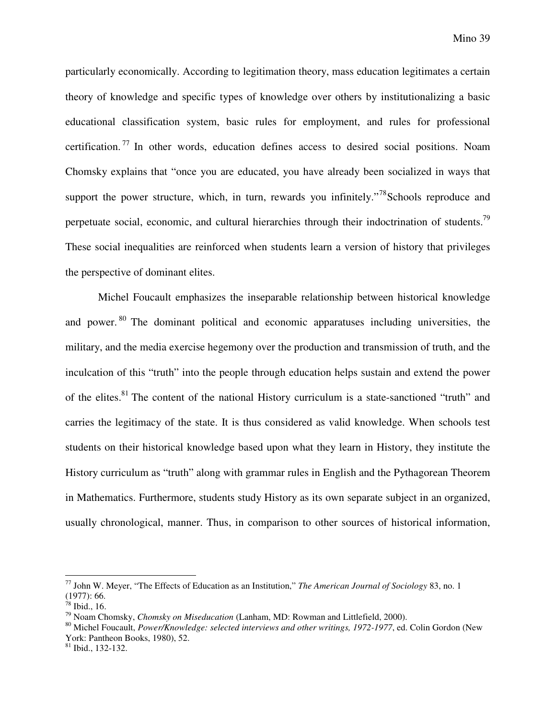particularly economically. According to legitimation theory, mass education legitimates a certain theory of knowledge and specific types of knowledge over others by institutionalizing a basic educational classification system, basic rules for employment, and rules for professional certification.<sup>77</sup> In other words, education defines access to desired social positions. Noam Chomsky explains that "once you are educated, you have already been socialized in ways that support the power structure, which, in turn, rewards you infinitely."<sup>78</sup>Schools reproduce and perpetuate social, economic, and cultural hierarchies through their indoctrination of students.<sup>79</sup> These social inequalities are reinforced when students learn a version of history that privileges the perspective of dominant elites.

Michel Foucault emphasizes the inseparable relationship between historical knowledge and power. <sup>80</sup> The dominant political and economic apparatuses including universities, the military, and the media exercise hegemony over the production and transmission of truth, and the inculcation of this "truth" into the people through education helps sustain and extend the power of the elites.<sup>81</sup> The content of the national History curriculum is a state-sanctioned "truth" and carries the legitimacy of the state. It is thus considered as valid knowledge. When schools test students on their historical knowledge based upon what they learn in History, they institute the History curriculum as "truth" along with grammar rules in English and the Pythagorean Theorem in Mathematics. Furthermore, students study History as its own separate subject in an organized, usually chronological, manner. Thus, in comparison to other sources of historical information,

<sup>77</sup> John W. Meyer, "The Effects of Education as an Institution," *The American Journal of Sociology* 83, no. 1 (1977): 66.

 $^{78}$  Ibid., 16.

<sup>79</sup> Noam Chomsky, *Chomsky on Miseducation* (Lanham, MD: Rowman and Littlefield, 2000).

<sup>80</sup> Michel Foucault, *Power/Knowledge: selected interviews and other writings, 1972-1977*, ed. Colin Gordon (New York: Pantheon Books, 1980), 52.

 $81$  Ibid., 132-132.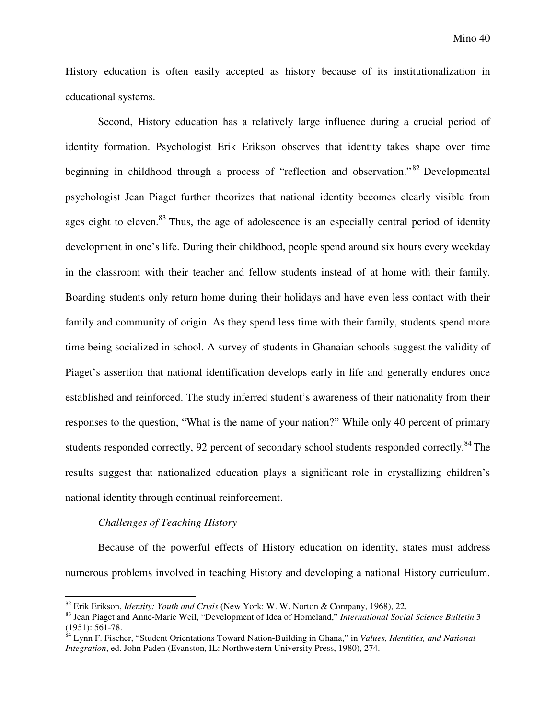History education is often easily accepted as history because of its institutionalization in educational systems.

Second, History education has a relatively large influence during a crucial period of identity formation. Psychologist Erik Erikson observes that identity takes shape over time beginning in childhood through a process of "reflection and observation."<sup>82</sup> Developmental psychologist Jean Piaget further theorizes that national identity becomes clearly visible from ages eight to eleven.<sup>83</sup> Thus, the age of adolescence is an especially central period of identity development in one's life. During their childhood, people spend around six hours every weekday in the classroom with their teacher and fellow students instead of at home with their family. Boarding students only return home during their holidays and have even less contact with their family and community of origin. As they spend less time with their family, students spend more time being socialized in school. A survey of students in Ghanaian schools suggest the validity of Piaget's assertion that national identification develops early in life and generally endures once established and reinforced. The study inferred student's awareness of their nationality from their responses to the question, "What is the name of your nation?" While only 40 percent of primary students responded correctly, 92 percent of secondary school students responded correctly.<sup>84</sup>The results suggest that nationalized education plays a significant role in crystallizing children's national identity through continual reinforcement.

# *Challenges of Teaching History*

 $\overline{a}$ 

Because of the powerful effects of History education on identity, states must address numerous problems involved in teaching History and developing a national History curriculum.

<sup>82</sup> Erik Erikson, *Identity: Youth and Crisis* (New York: W. W. Norton & Company, 1968), 22.

<sup>83</sup> Jean Piaget and Anne-Marie Weil, "Development of Idea of Homeland," *International Social Science Bulletin* 3 (1951): 561-78.

<sup>84</sup> Lynn F. Fischer, "Student Orientations Toward Nation-Building in Ghana," in *Values, Identities, and National Integration*, ed. John Paden (Evanston, IL: Northwestern University Press, 1980), 274.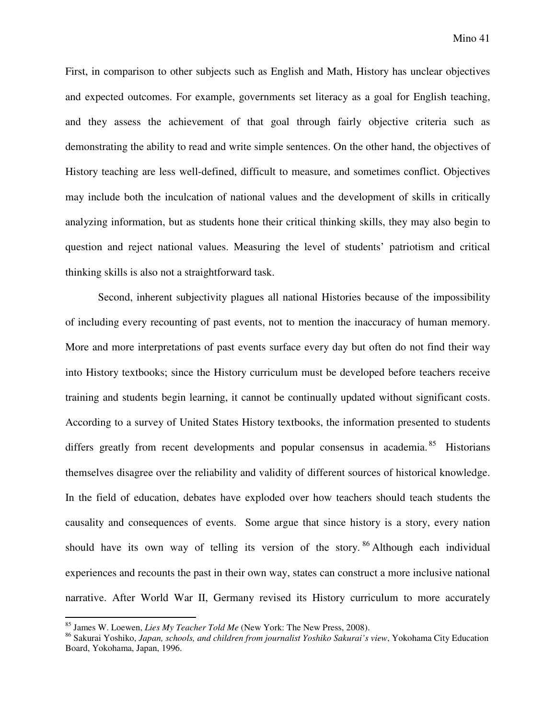First, in comparison to other subjects such as English and Math, History has unclear objectives and expected outcomes. For example, governments set literacy as a goal for English teaching, and they assess the achievement of that goal through fairly objective criteria such as demonstrating the ability to read and write simple sentences. On the other hand, the objectives of History teaching are less well-defined, difficult to measure, and sometimes conflict. Objectives may include both the inculcation of national values and the development of skills in critically analyzing information, but as students hone their critical thinking skills, they may also begin to question and reject national values. Measuring the level of students' patriotism and critical thinking skills is also not a straightforward task.

Second, inherent subjectivity plagues all national Histories because of the impossibility of including every recounting of past events, not to mention the inaccuracy of human memory. More and more interpretations of past events surface every day but often do not find their way into History textbooks; since the History curriculum must be developed before teachers receive training and students begin learning, it cannot be continually updated without significant costs. According to a survey of United States History textbooks, the information presented to students differs greatly from recent developments and popular consensus in academia.<sup>85</sup> Historians themselves disagree over the reliability and validity of different sources of historical knowledge. In the field of education, debates have exploded over how teachers should teach students the causality and consequences of events. Some argue that since history is a story, every nation should have its own way of telling its version of the story.<sup>86</sup> Although each individual experiences and recounts the past in their own way, states can construct a more inclusive national narrative. After World War II, Germany revised its History curriculum to more accurately

<sup>85</sup> James W. Loewen, *Lies My Teacher Told Me* (New York: The New Press, 2008).

<sup>86</sup> Sakurai Yoshiko, *Japan, schools, and children from journalist Yoshiko Sakurai's view*, Yokohama City Education Board, Yokohama, Japan, 1996.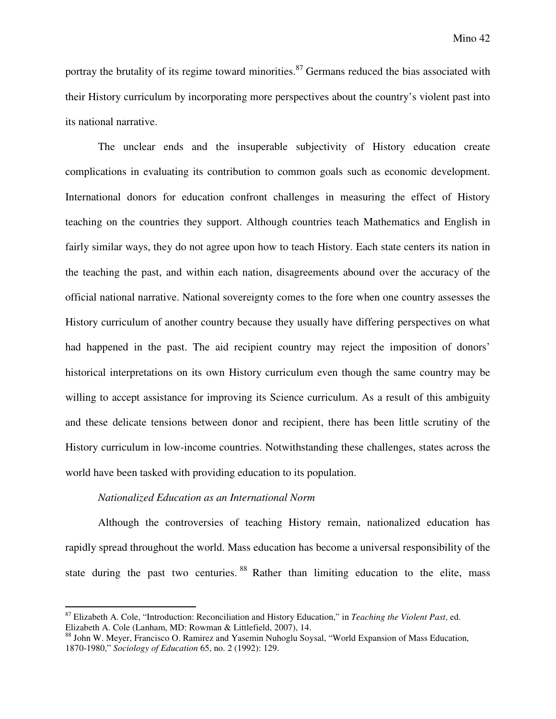portray the brutality of its regime toward minorities.<sup>87</sup> Germans reduced the bias associated with their History curriculum by incorporating more perspectives about the country's violent past into its national narrative.

The unclear ends and the insuperable subjectivity of History education create complications in evaluating its contribution to common goals such as economic development. International donors for education confront challenges in measuring the effect of History teaching on the countries they support. Although countries teach Mathematics and English in fairly similar ways, they do not agree upon how to teach History. Each state centers its nation in the teaching the past, and within each nation, disagreements abound over the accuracy of the official national narrative. National sovereignty comes to the fore when one country assesses the History curriculum of another country because they usually have differing perspectives on what had happened in the past. The aid recipient country may reject the imposition of donors' historical interpretations on its own History curriculum even though the same country may be willing to accept assistance for improving its Science curriculum. As a result of this ambiguity and these delicate tensions between donor and recipient, there has been little scrutiny of the History curriculum in low-income countries. Notwithstanding these challenges, states across the world have been tasked with providing education to its population.

# *Nationalized Education as an International Norm*

 $\overline{a}$ 

Although the controversies of teaching History remain, nationalized education has rapidly spread throughout the world. Mass education has become a universal responsibility of the state during the past two centuries. <sup>88</sup> Rather than limiting education to the elite, mass

<sup>87</sup> Elizabeth A. Cole, "Introduction: Reconciliation and History Education," in *Teaching the Violent Past*, ed. Elizabeth A. Cole (Lanham, MD: Rowman & Littlefield, 2007), 14.

<sup>&</sup>lt;sup>88</sup> John W. Meyer, Francisco O. Ramirez and Yasemin Nuhoglu Soysal, "World Expansion of Mass Education, 1870-1980," *Sociology of Education* 65, no. 2 (1992): 129.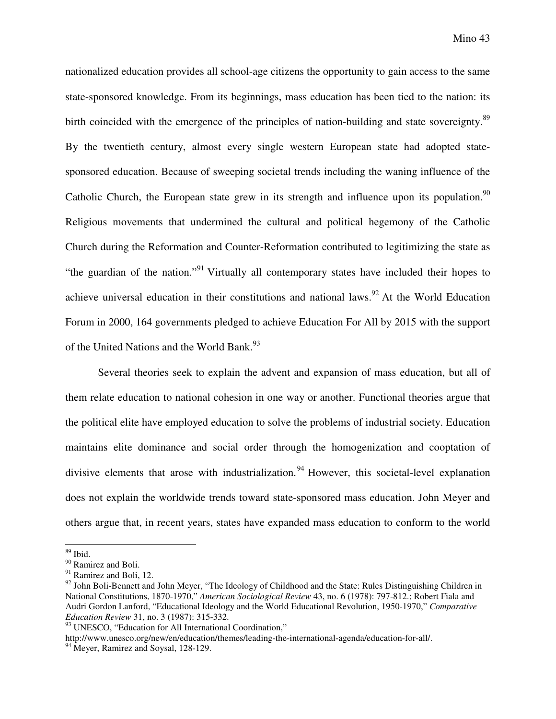nationalized education provides all school-age citizens the opportunity to gain access to the same state-sponsored knowledge. From its beginnings, mass education has been tied to the nation: its birth coincided with the emergence of the principles of nation-building and state sovereignty.<sup>89</sup> By the twentieth century, almost every single western European state had adopted statesponsored education. Because of sweeping societal trends including the waning influence of the Catholic Church, the European state grew in its strength and influence upon its population.<sup>90</sup> Religious movements that undermined the cultural and political hegemony of the Catholic Church during the Reformation and Counter-Reformation contributed to legitimizing the state as "the guardian of the nation."<sup>91</sup> Virtually all contemporary states have included their hopes to achieve universal education in their constitutions and national laws.<sup>92</sup> At the World Education Forum in 2000, 164 governments pledged to achieve Education For All by 2015 with the support of the United Nations and the World Bank.<sup>93</sup>

Several theories seek to explain the advent and expansion of mass education, but all of them relate education to national cohesion in one way or another. Functional theories argue that the political elite have employed education to solve the problems of industrial society. Education maintains elite dominance and social order through the homogenization and cooptation of divisive elements that arose with industrialization.<sup>94</sup> However, this societal-level explanation does not explain the worldwide trends toward state-sponsored mass education. John Meyer and others argue that, in recent years, states have expanded mass education to conform to the world

 $\overline{a}$ 

http://www.unesco.org/new/en/education/themes/leading-the-international-agenda/education-for-all/.

 $89$  Ibid.

<sup>90</sup> Ramirez and Boli.

<sup>&</sup>lt;sup>91</sup> Ramirez and Boli, 12.

<sup>&</sup>lt;sup>92</sup> John Boli-Bennett and John Meyer, "The Ideology of Childhood and the State: Rules Distinguishing Children in National Constitutions, 1870-1970," *American Sociological Review* 43, no. 6 (1978): 797-812.; Robert Fiala and Audri Gordon Lanford, "Educational Ideology and the World Educational Revolution, 1950-1970," *Comparative Education Review* 31, no. 3 (1987): 315-332.

<sup>&</sup>lt;sup>93</sup> UNESCO, "Education for All International Coordination,"

<sup>&</sup>lt;sup>94</sup> Meyer, Ramirez and Soysal, 128-129.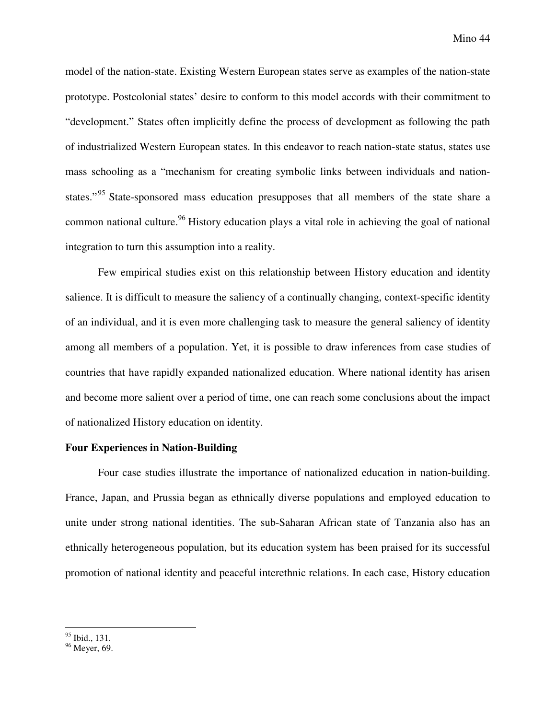model of the nation-state. Existing Western European states serve as examples of the nation-state prototype. Postcolonial states' desire to conform to this model accords with their commitment to "development." States often implicitly define the process of development as following the path of industrialized Western European states. In this endeavor to reach nation-state status, states use mass schooling as a "mechanism for creating symbolic links between individuals and nationstates."<sup>95</sup> State-sponsored mass education presupposes that all members of the state share a common national culture.<sup>96</sup> History education plays a vital role in achieving the goal of national integration to turn this assumption into a reality.

Few empirical studies exist on this relationship between History education and identity salience. It is difficult to measure the saliency of a continually changing, context-specific identity of an individual, and it is even more challenging task to measure the general saliency of identity among all members of a population. Yet, it is possible to draw inferences from case studies of countries that have rapidly expanded nationalized education. Where national identity has arisen and become more salient over a period of time, one can reach some conclusions about the impact of nationalized History education on identity.

# **Four Experiences in Nation-Building**

Four case studies illustrate the importance of nationalized education in nation-building. France, Japan, and Prussia began as ethnically diverse populations and employed education to unite under strong national identities. The sub-Saharan African state of Tanzania also has an ethnically heterogeneous population, but its education system has been praised for its successful promotion of national identity and peaceful interethnic relations. In each case, History education

<sup>&</sup>lt;sup>95</sup> Ibid., 131.

<sup>&</sup>lt;sup>96</sup> Meyer, 69.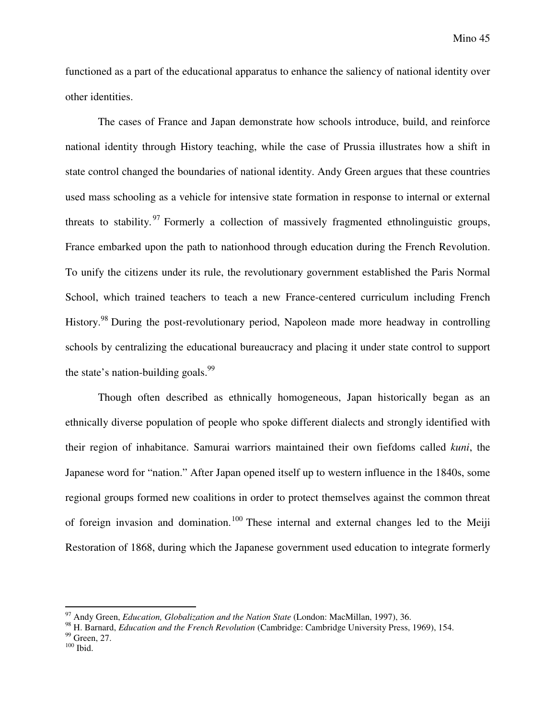functioned as a part of the educational apparatus to enhance the saliency of national identity over other identities.

The cases of France and Japan demonstrate how schools introduce, build, and reinforce national identity through History teaching, while the case of Prussia illustrates how a shift in state control changed the boundaries of national identity. Andy Green argues that these countries used mass schooling as a vehicle for intensive state formation in response to internal or external threats to stability. <sup>97</sup> Formerly a collection of massively fragmented ethnolinguistic groups, France embarked upon the path to nationhood through education during the French Revolution. To unify the citizens under its rule, the revolutionary government established the Paris Normal School, which trained teachers to teach a new France-centered curriculum including French History.<sup>98</sup> During the post-revolutionary period, Napoleon made more headway in controlling schools by centralizing the educational bureaucracy and placing it under state control to support the state's nation-building goals. $^{99}$ 

Though often described as ethnically homogeneous, Japan historically began as an ethnically diverse population of people who spoke different dialects and strongly identified with their region of inhabitance. Samurai warriors maintained their own fiefdoms called *kuni*, the Japanese word for "nation." After Japan opened itself up to western influence in the 1840s, some regional groups formed new coalitions in order to protect themselves against the common threat of foreign invasion and domination.<sup>100</sup> These internal and external changes led to the Meiji Restoration of 1868, during which the Japanese government used education to integrate formerly

 $99$  Green, 27.

<sup>97</sup> Andy Green, *Education, Globalization and the Nation State* (London: MacMillan, 1997), 36.

<sup>98</sup> H. Barnard, *Education and the French Revolution* (Cambridge: Cambridge University Press, 1969), 154.

 $^{100}$  Ibid.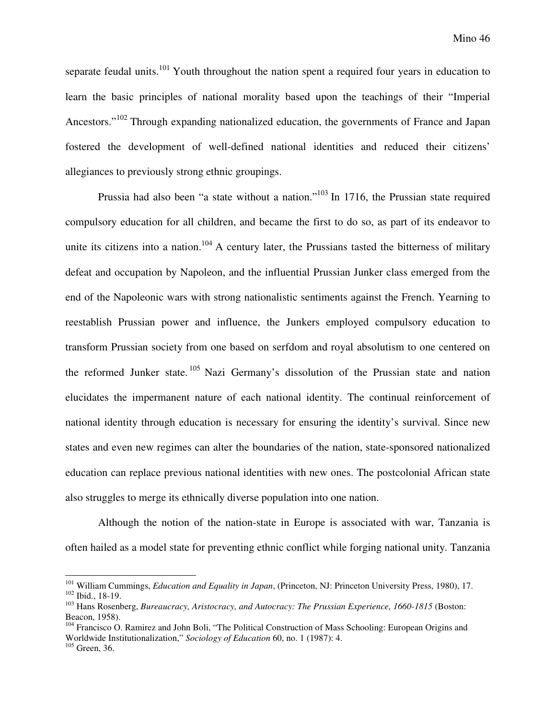separate feudal units.<sup>101</sup> Youth throughout the nation spent a required four years in education to learn the basic principles of national morality based upon the teachings of their "Imperial Ancestors."<sup>102</sup> Through expanding nationalized education, the governments of France and Japan fostered the development of well-defined national identities and reduced their citizens' allegiances to previously strong ethnic groupings.

Prussia had also been "a state without a nation."<sup>103</sup> In 1716, the Prussian state required compulsory education for all children, and became the first to do so, as part of its endeavor to unite its citizens into a nation.<sup>104</sup> A century later, the Prussians tasted the bitterness of military defeat and occupation by Napoleon, and the influential Prussian Junker class emerged from the end of the Napoleonic wars with strong nationalistic sentiments against the French. Yearning to reestablish Prussian power and influence, the Junkers employed compulsory education to transform Prussian society from one based on serfdom and royal absolutism to one centered on the reformed Junker state.<sup>105</sup> Nazi Germany's dissolution of the Prussian state and nation elucidates the impermanent nature of each national identity. The continual reinforcement of national identity through education is necessary for ensuring the identity's survival. Since new states and even new regimes can alter the boundaries of the nation, state-sponsored nationalized education can replace previous national identities with new ones. The postcolonial African state also struggles to merge its ethnically diverse population into one nation.

Although the notion of the nation-state in Europe is associated with war, Tanzania is often hailed as a model state for preventing ethnic conflict while forging national unity. Tanzania

<sup>101</sup> William Cummings, *Education and Equality in Japan*, (Princeton, NJ: Princeton University Press, 1980), 17. <sup>102</sup> Ibid., 18-19.

<sup>103</sup> Hans Rosenberg, *Bureaucracy, Aristocracy, and Autocracy: The Prussian Experience, 1660-1815* (Boston: Beacon, 1958).

<sup>&</sup>lt;sup>104</sup> Francisco O. Ramirez and John Boli, "The Political Construction of Mass Schooling: European Origins and Worldwide Institutionalization," *Sociology of Education* 60, no. 1 (1987): 4.

<sup>&</sup>lt;sup>105</sup> Green, 36.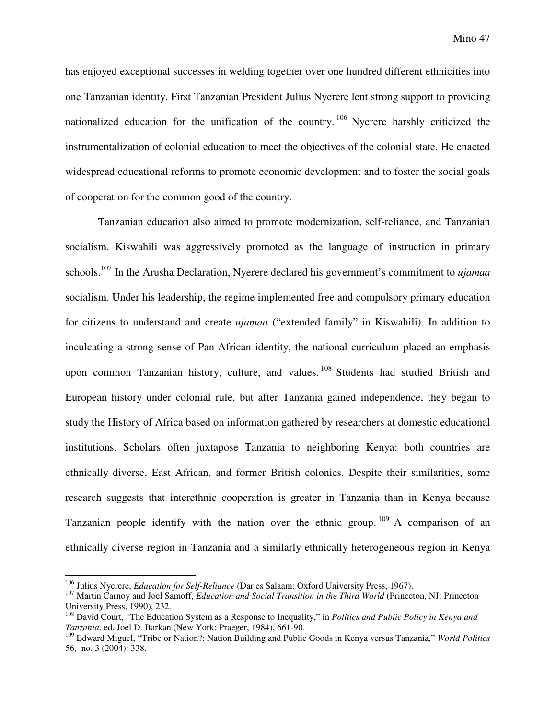has enjoyed exceptional successes in welding together over one hundred different ethnicities into one Tanzanian identity. First Tanzanian President Julius Nyerere lent strong support to providing nationalized education for the unification of the country.<sup>106</sup> Nyerere harshly criticized the instrumentalization of colonial education to meet the objectives of the colonial state. He enacted widespread educational reforms to promote economic development and to foster the social goals of cooperation for the common good of the country.

Tanzanian education also aimed to promote modernization, self-reliance, and Tanzanian socialism. Kiswahili was aggressively promoted as the language of instruction in primary schools.<sup>107</sup> In the Arusha Declaration, Nyerere declared his government's commitment to *ujamaa* socialism. Under his leadership, the regime implemented free and compulsory primary education for citizens to understand and create *ujamaa* ("extended family" in Kiswahili). In addition to inculcating a strong sense of Pan-African identity, the national curriculum placed an emphasis upon common Tanzanian history, culture, and values.<sup>108</sup> Students had studied British and European history under colonial rule, but after Tanzania gained independence, they began to study the History of Africa based on information gathered by researchers at domestic educational institutions. Scholars often juxtapose Tanzania to neighboring Kenya: both countries are ethnically diverse, East African, and former British colonies. Despite their similarities, some research suggests that interethnic cooperation is greater in Tanzania than in Kenya because Tanzanian people identify with the nation over the ethnic group.  $109$  A comparison of an ethnically diverse region in Tanzania and a similarly ethnically heterogeneous region in Kenya

<sup>106</sup> Julius Nyerere, *Education for Self-Reliance* (Dar es Salaam: Oxford University Press, 1967).

<sup>&</sup>lt;sup>107</sup> Martin Carnoy and Joel Samoff, *Education and Social Transition in the Third World* (Princeton, NJ: Princeton University Press, 1990), 232.

<sup>108</sup> David Court, "The Education System as a Response to Inequality," in *Politics and Public Policy in Kenya and Tanzania*, ed. Joel D. Barkan (New York: Praeger, 1984), 661-90.

<sup>109</sup> Edward Miguel, "Tribe or Nation?: Nation Building and Public Goods in Kenya versus Tanzania," *World Politics*  56, no. 3 (2004): 338.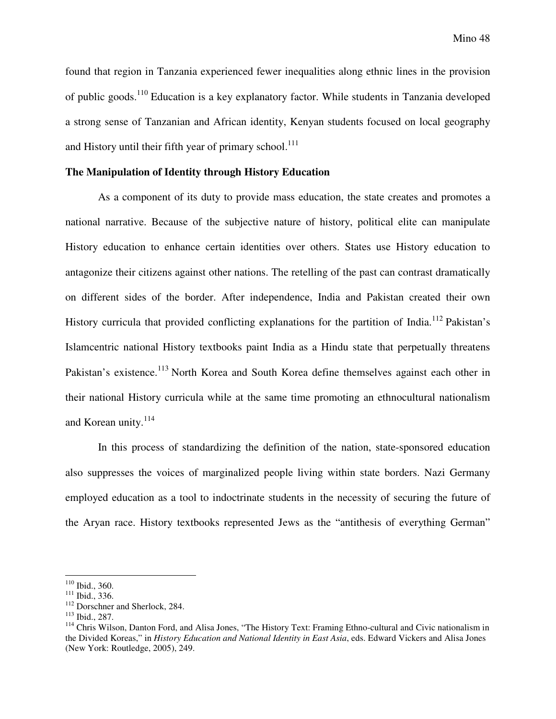found that region in Tanzania experienced fewer inequalities along ethnic lines in the provision of public goods.<sup>110</sup> Education is a key explanatory factor. While students in Tanzania developed a strong sense of Tanzanian and African identity, Kenyan students focused on local geography and History until their fifth year of primary school. $111$ 

# **The Manipulation of Identity through History Education**

As a component of its duty to provide mass education, the state creates and promotes a national narrative. Because of the subjective nature of history, political elite can manipulate History education to enhance certain identities over others. States use History education to antagonize their citizens against other nations. The retelling of the past can contrast dramatically on different sides of the border. After independence, India and Pakistan created their own History curricula that provided conflicting explanations for the partition of India.<sup>112</sup> Pakistan's Islamcentric national History textbooks paint India as a Hindu state that perpetually threatens Pakistan's existence.<sup>113</sup> North Korea and South Korea define themselves against each other in their national History curricula while at the same time promoting an ethnocultural nationalism and Korean unity.<sup>114</sup>

In this process of standardizing the definition of the nation, state-sponsored education also suppresses the voices of marginalized people living within state borders. Nazi Germany employed education as a tool to indoctrinate students in the necessity of securing the future of the Aryan race. History textbooks represented Jews as the "antithesis of everything German"

<sup>110</sup> Ibid., 360.

<sup>111</sup> Ibid., 336.

<sup>112</sup> Dorschner and Sherlock, 284.

<sup>113</sup> Ibid., 287.

<sup>&</sup>lt;sup>114</sup> Chris Wilson, Danton Ford, and Alisa Jones, "The History Text: Framing Ethno-cultural and Civic nationalism in the Divided Koreas," in *History Education and National Identity in East Asia*, eds. Edward Vickers and Alisa Jones (New York: Routledge, 2005), 249.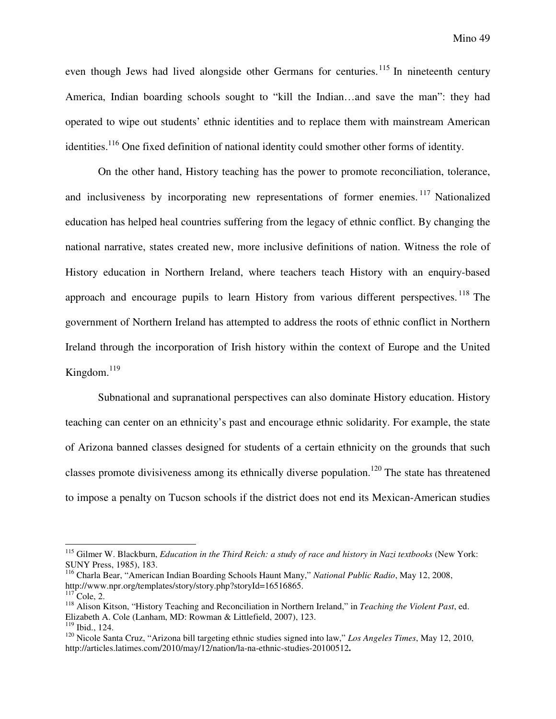even though Jews had lived alongside other Germans for centuries.<sup>115</sup> In nineteenth century America, Indian boarding schools sought to "kill the Indian…and save the man": they had operated to wipe out students' ethnic identities and to replace them with mainstream American identities.<sup>116</sup> One fixed definition of national identity could smother other forms of identity.

On the other hand, History teaching has the power to promote reconciliation, tolerance, and inclusiveness by incorporating new representations of former enemies.  $117$  Nationalized education has helped heal countries suffering from the legacy of ethnic conflict. By changing the national narrative, states created new, more inclusive definitions of nation. Witness the role of History education in Northern Ireland, where teachers teach History with an enquiry-based approach and encourage pupils to learn History from various different perspectives.<sup>118</sup> The government of Northern Ireland has attempted to address the roots of ethnic conflict in Northern Ireland through the incorporation of Irish history within the context of Europe and the United Kingdom. $119$ 

Subnational and supranational perspectives can also dominate History education. History teaching can center on an ethnicity's past and encourage ethnic solidarity. For example, the state of Arizona banned classes designed for students of a certain ethnicity on the grounds that such classes promote divisiveness among its ethnically diverse population.<sup>120</sup> The state has threatened to impose a penalty on Tucson schools if the district does not end its Mexican-American studies

<sup>115</sup> Gilmer W. Blackburn, *Education in the Third Reich: a study of race and history in Nazi textbooks* (New York: SUNY Press, 1985), 183.

<sup>116</sup> Charla Bear, "American Indian Boarding Schools Haunt Many," *National Public Radio*, May 12, 2008, http://www.npr.org/templates/story/story.php?storyId=16516865.

 $117$  Cole, 2.

<sup>118</sup> Alison Kitson, "History Teaching and Reconciliation in Northern Ireland," in *Teaching the Violent Past*, ed. Elizabeth A. Cole (Lanham, MD: Rowman & Littlefield, 2007), 123. <sup>119</sup> Ibid., 124.

<sup>120</sup> Nicole Santa Cruz, "Arizona bill targeting ethnic studies signed into law," *Los Angeles Times*, May 12, 2010, http://articles.latimes.com/2010/may/12/nation/la-na-ethnic-studies-20100512**.**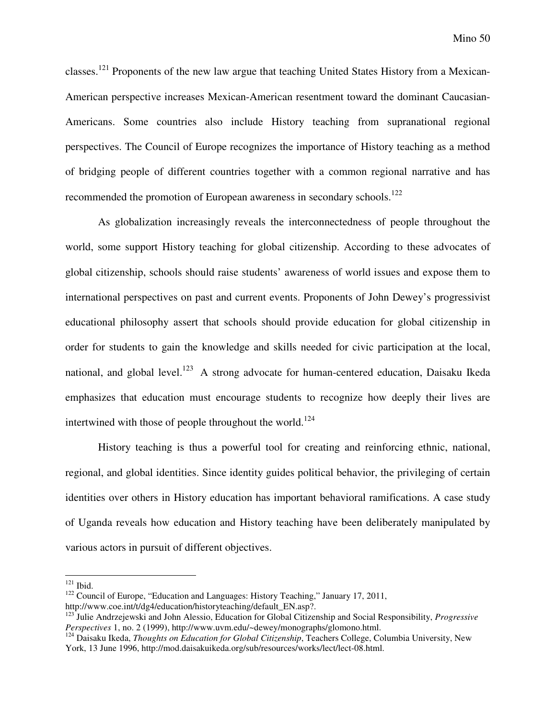classes.<sup>121</sup> Proponents of the new law argue that teaching United States History from a Mexican-American perspective increases Mexican-American resentment toward the dominant Caucasian-Americans. Some countries also include History teaching from supranational regional perspectives. The Council of Europe recognizes the importance of History teaching as a method of bridging people of different countries together with a common regional narrative and has recommended the promotion of European awareness in secondary schools.<sup>122</sup>

As globalization increasingly reveals the interconnectedness of people throughout the world, some support History teaching for global citizenship. According to these advocates of global citizenship, schools should raise students' awareness of world issues and expose them to international perspectives on past and current events. Proponents of John Dewey's progressivist educational philosophy assert that schools should provide education for global citizenship in order for students to gain the knowledge and skills needed for civic participation at the local, national, and global level.<sup>123</sup> A strong advocate for human-centered education, Daisaku Ikeda emphasizes that education must encourage students to recognize how deeply their lives are intertwined with those of people throughout the world.<sup>124</sup>

History teaching is thus a powerful tool for creating and reinforcing ethnic, national, regional, and global identities. Since identity guides political behavior, the privileging of certain identities over others in History education has important behavioral ramifications. A case study of Uganda reveals how education and History teaching have been deliberately manipulated by various actors in pursuit of different objectives.

 $121$  Ibid.

<sup>&</sup>lt;sup>122</sup> Council of Europe, "Education and Languages: History Teaching," January 17, 2011, http://www.coe.int/t/dg4/education/historyteaching/default\_EN.asp?.

<sup>123</sup> Julie Andrzejewski and John Alessio, Education for Global Citizenship and Social Responsibility, *Progressive* 

*Perspectives* 1, no. 2 (1999), http://www.uvm.edu/~dewey/monographs/glomono.html.

<sup>&</sup>lt;sup>124</sup> Daisaku Ikeda, *Thoughts on Education for Global Citizenship*, Teachers College, Columbia University, New York, 13 June 1996, http://mod.daisakuikeda.org/sub/resources/works/lect/lect-08.html.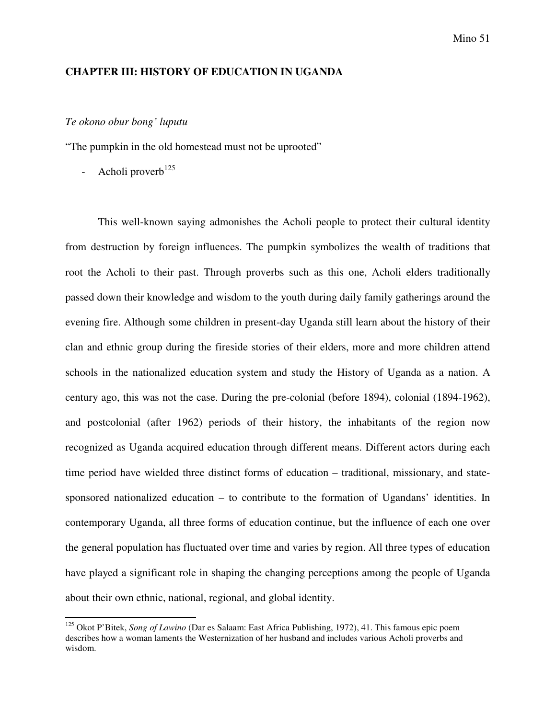# **CHAPTER III: HISTORY OF EDUCATION IN UGANDA**

# *Te okono obur bong' luputu*

"The pumpkin in the old homestead must not be uprooted"

Acholi proverb<sup>125</sup>

l

This well-known saying admonishes the Acholi people to protect their cultural identity from destruction by foreign influences. The pumpkin symbolizes the wealth of traditions that root the Acholi to their past. Through proverbs such as this one, Acholi elders traditionally passed down their knowledge and wisdom to the youth during daily family gatherings around the evening fire. Although some children in present-day Uganda still learn about the history of their clan and ethnic group during the fireside stories of their elders, more and more children attend schools in the nationalized education system and study the History of Uganda as a nation. A century ago, this was not the case. During the pre-colonial (before 1894), colonial (1894-1962), and postcolonial (after 1962) periods of their history, the inhabitants of the region now recognized as Uganda acquired education through different means. Different actors during each time period have wielded three distinct forms of education – traditional, missionary, and statesponsored nationalized education – to contribute to the formation of Ugandans' identities. In contemporary Uganda, all three forms of education continue, but the influence of each one over the general population has fluctuated over time and varies by region. All three types of education have played a significant role in shaping the changing perceptions among the people of Uganda about their own ethnic, national, regional, and global identity.

<sup>125</sup> Okot P'Bitek, *Song of Lawino* (Dar es Salaam: East Africa Publishing, 1972), 41. This famous epic poem describes how a woman laments the Westernization of her husband and includes various Acholi proverbs and wisdom.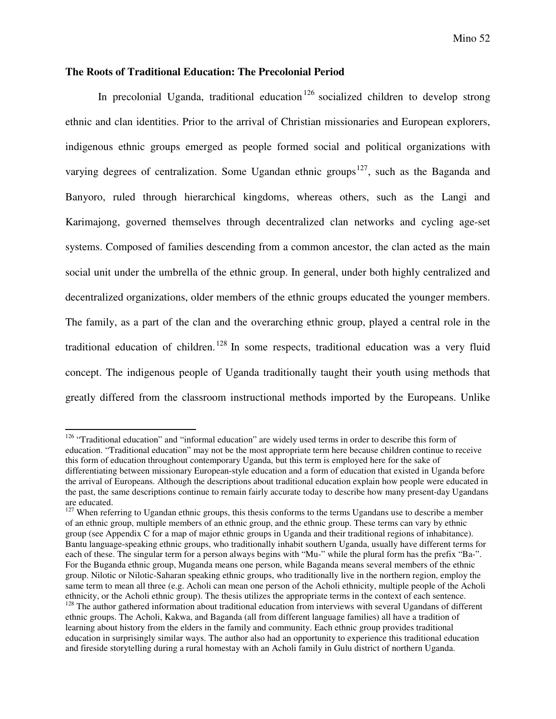# **The Roots of Traditional Education: The Precolonial Period**

l

In precolonial Uganda, traditional education<sup>126</sup> socialized children to develop strong ethnic and clan identities. Prior to the arrival of Christian missionaries and European explorers, indigenous ethnic groups emerged as people formed social and political organizations with varying degrees of centralization. Some Ugandan ethnic groups<sup>127</sup>, such as the Baganda and Banyoro, ruled through hierarchical kingdoms, whereas others, such as the Langi and Karimajong, governed themselves through decentralized clan networks and cycling age-set systems. Composed of families descending from a common ancestor, the clan acted as the main social unit under the umbrella of the ethnic group. In general, under both highly centralized and decentralized organizations, older members of the ethnic groups educated the younger members. The family, as a part of the clan and the overarching ethnic group, played a central role in the traditional education of children.<sup>128</sup> In some respects, traditional education was a very fluid concept. The indigenous people of Uganda traditionally taught their youth using methods that greatly differed from the classroom instructional methods imported by the Europeans. Unlike

<sup>&</sup>lt;sup>126</sup> "Traditional education" and "informal education" are widely used terms in order to describe this form of education. "Traditional education" may not be the most appropriate term here because children continue to receive this form of education throughout contemporary Uganda, but this term is employed here for the sake of differentiating between missionary European-style education and a form of education that existed in Uganda before the arrival of Europeans. Although the descriptions about traditional education explain how people were educated in the past, the same descriptions continue to remain fairly accurate today to describe how many present-day Ugandans are educated.

 $127$  When referring to Ugandan ethnic groups, this thesis conforms to the terms Ugandans use to describe a member of an ethnic group, multiple members of an ethnic group, and the ethnic group. These terms can vary by ethnic group (see Appendix C for a map of major ethnic groups in Uganda and their traditional regions of inhabitance). Bantu language-speaking ethnic groups, who traditionally inhabit southern Uganda, usually have different terms for each of these. The singular term for a person always begins with "Mu-" while the plural form has the prefix "Ba-". For the Buganda ethnic group, Muganda means one person, while Baganda means several members of the ethnic group. Nilotic or Nilotic-Saharan speaking ethnic groups, who traditionally live in the northern region, employ the same term to mean all three (e.g. Acholi can mean one person of the Acholi ethnicity, multiple people of the Acholi ethnicity, or the Acholi ethnic group). The thesis utilizes the appropriate terms in the context of each sentence. <sup>128</sup> The author gathered information about traditional education from interviews with several Ugandans of different ethnic groups. The Acholi, Kakwa, and Baganda (all from different language families) all have a tradition of learning about history from the elders in the family and community. Each ethnic group provides traditional education in surprisingly similar ways. The author also had an opportunity to experience this traditional education and fireside storytelling during a rural homestay with an Acholi family in Gulu district of northern Uganda.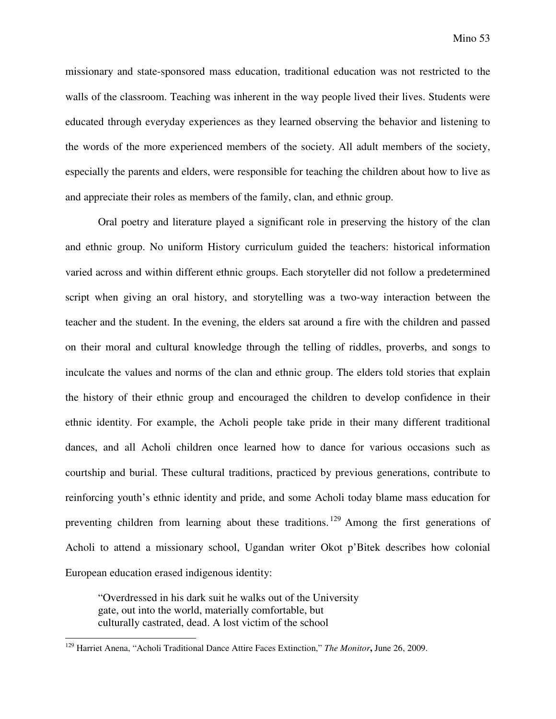missionary and state-sponsored mass education, traditional education was not restricted to the walls of the classroom. Teaching was inherent in the way people lived their lives. Students were educated through everyday experiences as they learned observing the behavior and listening to the words of the more experienced members of the society. All adult members of the society, especially the parents and elders, were responsible for teaching the children about how to live as and appreciate their roles as members of the family, clan, and ethnic group.

Oral poetry and literature played a significant role in preserving the history of the clan and ethnic group. No uniform History curriculum guided the teachers: historical information varied across and within different ethnic groups. Each storyteller did not follow a predetermined script when giving an oral history, and storytelling was a two-way interaction between the teacher and the student. In the evening, the elders sat around a fire with the children and passed on their moral and cultural knowledge through the telling of riddles, proverbs, and songs to inculcate the values and norms of the clan and ethnic group. The elders told stories that explain the history of their ethnic group and encouraged the children to develop confidence in their ethnic identity. For example, the Acholi people take pride in their many different traditional dances, and all Acholi children once learned how to dance for various occasions such as courtship and burial. These cultural traditions, practiced by previous generations, contribute to reinforcing youth's ethnic identity and pride, and some Acholi today blame mass education for preventing children from learning about these traditions.<sup>129</sup> Among the first generations of Acholi to attend a missionary school, Ugandan writer Okot p'Bitek describes how colonial European education erased indigenous identity:

 "Overdressed in his dark suit he walks out of the University gate, out into the world, materially comfortable, but culturally castrated, dead. A lost victim of the school

<sup>129</sup> Harriet Anena, "Acholi Traditional Dance Attire Faces Extinction," *The Monitor***,** June 26, 2009.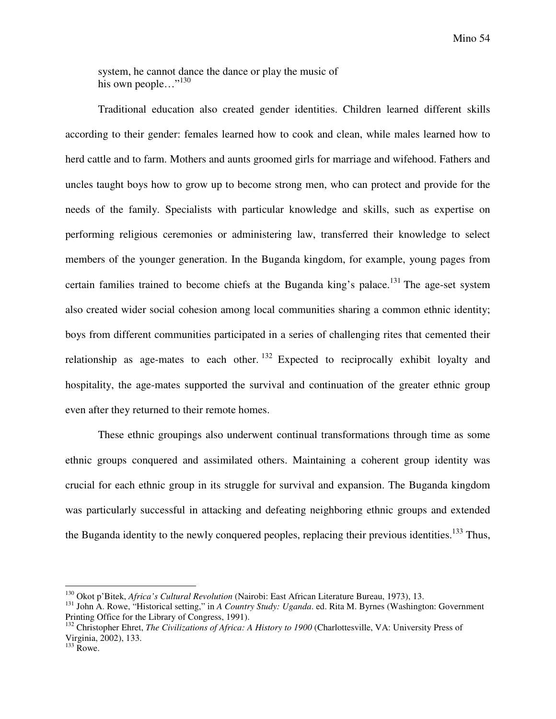system, he cannot dance the dance or play the music of his own people…"<sup>130</sup>

Traditional education also created gender identities. Children learned different skills according to their gender: females learned how to cook and clean, while males learned how to herd cattle and to farm. Mothers and aunts groomed girls for marriage and wifehood. Fathers and uncles taught boys how to grow up to become strong men, who can protect and provide for the needs of the family. Specialists with particular knowledge and skills, such as expertise on performing religious ceremonies or administering law, transferred their knowledge to select members of the younger generation. In the Buganda kingdom, for example, young pages from certain families trained to become chiefs at the Buganda king's palace.<sup>131</sup> The age-set system also created wider social cohesion among local communities sharing a common ethnic identity; boys from different communities participated in a series of challenging rites that cemented their relationship as age-mates to each other.  $132$  Expected to reciprocally exhibit loyalty and hospitality, the age-mates supported the survival and continuation of the greater ethnic group even after they returned to their remote homes.

These ethnic groupings also underwent continual transformations through time as some ethnic groups conquered and assimilated others. Maintaining a coherent group identity was crucial for each ethnic group in its struggle for survival and expansion. The Buganda kingdom was particularly successful in attacking and defeating neighboring ethnic groups and extended the Buganda identity to the newly conquered peoples, replacing their previous identities.<sup>133</sup> Thus,

<sup>130</sup> Okot p'Bitek, *Africa's Cultural Revolution* (Nairobi: East African Literature Bureau, 1973), 13.

<sup>131</sup> John A. Rowe, "Historical setting," in *A Country Study: Uganda*. ed. Rita M. Byrnes (Washington: Government Printing Office for the Library of Congress, 1991).

<sup>&</sup>lt;sup>132</sup> Christopher Ehret, *The Civilizations of Africa: A History to 1900* (Charlottesville, VA: University Press of Virginia, 2002), 133.

 $133$  Rowe.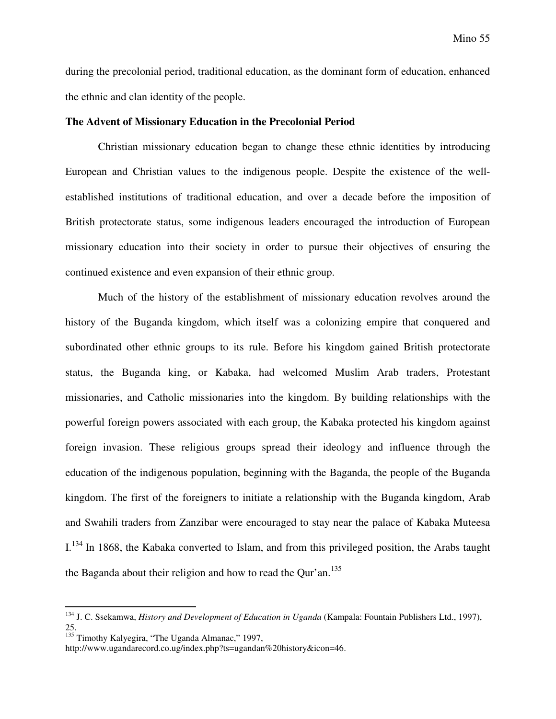during the precolonial period, traditional education, as the dominant form of education, enhanced the ethnic and clan identity of the people.

# **The Advent of Missionary Education in the Precolonial Period**

Christian missionary education began to change these ethnic identities by introducing European and Christian values to the indigenous people. Despite the existence of the wellestablished institutions of traditional education, and over a decade before the imposition of British protectorate status, some indigenous leaders encouraged the introduction of European missionary education into their society in order to pursue their objectives of ensuring the continued existence and even expansion of their ethnic group.

Much of the history of the establishment of missionary education revolves around the history of the Buganda kingdom, which itself was a colonizing empire that conquered and subordinated other ethnic groups to its rule. Before his kingdom gained British protectorate status, the Buganda king, or Kabaka, had welcomed Muslim Arab traders, Protestant missionaries, and Catholic missionaries into the kingdom. By building relationships with the powerful foreign powers associated with each group, the Kabaka protected his kingdom against foreign invasion. These religious groups spread their ideology and influence through the education of the indigenous population, beginning with the Baganda, the people of the Buganda kingdom. The first of the foreigners to initiate a relationship with the Buganda kingdom, Arab and Swahili traders from Zanzibar were encouraged to stay near the palace of Kabaka Muteesa I.<sup>134</sup> In 1868, the Kabaka converted to Islam, and from this privileged position, the Arabs taught the Baganda about their religion and how to read the Qur'an.<sup>135</sup>

<sup>134</sup> J. C. Ssekamwa, *History and Development of Education in Uganda* (Kampala: Fountain Publishers Ltd., 1997), 25.

<sup>&</sup>lt;sup>135</sup> Timothy Kalyegira, "The Uganda Almanac," 1997,

http://www.ugandarecord.co.ug/index.php?ts=ugandan%20history&icon=46.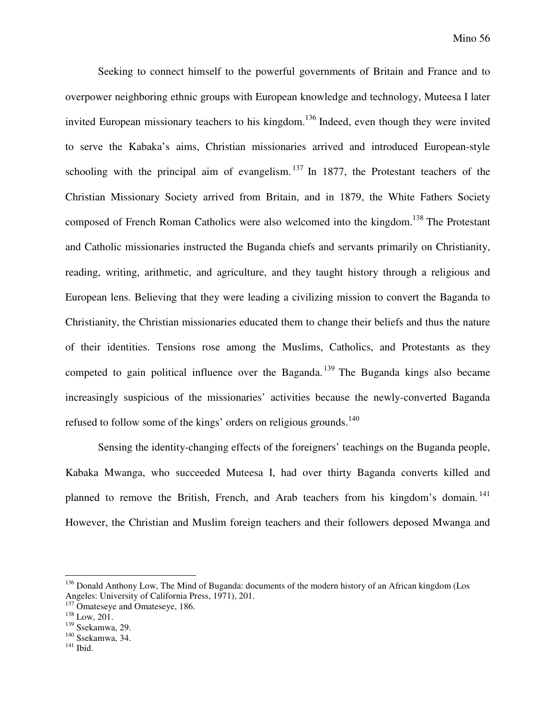Seeking to connect himself to the powerful governments of Britain and France and to overpower neighboring ethnic groups with European knowledge and technology, Muteesa I later invited European missionary teachers to his kingdom.<sup>136</sup> Indeed, even though they were invited to serve the Kabaka's aims, Christian missionaries arrived and introduced European-style schooling with the principal aim of evangelism.  $137$  In 1877, the Protestant teachers of the Christian Missionary Society arrived from Britain, and in 1879, the White Fathers Society composed of French Roman Catholics were also welcomed into the kingdom.<sup>138</sup> The Protestant and Catholic missionaries instructed the Buganda chiefs and servants primarily on Christianity, reading, writing, arithmetic, and agriculture, and they taught history through a religious and European lens. Believing that they were leading a civilizing mission to convert the Baganda to Christianity, the Christian missionaries educated them to change their beliefs and thus the nature of their identities. Tensions rose among the Muslims, Catholics, and Protestants as they competed to gain political influence over the Baganda. <sup>139</sup> The Buganda kings also became increasingly suspicious of the missionaries' activities because the newly-converted Baganda refused to follow some of the kings' orders on religious grounds.<sup>140</sup>

Sensing the identity-changing effects of the foreigners' teachings on the Buganda people, Kabaka Mwanga, who succeeded Muteesa I, had over thirty Baganda converts killed and planned to remove the British, French, and Arab teachers from his kingdom's domain.<sup>141</sup> However, the Christian and Muslim foreign teachers and their followers deposed Mwanga and

<sup>&</sup>lt;sup>136</sup> Donald Anthony Low, The Mind of Buganda: documents of the modern history of an African kingdom (Los Angeles: University of California Press, 1971), 201.

<sup>&</sup>lt;sup>137</sup> Omateseye and Omateseye, 186.

<sup>138</sup> Low, 201.

<sup>139</sup> Ssekamwa, 29.

<sup>&</sup>lt;sup>140</sup> Ssekamwa, 34.

<sup>&</sup>lt;sup>141</sup> Ibid.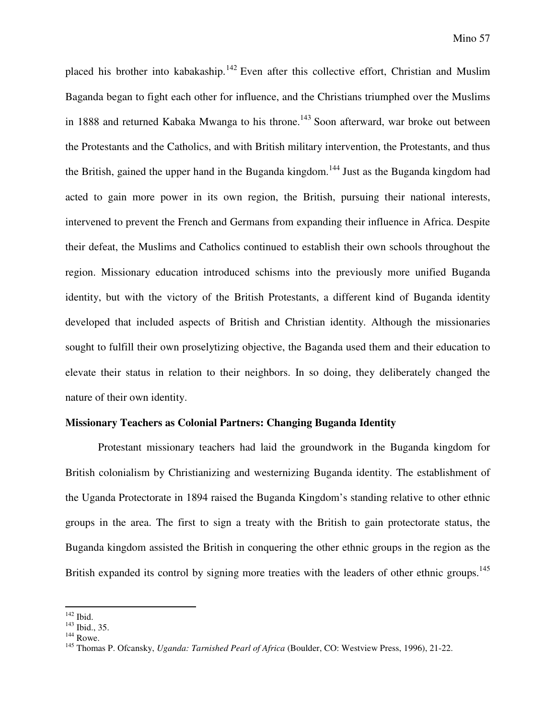placed his brother into kabakaship.<sup>142</sup> Even after this collective effort, Christian and Muslim Baganda began to fight each other for influence, and the Christians triumphed over the Muslims in 1888 and returned Kabaka Mwanga to his throne.<sup>143</sup> Soon afterward, war broke out between the Protestants and the Catholics, and with British military intervention, the Protestants, and thus the British, gained the upper hand in the Buganda kingdom.<sup>144</sup> Just as the Buganda kingdom had acted to gain more power in its own region, the British, pursuing their national interests, intervened to prevent the French and Germans from expanding their influence in Africa. Despite their defeat, the Muslims and Catholics continued to establish their own schools throughout the region. Missionary education introduced schisms into the previously more unified Buganda identity, but with the victory of the British Protestants, a different kind of Buganda identity developed that included aspects of British and Christian identity. Although the missionaries sought to fulfill their own proselytizing objective, the Baganda used them and their education to elevate their status in relation to their neighbors. In so doing, they deliberately changed the nature of their own identity.

# **Missionary Teachers as Colonial Partners: Changing Buganda Identity**

Protestant missionary teachers had laid the groundwork in the Buganda kingdom for British colonialism by Christianizing and westernizing Buganda identity. The establishment of the Uganda Protectorate in 1894 raised the Buganda Kingdom's standing relative to other ethnic groups in the area. The first to sign a treaty with the British to gain protectorate status, the Buganda kingdom assisted the British in conquering the other ethnic groups in the region as the British expanded its control by signing more treaties with the leaders of other ethnic groups.<sup>145</sup>

<sup>142</sup> Ibid.

 $143$  Ibid., 35.

 $^{144}$  Rowe.

<sup>145</sup> Thomas P. Ofcansky, *Uganda: Tarnished Pearl of Africa* (Boulder, CO: Westview Press, 1996), 21-22.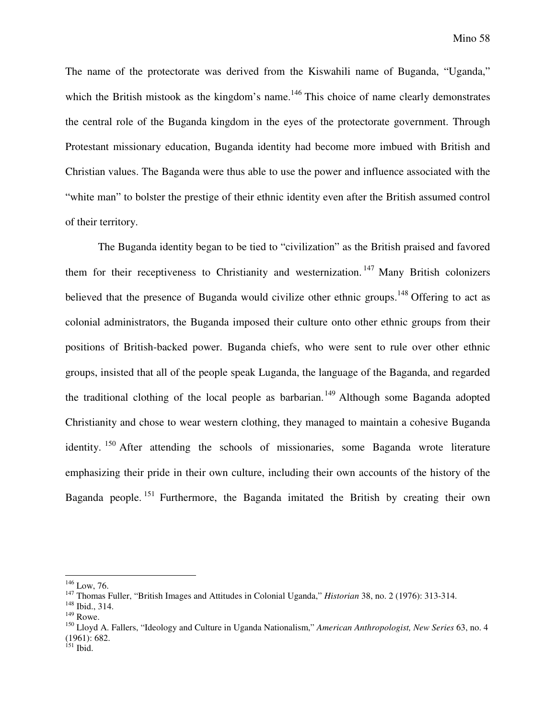The name of the protectorate was derived from the Kiswahili name of Buganda, "Uganda," which the British mistook as the kingdom's name.<sup>146</sup> This choice of name clearly demonstrates the central role of the Buganda kingdom in the eyes of the protectorate government. Through Protestant missionary education, Buganda identity had become more imbued with British and Christian values. The Baganda were thus able to use the power and influence associated with the "white man" to bolster the prestige of their ethnic identity even after the British assumed control of their territory.

The Buganda identity began to be tied to "civilization" as the British praised and favored them for their receptiveness to Christianity and westernization.  $147$  Many British colonizers believed that the presence of Buganda would civilize other ethnic groups.<sup>148</sup> Offering to act as colonial administrators, the Buganda imposed their culture onto other ethnic groups from their positions of British-backed power. Buganda chiefs, who were sent to rule over other ethnic groups, insisted that all of the people speak Luganda, the language of the Baganda, and regarded the traditional clothing of the local people as barbarian.<sup>149</sup> Although some Baganda adopted Christianity and chose to wear western clothing, they managed to maintain a cohesive Buganda identity. <sup>150</sup> After attending the schools of missionaries, some Baganda wrote literature emphasizing their pride in their own culture, including their own accounts of the history of the Baganda people.<sup>151</sup> Furthermore, the Baganda imitated the British by creating their own

 $\overline{a}$ 

<sup>148</sup> Ibid., 314.

<sup>146</sup> Low, 76.

<sup>147</sup> Thomas Fuller, "British Images and Attitudes in Colonial Uganda," *Historian* 38, no. 2 (1976): 313-314.

 $149$  Rowe.

<sup>150</sup> Lloyd A. Fallers, "Ideology and Culture in Uganda Nationalism," *American Anthropologist, New Series* 63, no. 4 (1961): 682.

 $^{151}$  Ibid.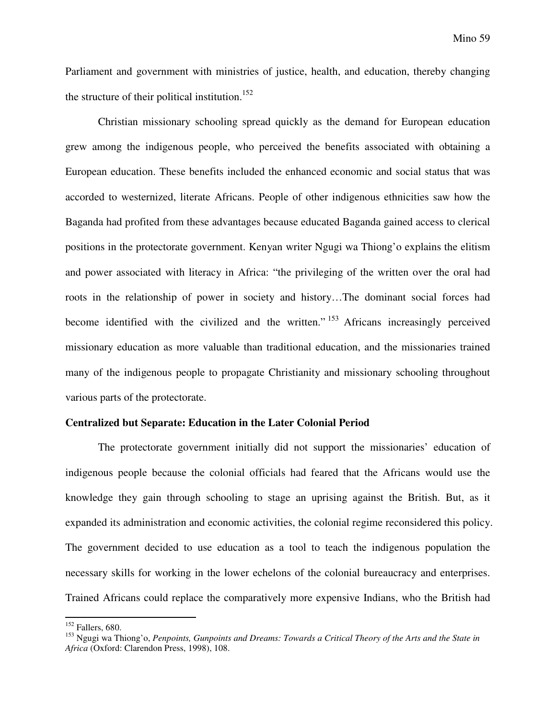Parliament and government with ministries of justice, health, and education, thereby changing the structure of their political institution.<sup>152</sup>

Christian missionary schooling spread quickly as the demand for European education grew among the indigenous people, who perceived the benefits associated with obtaining a European education. These benefits included the enhanced economic and social status that was accorded to westernized, literate Africans. People of other indigenous ethnicities saw how the Baganda had profited from these advantages because educated Baganda gained access to clerical positions in the protectorate government. Kenyan writer Ngugi wa Thiong'o explains the elitism and power associated with literacy in Africa: "the privileging of the written over the oral had roots in the relationship of power in society and history…The dominant social forces had become identified with the civilized and the written." <sup>153</sup> Africans increasingly perceived missionary education as more valuable than traditional education, and the missionaries trained many of the indigenous people to propagate Christianity and missionary schooling throughout various parts of the protectorate.

# **Centralized but Separate: Education in the Later Colonial Period**

The protectorate government initially did not support the missionaries' education of indigenous people because the colonial officials had feared that the Africans would use the knowledge they gain through schooling to stage an uprising against the British. But, as it expanded its administration and economic activities, the colonial regime reconsidered this policy. The government decided to use education as a tool to teach the indigenous population the necessary skills for working in the lower echelons of the colonial bureaucracy and enterprises. Trained Africans could replace the comparatively more expensive Indians, who the British had

 $152$  Fallers, 680.

<sup>153</sup> Ngugi wa Thiong'o, *Penpoints, Gunpoints and Dreams: Towards a Critical Theory of the Arts and the State in Africa* (Oxford: Clarendon Press, 1998), 108.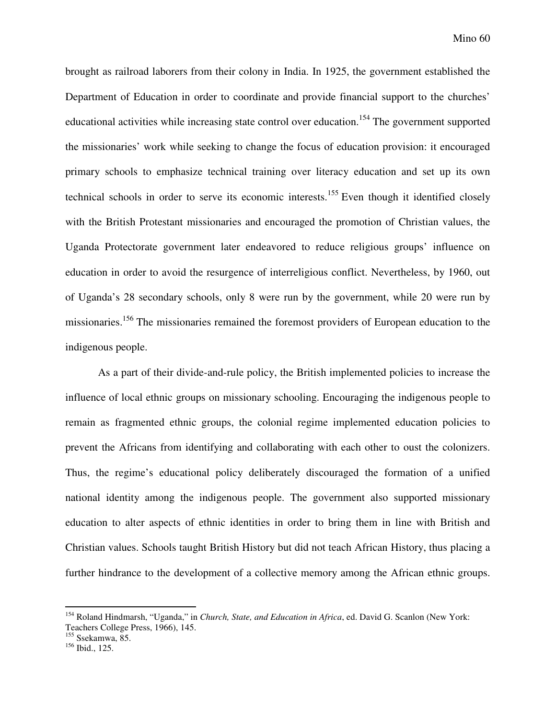brought as railroad laborers from their colony in India. In 1925, the government established the Department of Education in order to coordinate and provide financial support to the churches' educational activities while increasing state control over education.<sup>154</sup> The government supported the missionaries' work while seeking to change the focus of education provision: it encouraged primary schools to emphasize technical training over literacy education and set up its own technical schools in order to serve its economic interests.<sup>155</sup> Even though it identified closely with the British Protestant missionaries and encouraged the promotion of Christian values, the Uganda Protectorate government later endeavored to reduce religious groups' influence on education in order to avoid the resurgence of interreligious conflict. Nevertheless, by 1960, out of Uganda's 28 secondary schools, only 8 were run by the government, while 20 were run by missionaries.<sup>156</sup> The missionaries remained the foremost providers of European education to the indigenous people.

As a part of their divide-and-rule policy, the British implemented policies to increase the influence of local ethnic groups on missionary schooling. Encouraging the indigenous people to remain as fragmented ethnic groups, the colonial regime implemented education policies to prevent the Africans from identifying and collaborating with each other to oust the colonizers. Thus, the regime's educational policy deliberately discouraged the formation of a unified national identity among the indigenous people. The government also supported missionary education to alter aspects of ethnic identities in order to bring them in line with British and Christian values. Schools taught British History but did not teach African History, thus placing a further hindrance to the development of a collective memory among the African ethnic groups.

<sup>154</sup> Roland Hindmarsh, "Uganda," in *Church, State, and Education in Africa*, ed. David G. Scanlon (New York: Teachers College Press, 1966), 145.

<sup>&</sup>lt;sup>155</sup> Ssekamwa, 85.

<sup>156</sup> Ibid., 125.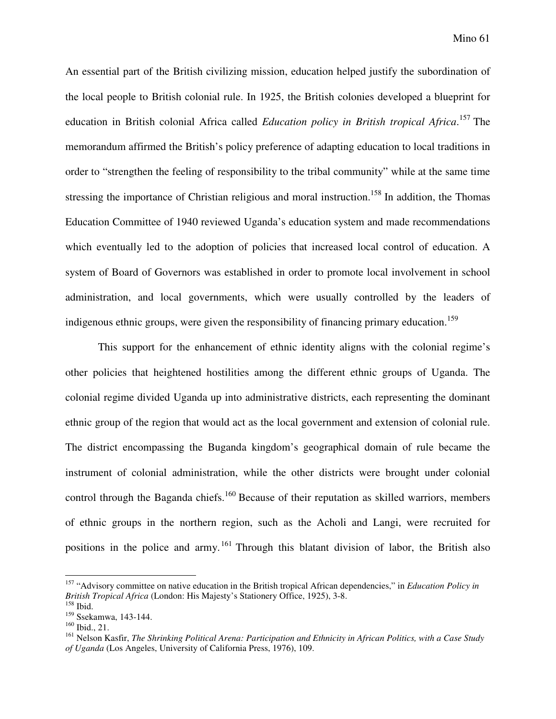An essential part of the British civilizing mission, education helped justify the subordination of the local people to British colonial rule. In 1925, the British colonies developed a blueprint for education in British colonial Africa called *Education policy in British tropical Africa*. <sup>157</sup> The memorandum affirmed the British's policy preference of adapting education to local traditions in order to "strengthen the feeling of responsibility to the tribal community" while at the same time stressing the importance of Christian religious and moral instruction.<sup>158</sup> In addition, the Thomas Education Committee of 1940 reviewed Uganda's education system and made recommendations which eventually led to the adoption of policies that increased local control of education. A system of Board of Governors was established in order to promote local involvement in school administration, and local governments, which were usually controlled by the leaders of indigenous ethnic groups, were given the responsibility of financing primary education.<sup>159</sup>

This support for the enhancement of ethnic identity aligns with the colonial regime's other policies that heightened hostilities among the different ethnic groups of Uganda. The colonial regime divided Uganda up into administrative districts, each representing the dominant ethnic group of the region that would act as the local government and extension of colonial rule. The district encompassing the Buganda kingdom's geographical domain of rule became the instrument of colonial administration, while the other districts were brought under colonial control through the Baganda chiefs.<sup>160</sup> Because of their reputation as skilled warriors, members of ethnic groups in the northern region, such as the Acholi and Langi, were recruited for positions in the police and army. <sup>161</sup> Through this blatant division of labor, the British also

<sup>157</sup> "Advisory committee on native education in the British tropical African dependencies," in *Education Policy in British Tropical Africa* (London: His Majesty's Stationery Office, 1925), 3-8.

<sup>158</sup> Ibid.

<sup>159</sup> Ssekamwa, 143-144.

<sup>160</sup> Ibid., 21.

<sup>161</sup> Nelson Kasfir, *The Shrinking Political Arena: Participation and Ethnicity in African Politics, with a Case Study of Uganda* (Los Angeles, University of California Press, 1976), 109.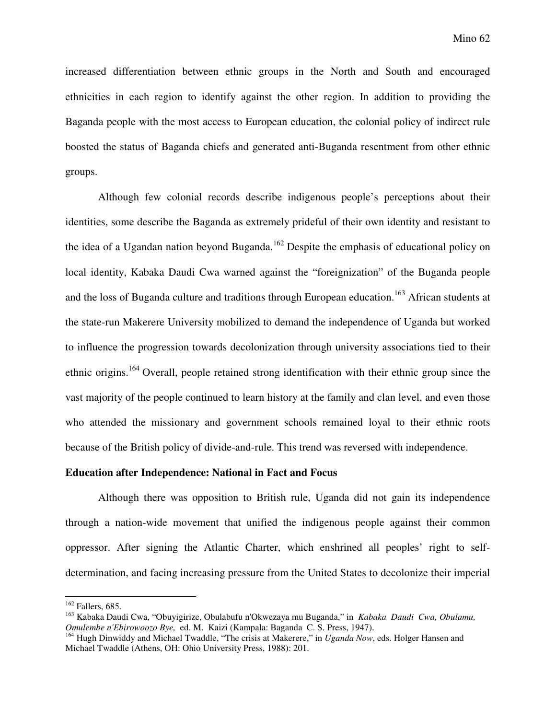increased differentiation between ethnic groups in the North and South and encouraged ethnicities in each region to identify against the other region. In addition to providing the Baganda people with the most access to European education, the colonial policy of indirect rule boosted the status of Baganda chiefs and generated anti-Buganda resentment from other ethnic groups.

Although few colonial records describe indigenous people's perceptions about their identities, some describe the Baganda as extremely prideful of their own identity and resistant to the idea of a Ugandan nation beyond Buganda.<sup>162</sup> Despite the emphasis of educational policy on local identity, Kabaka Daudi Cwa warned against the "foreignization" of the Buganda people and the loss of Buganda culture and traditions through European education.<sup>163</sup> African students at the state-run Makerere University mobilized to demand the independence of Uganda but worked to influence the progression towards decolonization through university associations tied to their ethnic origins.<sup>164</sup> Overall, people retained strong identification with their ethnic group since the vast majority of the people continued to learn history at the family and clan level, and even those who attended the missionary and government schools remained loyal to their ethnic roots because of the British policy of divide-and-rule. This trend was reversed with independence.

### **Education after Independence: National in Fact and Focus**

Although there was opposition to British rule, Uganda did not gain its independence through a nation-wide movement that unified the indigenous people against their common oppressor. After signing the Atlantic Charter, which enshrined all peoples' right to selfdetermination, and facing increasing pressure from the United States to decolonize their imperial

 $162$  Fallers, 685.

<sup>163</sup> Kabaka Daudi Cwa, "Obuyigirize, Obulabufu n'Okwezaya mu Buganda," in *Kabaka Daudi Cwa, Obulamu, Omulembe n'Ebirowoozo Bye,* ed. M. Kaizi (Kampala: Baganda C. S. Press, 1947).

<sup>164</sup> Hugh Dinwiddy and Michael Twaddle, "The crisis at Makerere," in *Uganda Now*, eds. Holger Hansen and Michael Twaddle (Athens, OH: Ohio University Press, 1988): 201.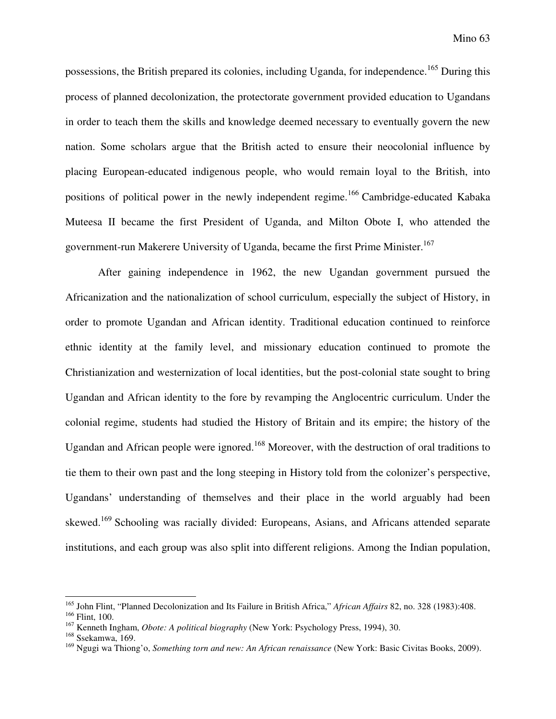possessions, the British prepared its colonies, including Uganda, for independence.<sup>165</sup> During this process of planned decolonization, the protectorate government provided education to Ugandans in order to teach them the skills and knowledge deemed necessary to eventually govern the new nation. Some scholars argue that the British acted to ensure their neocolonial influence by placing European-educated indigenous people, who would remain loyal to the British, into positions of political power in the newly independent regime.<sup>166</sup> Cambridge-educated Kabaka Muteesa II became the first President of Uganda, and Milton Obote I, who attended the government-run Makerere University of Uganda, became the first Prime Minister.<sup>167</sup>

After gaining independence in 1962, the new Ugandan government pursued the Africanization and the nationalization of school curriculum, especially the subject of History, in order to promote Ugandan and African identity. Traditional education continued to reinforce ethnic identity at the family level, and missionary education continued to promote the Christianization and westernization of local identities, but the post-colonial state sought to bring Ugandan and African identity to the fore by revamping the Anglocentric curriculum. Under the colonial regime, students had studied the History of Britain and its empire; the history of the Ugandan and African people were ignored.<sup>168</sup> Moreover, with the destruction of oral traditions to tie them to their own past and the long steeping in History told from the colonizer's perspective, Ugandans' understanding of themselves and their place in the world arguably had been skewed.<sup>169</sup> Schooling was racially divided: Europeans, Asians, and Africans attended separate institutions, and each group was also split into different religions. Among the Indian population,

<sup>165</sup> John Flint, "Planned Decolonization and Its Failure in British Africa," *African Affairs* 82, no. 328 (1983):408.

<sup>166</sup> Flint, 100.

<sup>167</sup> Kenneth Ingham, *Obote: A political biography* (New York: Psychology Press, 1994), 30.

<sup>168</sup> Ssekamwa, 169.

<sup>169</sup> Ngugi wa Thiong'o, *Something torn and new: An African renaissance* (New York: Basic Civitas Books, 2009).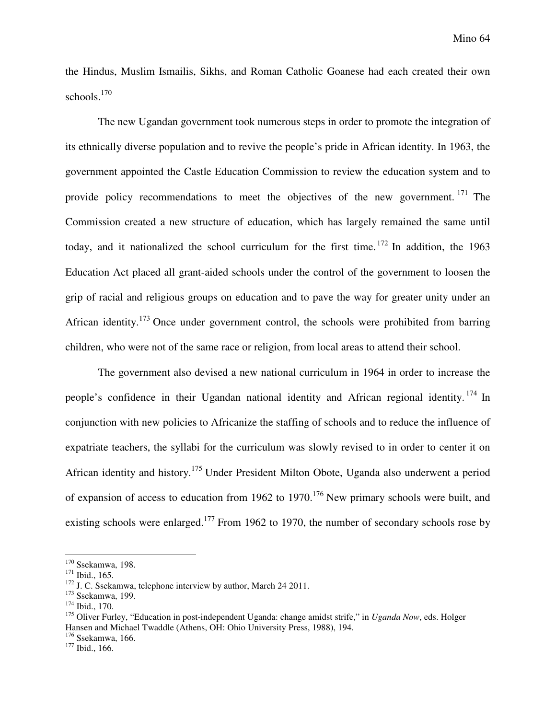the Hindus, Muslim Ismailis, Sikhs, and Roman Catholic Goanese had each created their own schools.<sup>170</sup>

The new Ugandan government took numerous steps in order to promote the integration of its ethnically diverse population and to revive the people's pride in African identity. In 1963, the government appointed the Castle Education Commission to review the education system and to provide policy recommendations to meet the objectives of the new government. <sup>171</sup> The Commission created a new structure of education, which has largely remained the same until today, and it nationalized the school curriculum for the first time.<sup>172</sup> In addition, the 1963 Education Act placed all grant-aided schools under the control of the government to loosen the grip of racial and religious groups on education and to pave the way for greater unity under an African identity.<sup>173</sup> Once under government control, the schools were prohibited from barring children, who were not of the same race or religion, from local areas to attend their school.

The government also devised a new national curriculum in 1964 in order to increase the people's confidence in their Ugandan national identity and African regional identity. <sup>174</sup> In conjunction with new policies to Africanize the staffing of schools and to reduce the influence of expatriate teachers, the syllabi for the curriculum was slowly revised to in order to center it on African identity and history.<sup>175</sup> Under President Milton Obote, Uganda also underwent a period of expansion of access to education from 1962 to 1970.<sup>176</sup> New primary schools were built, and existing schools were enlarged.<sup>177</sup> From 1962 to 1970, the number of secondary schools rose by

<sup>170</sup> Ssekamwa, 198.

<sup>&</sup>lt;sup>171</sup> Ibid., 165.

<sup>&</sup>lt;sup>172</sup> J. C. Ssekamwa, telephone interview by author, March 24 2011.

<sup>&</sup>lt;sup>173</sup> Ssekamwa, 199.

<sup>174</sup> Ibid., 170.

<sup>175</sup> Oliver Furley, "Education in post-independent Uganda: change amidst strife," in *Uganda Now*, eds. Holger Hansen and Michael Twaddle (Athens, OH: Ohio University Press, 1988), 194.

 $176$  Ssekamwa, 166.

<sup>177</sup> Ibid., 166.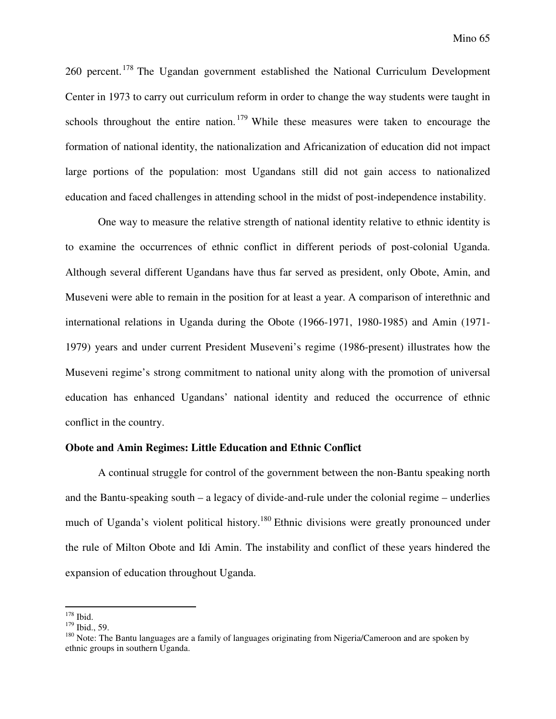$260$  percent.<sup>178</sup> The Ugandan government established the National Curriculum Development Center in 1973 to carry out curriculum reform in order to change the way students were taught in schools throughout the entire nation.  $179$  While these measures were taken to encourage the formation of national identity, the nationalization and Africanization of education did not impact large portions of the population: most Ugandans still did not gain access to nationalized education and faced challenges in attending school in the midst of post-independence instability.

One way to measure the relative strength of national identity relative to ethnic identity is to examine the occurrences of ethnic conflict in different periods of post-colonial Uganda. Although several different Ugandans have thus far served as president, only Obote, Amin, and Museveni were able to remain in the position for at least a year. A comparison of interethnic and international relations in Uganda during the Obote (1966-1971, 1980-1985) and Amin (1971- 1979) years and under current President Museveni's regime (1986-present) illustrates how the Museveni regime's strong commitment to national unity along with the promotion of universal education has enhanced Ugandans' national identity and reduced the occurrence of ethnic conflict in the country.

# **Obote and Amin Regimes: Little Education and Ethnic Conflict**

A continual struggle for control of the government between the non-Bantu speaking north and the Bantu-speaking south – a legacy of divide-and-rule under the colonial regime – underlies much of Uganda's violent political history.<sup>180</sup> Ethnic divisions were greatly pronounced under the rule of Milton Obote and Idi Amin. The instability and conflict of these years hindered the expansion of education throughout Uganda.

<sup>178</sup> Ibid.

<sup>179</sup> Ibid., 59.

<sup>&</sup>lt;sup>180</sup> Note: The Bantu languages are a family of languages originating from Nigeria/Cameroon and are spoken by ethnic groups in southern Uganda.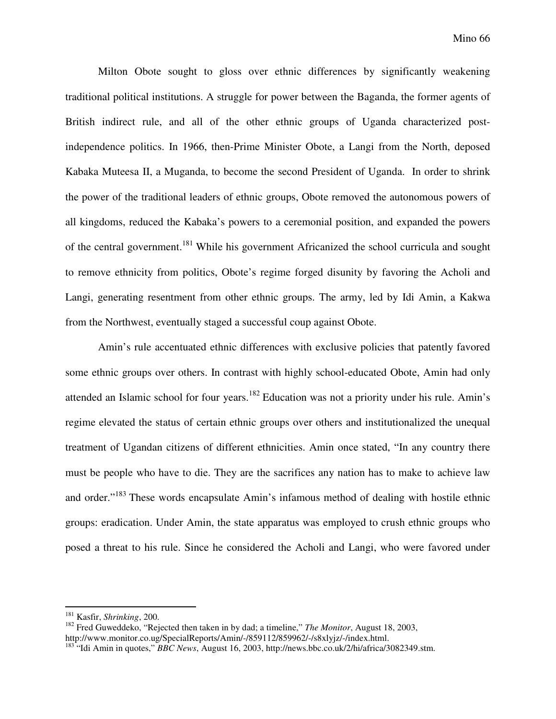Milton Obote sought to gloss over ethnic differences by significantly weakening traditional political institutions. A struggle for power between the Baganda, the former agents of British indirect rule, and all of the other ethnic groups of Uganda characterized postindependence politics. In 1966, then-Prime Minister Obote, a Langi from the North, deposed Kabaka Muteesa II, a Muganda, to become the second President of Uganda. In order to shrink the power of the traditional leaders of ethnic groups, Obote removed the autonomous powers of all kingdoms, reduced the Kabaka's powers to a ceremonial position, and expanded the powers of the central government.<sup>181</sup> While his government Africanized the school curricula and sought to remove ethnicity from politics, Obote's regime forged disunity by favoring the Acholi and Langi, generating resentment from other ethnic groups. The army, led by Idi Amin, a Kakwa from the Northwest, eventually staged a successful coup against Obote.

Amin's rule accentuated ethnic differences with exclusive policies that patently favored some ethnic groups over others. In contrast with highly school-educated Obote, Amin had only attended an Islamic school for four years.<sup>182</sup> Education was not a priority under his rule. Amin's regime elevated the status of certain ethnic groups over others and institutionalized the unequal treatment of Ugandan citizens of different ethnicities. Amin once stated, "In any country there must be people who have to die. They are the sacrifices any nation has to make to achieve law and order."<sup>183</sup> These words encapsulate Amin's infamous method of dealing with hostile ethnic groups: eradication. Under Amin, the state apparatus was employed to crush ethnic groups who posed a threat to his rule. Since he considered the Acholi and Langi, who were favored under

<sup>181</sup> Kasfir, *Shrinking*, 200.

<sup>182</sup> Fred Guweddeko, "Rejected then taken in by dad; a timeline," *The Monitor*, August 18, 2003, http://www.monitor.co.ug/SpecialReports/Amin/-/859112/859962/-/s8xlyjz/-/index.html.

<sup>&</sup>lt;sup>183</sup> "Idi Amin in quotes," *BBC News*, August 16, 2003, http://news.bbc.co.uk/2/hi/africa/3082349.stm.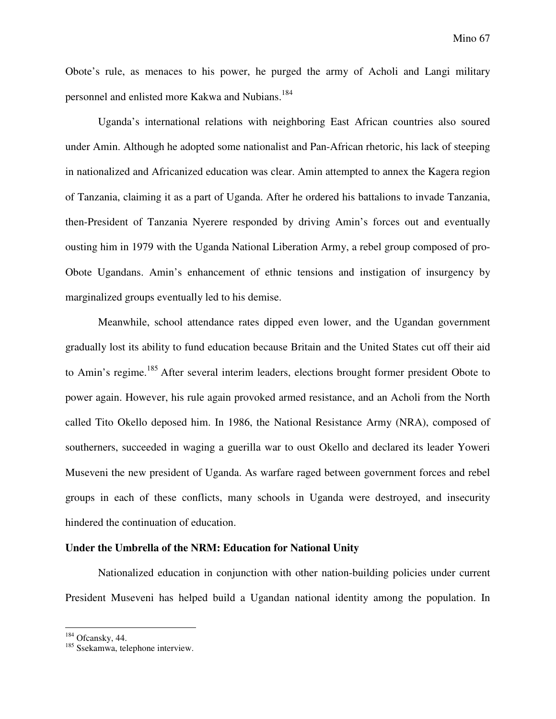Obote's rule, as menaces to his power, he purged the army of Acholi and Langi military personnel and enlisted more Kakwa and Nubians.<sup>184</sup>

Uganda's international relations with neighboring East African countries also soured under Amin. Although he adopted some nationalist and Pan-African rhetoric, his lack of steeping in nationalized and Africanized education was clear. Amin attempted to annex the Kagera region of Tanzania, claiming it as a part of Uganda. After he ordered his battalions to invade Tanzania, then-President of Tanzania Nyerere responded by driving Amin's forces out and eventually ousting him in 1979 with the Uganda National Liberation Army, a rebel group composed of pro-Obote Ugandans. Amin's enhancement of ethnic tensions and instigation of insurgency by marginalized groups eventually led to his demise.

Meanwhile, school attendance rates dipped even lower, and the Ugandan government gradually lost its ability to fund education because Britain and the United States cut off their aid to Amin's regime.<sup>185</sup> After several interim leaders, elections brought former president Obote to power again. However, his rule again provoked armed resistance, and an Acholi from the North called Tito Okello deposed him. In 1986, the National Resistance Army (NRA), composed of southerners, succeeded in waging a guerilla war to oust Okello and declared its leader Yoweri Museveni the new president of Uganda. As warfare raged between government forces and rebel groups in each of these conflicts, many schools in Uganda were destroyed, and insecurity hindered the continuation of education.

# **Under the Umbrella of the NRM: Education for National Unity**

Nationalized education in conjunction with other nation-building policies under current President Museveni has helped build a Ugandan national identity among the population. In

<sup>&</sup>lt;sup>184</sup> Ofcansky, 44.

<sup>&</sup>lt;sup>185</sup> Ssekamwa, telephone interview.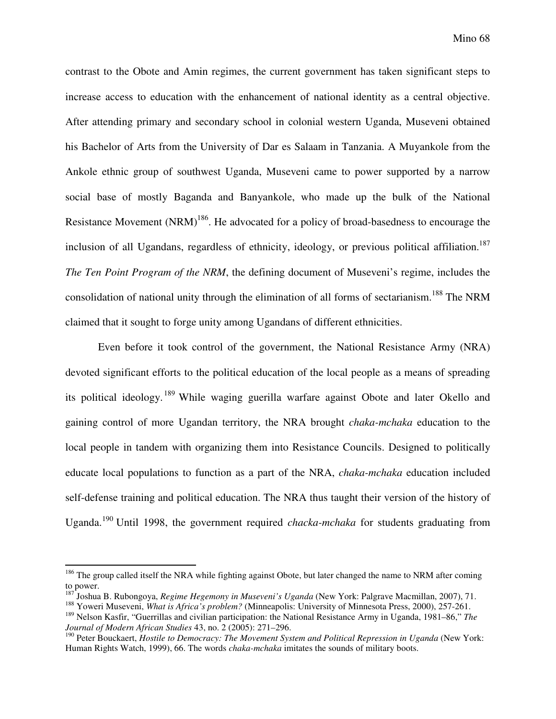contrast to the Obote and Amin regimes, the current government has taken significant steps to increase access to education with the enhancement of national identity as a central objective. After attending primary and secondary school in colonial western Uganda, Museveni obtained his Bachelor of Arts from the University of Dar es Salaam in Tanzania. A Muyankole from the Ankole ethnic group of southwest Uganda, Museveni came to power supported by a narrow social base of mostly Baganda and Banyankole, who made up the bulk of the National Resistance Movement (NRM)<sup>186</sup>. He advocated for a policy of broad-basedness to encourage the inclusion of all Ugandans, regardless of ethnicity, ideology, or previous political affiliation.<sup>187</sup> *The Ten Point Program of the NRM*, the defining document of Museveni's regime, includes the consolidation of national unity through the elimination of all forms of sectarianism.<sup>188</sup> The NRM claimed that it sought to forge unity among Ugandans of different ethnicities.

Even before it took control of the government, the National Resistance Army (NRA) devoted significant efforts to the political education of the local people as a means of spreading its political ideology. <sup>189</sup> While waging guerilla warfare against Obote and later Okello and gaining control of more Ugandan territory, the NRA brought *chaka-mchaka* education to the local people in tandem with organizing them into Resistance Councils. Designed to politically educate local populations to function as a part of the NRA, *chaka-mchaka* education included self-defense training and political education. The NRA thus taught their version of the history of Uganda.<sup>190</sup> Until 1998, the government required *chacka-mchaka* for students graduating from

<sup>&</sup>lt;sup>186</sup> The group called itself the NRA while fighting against Obote, but later changed the name to NRM after coming to power.

<sup>&</sup>lt;sup>1</sup><br>Joshua B. Rubongoya, *Regime Hegemony in Museveni's Uganda* (New York: Palgrave Macmillan, 2007), 71.

<sup>&</sup>lt;sup>188</sup> Yoweri Museveni, *What is Africa's problem?* (Minneapolis: University of Minnesota Press, 2000), 257-261.

<sup>189</sup> Nelson Kasfir, "Guerrillas and civilian participation: the National Resistance Army in Uganda, 1981–86," *The Journal of Modern African Studies* 43, no. 2 (2005): 271–296.

<sup>190</sup> Peter Bouckaert, *Hostile to Democracy: The Movement System and Political Repression in Uganda* (New York: Human Rights Watch, 1999), 66. The words *chaka-mchaka* imitates the sounds of military boots.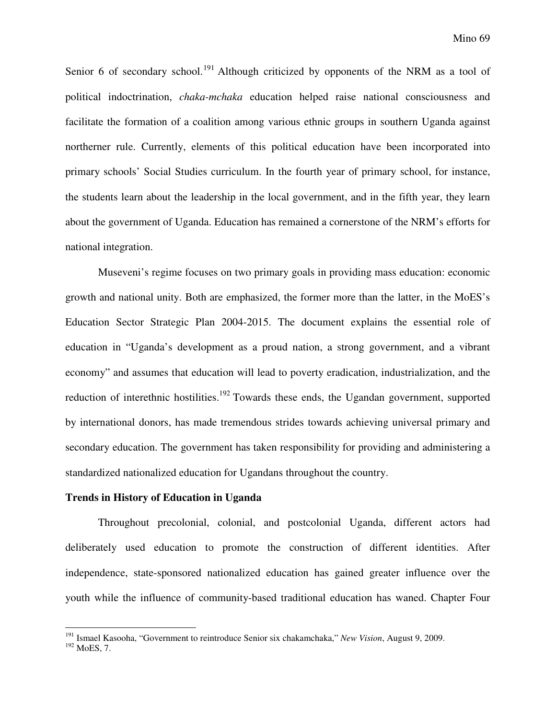Senior 6 of secondary school.<sup>191</sup> Although criticized by opponents of the NRM as a tool of political indoctrination, *chaka-mchaka* education helped raise national consciousness and facilitate the formation of a coalition among various ethnic groups in southern Uganda against northerner rule. Currently, elements of this political education have been incorporated into primary schools' Social Studies curriculum. In the fourth year of primary school, for instance, the students learn about the leadership in the local government, and in the fifth year, they learn about the government of Uganda. Education has remained a cornerstone of the NRM's efforts for national integration.

Museveni's regime focuses on two primary goals in providing mass education: economic growth and national unity. Both are emphasized, the former more than the latter, in the MoES's Education Sector Strategic Plan 2004-2015. The document explains the essential role of education in "Uganda's development as a proud nation, a strong government, and a vibrant economy" and assumes that education will lead to poverty eradication, industrialization, and the reduction of interethnic hostilities.<sup>192</sup> Towards these ends, the Ugandan government, supported by international donors, has made tremendous strides towards achieving universal primary and secondary education. The government has taken responsibility for providing and administering a standardized nationalized education for Ugandans throughout the country.

# **Trends in History of Education in Uganda**

Throughout precolonial, colonial, and postcolonial Uganda, different actors had deliberately used education to promote the construction of different identities. After independence, state-sponsored nationalized education has gained greater influence over the youth while the influence of community-based traditional education has waned. Chapter Four

<sup>191</sup> Ismael Kasooha, "Government to reintroduce Senior six chakamchaka," *New Vision*, August 9, 2009.

<sup>&</sup>lt;sup>192</sup> MoES, 7.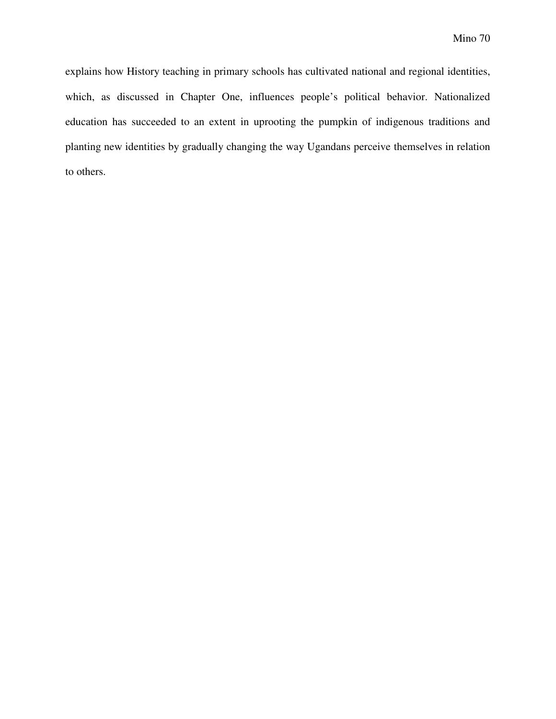explains how History teaching in primary schools has cultivated national and regional identities, which, as discussed in Chapter One, influences people's political behavior. Nationalized education has succeeded to an extent in uprooting the pumpkin of indigenous traditions and planting new identities by gradually changing the way Ugandans perceive themselves in relation to others.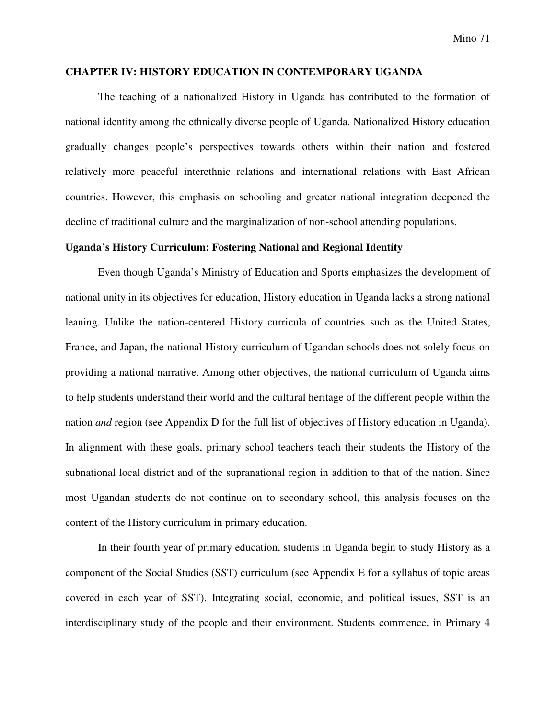# **CHAPTER IV: HISTORY EDUCATION IN CONTEMPORARY UGANDA**

The teaching of a nationalized History in Uganda has contributed to the formation of national identity among the ethnically diverse people of Uganda. Nationalized History education gradually changes people's perspectives towards others within their nation and fostered relatively more peaceful interethnic relations and international relations with East African countries. However, this emphasis on schooling and greater national integration deepened the decline of traditional culture and the marginalization of non-school attending populations.

### **Uganda's History Curriculum: Fostering National and Regional Identity**

 Even though Uganda's Ministry of Education and Sports emphasizes the development of national unity in its objectives for education, History education in Uganda lacks a strong national leaning. Unlike the nation-centered History curricula of countries such as the United States, France, and Japan, the national History curriculum of Ugandan schools does not solely focus on providing a national narrative. Among other objectives, the national curriculum of Uganda aims to help students understand their world and the cultural heritage of the different people within the nation *and* region (see Appendix D for the full list of objectives of History education in Uganda). In alignment with these goals, primary school teachers teach their students the History of the subnational local district and of the supranational region in addition to that of the nation. Since most Ugandan students do not continue on to secondary school, this analysis focuses on the content of the History curriculum in primary education.

In their fourth year of primary education, students in Uganda begin to study History as a component of the Social Studies (SST) curriculum (see Appendix E for a syllabus of topic areas covered in each year of SST). Integrating social, economic, and political issues, SST is an interdisciplinary study of the people and their environment. Students commence, in Primary 4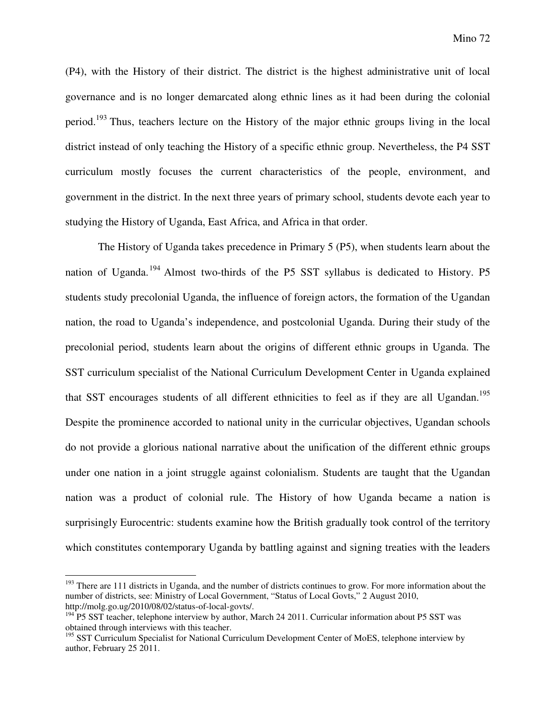(P4), with the History of their district. The district is the highest administrative unit of local governance and is no longer demarcated along ethnic lines as it had been during the colonial period.<sup>193</sup> Thus, teachers lecture on the History of the major ethnic groups living in the local district instead of only teaching the History of a specific ethnic group. Nevertheless, the P4 SST curriculum mostly focuses the current characteristics of the people, environment, and government in the district. In the next three years of primary school, students devote each year to studying the History of Uganda, East Africa, and Africa in that order.

The History of Uganda takes precedence in Primary 5 (P5), when students learn about the nation of Uganda.<sup>194</sup> Almost two-thirds of the P5 SST syllabus is dedicated to History. P5 students study precolonial Uganda, the influence of foreign actors, the formation of the Ugandan nation, the road to Uganda's independence, and postcolonial Uganda. During their study of the precolonial period, students learn about the origins of different ethnic groups in Uganda. The SST curriculum specialist of the National Curriculum Development Center in Uganda explained that SST encourages students of all different ethnicities to feel as if they are all Ugandan.<sup>195</sup> Despite the prominence accorded to national unity in the curricular objectives, Ugandan schools do not provide a glorious national narrative about the unification of the different ethnic groups under one nation in a joint struggle against colonialism. Students are taught that the Ugandan nation was a product of colonial rule. The History of how Uganda became a nation is surprisingly Eurocentric: students examine how the British gradually took control of the territory which constitutes contemporary Uganda by battling against and signing treaties with the leaders

<sup>&</sup>lt;sup>193</sup> There are 111 districts in Uganda, and the number of districts continues to grow. For more information about the number of districts, see: Ministry of Local Government, "Status of Local Govts," 2 August 2010, http://molg.go.ug/2010/08/02/status-of-local-govts/.

<sup>&</sup>lt;sup>194</sup> P5 SST teacher, telephone interview by author, March 24 2011. Curricular information about P5 SST was obtained through interviews with this teacher.

<sup>&</sup>lt;sup>195</sup> SST Curriculum Specialist for National Curriculum Development Center of MoES, telephone interview by author, February 25 2011.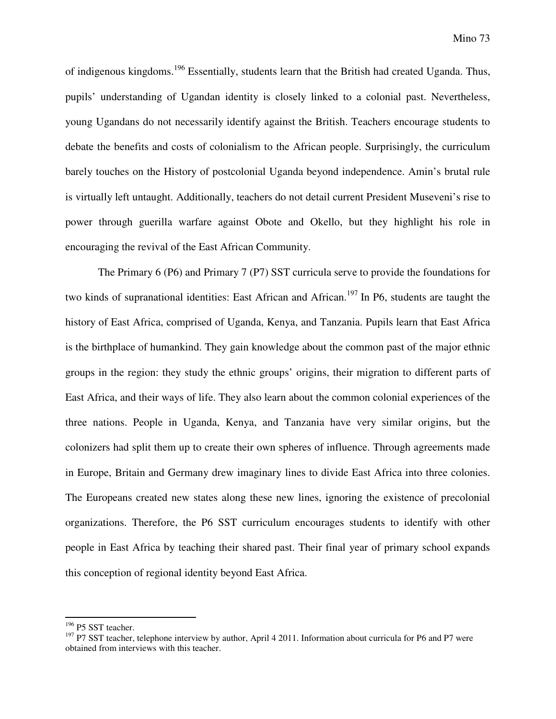of indigenous kingdoms.<sup>196</sup> Essentially, students learn that the British had created Uganda. Thus, pupils' understanding of Ugandan identity is closely linked to a colonial past. Nevertheless, young Ugandans do not necessarily identify against the British. Teachers encourage students to debate the benefits and costs of colonialism to the African people. Surprisingly, the curriculum barely touches on the History of postcolonial Uganda beyond independence. Amin's brutal rule is virtually left untaught. Additionally, teachers do not detail current President Museveni's rise to power through guerilla warfare against Obote and Okello, but they highlight his role in encouraging the revival of the East African Community.

The Primary 6 (P6) and Primary 7 (P7) SST curricula serve to provide the foundations for two kinds of supranational identities: East African and African.<sup>197</sup> In P6, students are taught the history of East Africa, comprised of Uganda, Kenya, and Tanzania. Pupils learn that East Africa is the birthplace of humankind. They gain knowledge about the common past of the major ethnic groups in the region: they study the ethnic groups' origins, their migration to different parts of East Africa, and their ways of life. They also learn about the common colonial experiences of the three nations. People in Uganda, Kenya, and Tanzania have very similar origins, but the colonizers had split them up to create their own spheres of influence. Through agreements made in Europe, Britain and Germany drew imaginary lines to divide East Africa into three colonies. The Europeans created new states along these new lines, ignoring the existence of precolonial organizations. Therefore, the P6 SST curriculum encourages students to identify with other people in East Africa by teaching their shared past. Their final year of primary school expands this conception of regional identity beyond East Africa.

l

<sup>&</sup>lt;sup>196</sup> P5 SST teacher.

 $197$  P7 SST teacher, telephone interview by author, April 4 2011. Information about curricula for P6 and P7 were obtained from interviews with this teacher.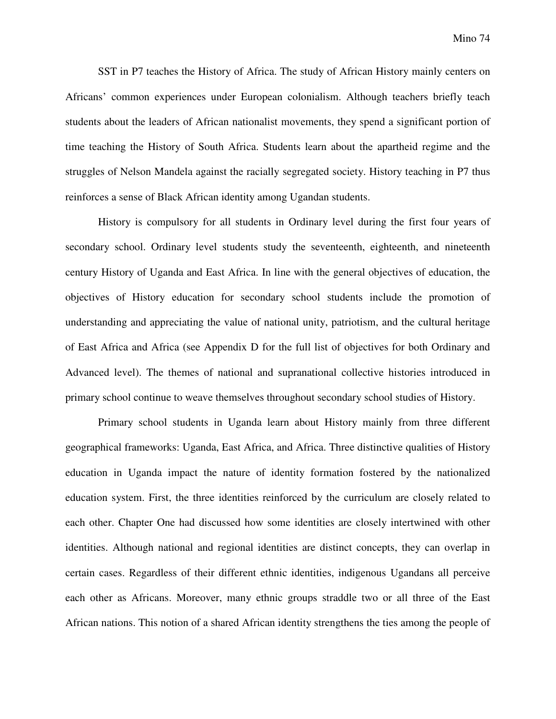SST in P7 teaches the History of Africa. The study of African History mainly centers on Africans' common experiences under European colonialism. Although teachers briefly teach students about the leaders of African nationalist movements, they spend a significant portion of time teaching the History of South Africa. Students learn about the apartheid regime and the struggles of Nelson Mandela against the racially segregated society. History teaching in P7 thus reinforces a sense of Black African identity among Ugandan students.

History is compulsory for all students in Ordinary level during the first four years of secondary school. Ordinary level students study the seventeenth, eighteenth, and nineteenth century History of Uganda and East Africa. In line with the general objectives of education, the objectives of History education for secondary school students include the promotion of understanding and appreciating the value of national unity, patriotism, and the cultural heritage of East Africa and Africa (see Appendix D for the full list of objectives for both Ordinary and Advanced level). The themes of national and supranational collective histories introduced in primary school continue to weave themselves throughout secondary school studies of History.

Primary school students in Uganda learn about History mainly from three different geographical frameworks: Uganda, East Africa, and Africa. Three distinctive qualities of History education in Uganda impact the nature of identity formation fostered by the nationalized education system. First, the three identities reinforced by the curriculum are closely related to each other. Chapter One had discussed how some identities are closely intertwined with other identities. Although national and regional identities are distinct concepts, they can overlap in certain cases. Regardless of their different ethnic identities, indigenous Ugandans all perceive each other as Africans. Moreover, many ethnic groups straddle two or all three of the East African nations. This notion of a shared African identity strengthens the ties among the people of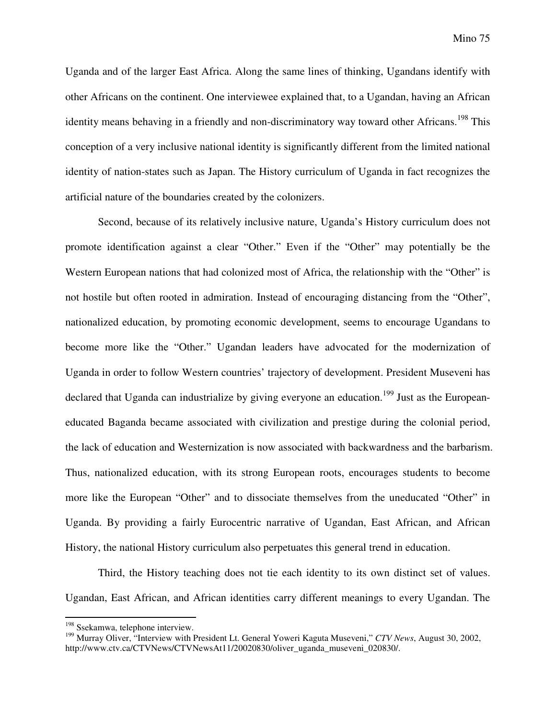Uganda and of the larger East Africa. Along the same lines of thinking, Ugandans identify with other Africans on the continent. One interviewee explained that, to a Ugandan, having an African identity means behaving in a friendly and non-discriminatory way toward other Africans.<sup>198</sup> This conception of a very inclusive national identity is significantly different from the limited national identity of nation-states such as Japan. The History curriculum of Uganda in fact recognizes the artificial nature of the boundaries created by the colonizers.

Second, because of its relatively inclusive nature, Uganda's History curriculum does not promote identification against a clear "Other." Even if the "Other" may potentially be the Western European nations that had colonized most of Africa, the relationship with the "Other" is not hostile but often rooted in admiration. Instead of encouraging distancing from the "Other", nationalized education, by promoting economic development, seems to encourage Ugandans to become more like the "Other." Ugandan leaders have advocated for the modernization of Uganda in order to follow Western countries' trajectory of development. President Museveni has declared that Uganda can industrialize by giving everyone an education.<sup>199</sup> Just as the Europeaneducated Baganda became associated with civilization and prestige during the colonial period, the lack of education and Westernization is now associated with backwardness and the barbarism. Thus, nationalized education, with its strong European roots, encourages students to become more like the European "Other" and to dissociate themselves from the uneducated "Other" in Uganda. By providing a fairly Eurocentric narrative of Ugandan, East African, and African History, the national History curriculum also perpetuates this general trend in education.

Third, the History teaching does not tie each identity to its own distinct set of values. Ugandan, East African, and African identities carry different meanings to every Ugandan. The

l

<sup>&</sup>lt;sup>198</sup> Ssekamwa, telephone interview.

<sup>199</sup> Murray Oliver, "Interview with President Lt. General Yoweri Kaguta Museveni," *CTV News*, August 30, 2002, http://www.ctv.ca/CTVNews/CTVNewsAt11/20020830/oliver\_uganda\_museveni\_020830/.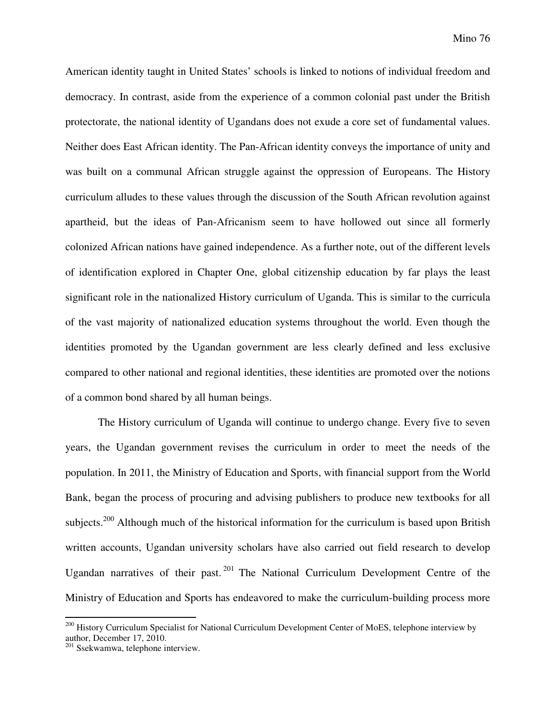American identity taught in United States' schools is linked to notions of individual freedom and democracy. In contrast, aside from the experience of a common colonial past under the British protectorate, the national identity of Ugandans does not exude a core set of fundamental values. Neither does East African identity. The Pan-African identity conveys the importance of unity and was built on a communal African struggle against the oppression of Europeans. The History curriculum alludes to these values through the discussion of the South African revolution against apartheid, but the ideas of Pan-Africanism seem to have hollowed out since all formerly colonized African nations have gained independence. As a further note, out of the different levels of identification explored in Chapter One, global citizenship education by far plays the least significant role in the nationalized History curriculum of Uganda. This is similar to the curricula of the vast majority of nationalized education systems throughout the world. Even though the identities promoted by the Ugandan government are less clearly defined and less exclusive compared to other national and regional identities, these identities are promoted over the notions of a common bond shared by all human beings.

The History curriculum of Uganda will continue to undergo change. Every five to seven years, the Ugandan government revises the curriculum in order to meet the needs of the population. In 2011, the Ministry of Education and Sports, with financial support from the World Bank, began the process of procuring and advising publishers to produce new textbooks for all subjects.<sup>200</sup> Although much of the historical information for the curriculum is based upon British written accounts, Ugandan university scholars have also carried out field research to develop Ugandan narratives of their past.  $201$  The National Curriculum Development Centre of the Ministry of Education and Sports has endeavored to make the curriculum-building process more

l

<sup>&</sup>lt;sup>200</sup> History Curriculum Specialist for National Curriculum Development Center of MoES, telephone interview by author, December 17, 2010.

<sup>&</sup>lt;sup>201</sup> Ssekwamwa, telephone interview.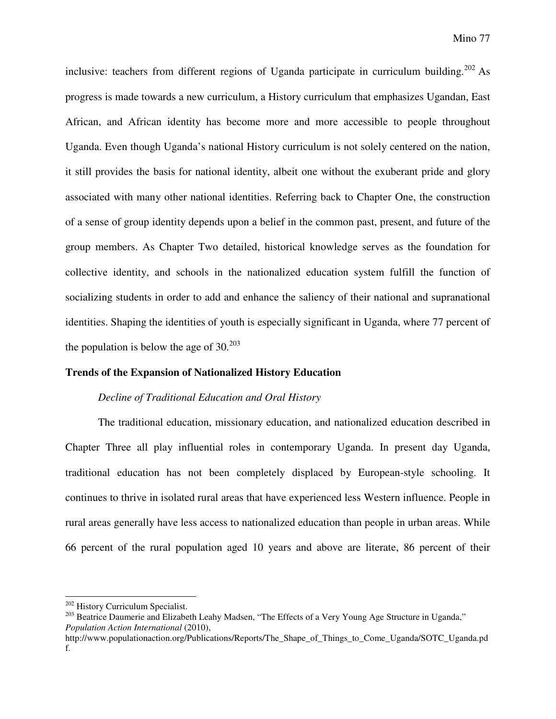inclusive: teachers from different regions of Uganda participate in curriculum building.<sup>202</sup> As progress is made towards a new curriculum, a History curriculum that emphasizes Ugandan, East African, and African identity has become more and more accessible to people throughout Uganda. Even though Uganda's national History curriculum is not solely centered on the nation, it still provides the basis for national identity, albeit one without the exuberant pride and glory associated with many other national identities. Referring back to Chapter One, the construction of a sense of group identity depends upon a belief in the common past, present, and future of the group members. As Chapter Two detailed, historical knowledge serves as the foundation for collective identity, and schools in the nationalized education system fulfill the function of socializing students in order to add and enhance the saliency of their national and supranational identities. Shaping the identities of youth is especially significant in Uganda, where 77 percent of the population is below the age of  $30.^{203}$ 

#### **Trends of the Expansion of Nationalized History Education**

### *Decline of Traditional Education and Oral History*

The traditional education, missionary education, and nationalized education described in Chapter Three all play influential roles in contemporary Uganda. In present day Uganda, traditional education has not been completely displaced by European-style schooling. It continues to thrive in isolated rural areas that have experienced less Western influence. People in rural areas generally have less access to nationalized education than people in urban areas. While 66 percent of the rural population aged 10 years and above are literate, 86 percent of their

<sup>&</sup>lt;sup>202</sup> History Curriculum Specialist.

<sup>&</sup>lt;sup>203</sup> Beatrice Daumerie and Elizabeth Leahy Madsen, "The Effects of a Very Young Age Structure in Uganda," *Population Action International* (2010),

http://www.populationaction.org/Publications/Reports/The\_Shape\_of\_Things\_to\_Come\_Uganda/SOTC\_Uganda.pd f.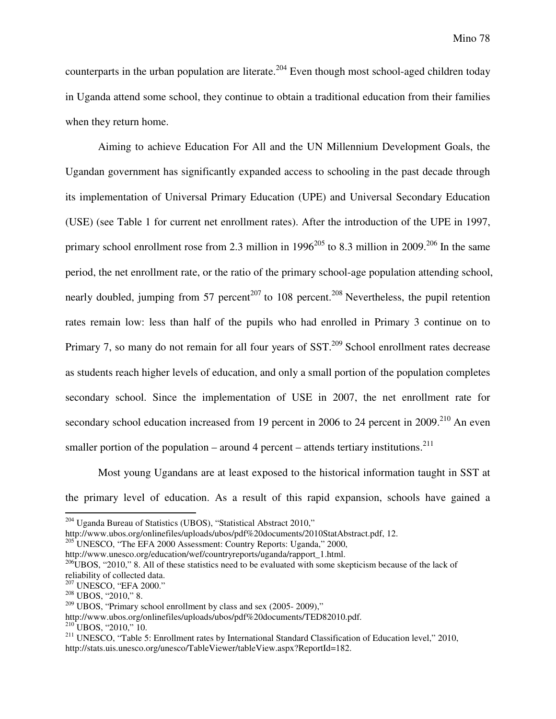counterparts in the urban population are literate.<sup>204</sup> Even though most school-aged children today in Uganda attend some school, they continue to obtain a traditional education from their families when they return home.

Aiming to achieve Education For All and the UN Millennium Development Goals, the Ugandan government has significantly expanded access to schooling in the past decade through its implementation of Universal Primary Education (UPE) and Universal Secondary Education (USE) (see Table 1 for current net enrollment rates). After the introduction of the UPE in 1997, primary school enrollment rose from 2.3 million in  $1996^{205}$  to 8.3 million in 2009.<sup>206</sup> In the same period, the net enrollment rate, or the ratio of the primary school-age population attending school, nearly doubled, jumping from 57 percent<sup>207</sup> to 108 percent.<sup>208</sup> Nevertheless, the pupil retention rates remain low: less than half of the pupils who had enrolled in Primary 3 continue on to Primary 7, so many do not remain for all four years of SST.<sup>209</sup> School enrollment rates decrease as students reach higher levels of education, and only a small portion of the population completes secondary school. Since the implementation of USE in 2007, the net enrollment rate for secondary school education increased from 19 percent in 2006 to 24 percent in 2009.<sup>210</sup> An even smaller portion of the population – around 4 percent – attends tertiary institutions.<sup>211</sup>

Most young Ugandans are at least exposed to the historical information taught in SST at the primary level of education. As a result of this rapid expansion, schools have gained a

<sup>204</sup> Uganda Bureau of Statistics (UBOS), "Statistical Abstract 2010,"

http://www.ubos.org/onlinefiles/uploads/ubos/pdf%20documents/2010StatAbstract.pdf, 12.

<sup>&</sup>lt;sup>205</sup> UNESCO, "The EFA 2000 Assessment: Country Reports: Uganda," 2000,

http://www.unesco.org/education/wef/countryreports/uganda/rapport\_1.html.

<sup>&</sup>lt;sup>206</sup>UBOS, "2010," 8. All of these statistics need to be evaluated with some skepticism because of the lack of reliability of collected data.

<sup>&</sup>lt;sup>207</sup> UNESCO, "EFA 2000."

<sup>208</sup> UBOS, "2010," 8.

<sup>&</sup>lt;sup>209</sup> UBOS, "Primary school enrollment by class and sex (2005-2009),"

http://www.ubos.org/onlinefiles/uploads/ubos/pdf%20documents/TED82010.pdf.

 $210$  UBOS, "2010," 10.

<sup>&</sup>lt;sup>211</sup> UNESCO, "Table 5: Enrollment rates by International Standard Classification of Education level," 2010, http://stats.uis.unesco.org/unesco/TableViewer/tableView.aspx?ReportId=182.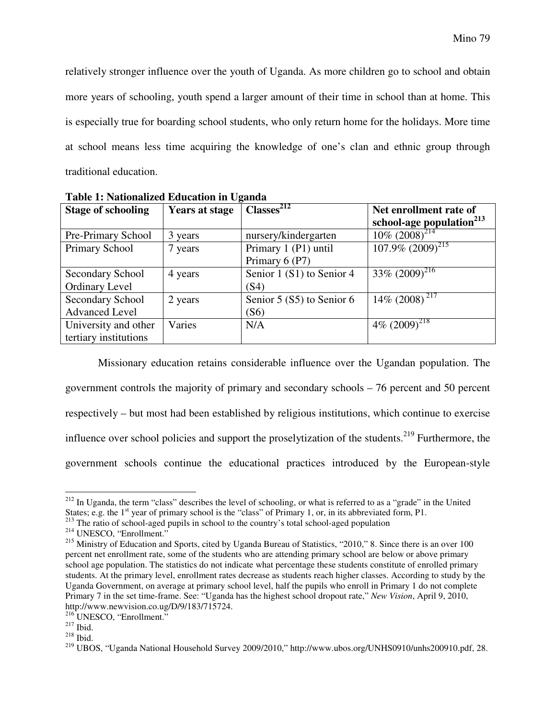relatively stronger influence over the youth of Uganda. As more children go to school and obtain more years of schooling, youth spend a larger amount of their time in school than at home. This is especially true for boarding school students, who only return home for the holidays. More time at school means less time acquiring the knowledge of one's clan and ethnic group through traditional education.

| <b>Stage of schooling</b> | <b>Years at stage</b> | o<br>$\text{Classes}^{\text{212}}$ | Net enrollment rate of         |
|---------------------------|-----------------------|------------------------------------|--------------------------------|
|                           |                       |                                    | school-age population $^{213}$ |
| Pre-Primary School        | 3 years               | nursery/kindergarten               | $10\%$ $(2008)^{214}$          |
| Primary School            | 7 years               | Primary 1 (P1) until               | $107.9\% (2009)^{215}$         |
|                           |                       | Primary $6(P7)$                    |                                |
| Secondary School          | 4 years               | Senior 1 (S1) to Senior 4          | $33\% (2009)^{216}$            |
| <b>Ordinary Level</b>     |                       | (S4)                               |                                |
| Secondary School          | 2 years               | Senior 5 (S5) to Senior 6          | $14\%$ (2008) <sup>217</sup>   |
| <b>Advanced Level</b>     |                       | (S6)                               |                                |
| University and other      | Varies                | N/A                                | $4\%$ (2009) <sup>218</sup>    |
| tertiary institutions     |                       |                                    |                                |

**Table 1: Nationalized Education in Uganda** 

Missionary education retains considerable influence over the Ugandan population. The government controls the majority of primary and secondary schools – 76 percent and 50 percent respectively – but most had been established by religious institutions, which continue to exercise influence over school policies and support the proselytization of the students.<sup>219</sup> Furthermore, the government schools continue the educational practices introduced by the European-style

 $^{212}$  In Uganda, the term "class" describes the level of schooling, or what is referred to as a "grade" in the United States; e.g. the 1<sup>st</sup> year of primary school is the "class" of Primary 1, or, in its abbreviated form, P1.

<sup>&</sup>lt;sup>213</sup> The ratio of school-aged pupils in school to the country's total school-aged population

<sup>214</sup> UNESCO, "Enrollment."

<sup>&</sup>lt;sup>215</sup> Ministry of Education and Sports, cited by Uganda Bureau of Statistics, "2010," 8. Since there is an over 100 percent net enrollment rate, some of the students who are attending primary school are below or above primary school age population. The statistics do not indicate what percentage these students constitute of enrolled primary students. At the primary level, enrollment rates decrease as students reach higher classes. According to study by the Uganda Government, on average at primary school level, half the pupils who enroll in Primary 1 do not complete Primary 7 in the set time-frame. See: "Uganda has the highest school dropout rate," *New Vision*, April 9, 2010, http://www.newvision.co.ug/D/9/183/715724.

<sup>&</sup>lt;sup>216</sup> UNESCO, "Enrollment."

<sup>217</sup> Ibid.

<sup>218</sup> Ibid.

<sup>219</sup> UBOS, "Uganda National Household Survey 2009/2010," http://www.ubos.org/UNHS0910/unhs200910.pdf, 28.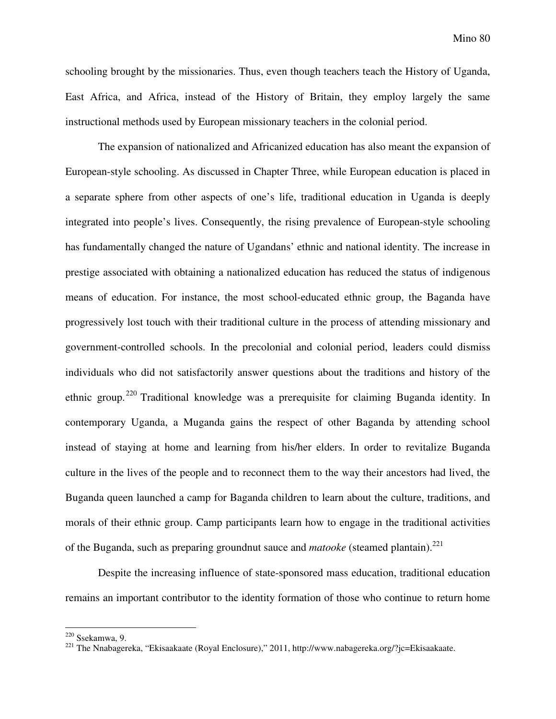schooling brought by the missionaries. Thus, even though teachers teach the History of Uganda, East Africa, and Africa, instead of the History of Britain, they employ largely the same instructional methods used by European missionary teachers in the colonial period.

The expansion of nationalized and Africanized education has also meant the expansion of European-style schooling. As discussed in Chapter Three, while European education is placed in a separate sphere from other aspects of one's life, traditional education in Uganda is deeply integrated into people's lives. Consequently, the rising prevalence of European-style schooling has fundamentally changed the nature of Ugandans' ethnic and national identity. The increase in prestige associated with obtaining a nationalized education has reduced the status of indigenous means of education. For instance, the most school-educated ethnic group, the Baganda have progressively lost touch with their traditional culture in the process of attending missionary and government-controlled schools. In the precolonial and colonial period, leaders could dismiss individuals who did not satisfactorily answer questions about the traditions and history of the ethnic group.<sup>220</sup> Traditional knowledge was a prerequisite for claiming Buganda identity. In contemporary Uganda, a Muganda gains the respect of other Baganda by attending school instead of staying at home and learning from his/her elders. In order to revitalize Buganda culture in the lives of the people and to reconnect them to the way their ancestors had lived, the Buganda queen launched a camp for Baganda children to learn about the culture, traditions, and morals of their ethnic group. Camp participants learn how to engage in the traditional activities of the Buganda, such as preparing groundnut sauce and *matooke* (steamed plantain).<sup>221</sup>

Despite the increasing influence of state-sponsored mass education, traditional education remains an important contributor to the identity formation of those who continue to return home

<sup>220</sup> Ssekamwa, 9.

<sup>221</sup> The Nnabagereka, "Ekisaakaate (Royal Enclosure)," 2011, http://www.nabagereka.org/?jc=Ekisaakaate.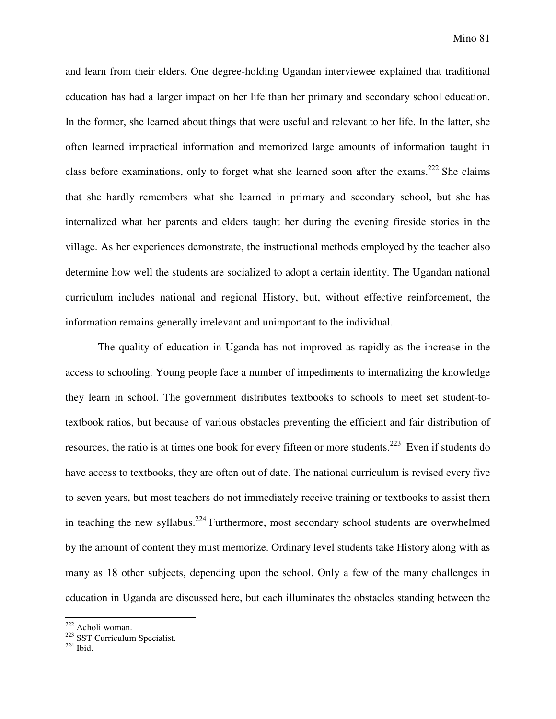and learn from their elders. One degree-holding Ugandan interviewee explained that traditional education has had a larger impact on her life than her primary and secondary school education. In the former, she learned about things that were useful and relevant to her life. In the latter, she often learned impractical information and memorized large amounts of information taught in class before examinations, only to forget what she learned soon after the exams.<sup>222</sup> She claims that she hardly remembers what she learned in primary and secondary school, but she has internalized what her parents and elders taught her during the evening fireside stories in the village. As her experiences demonstrate, the instructional methods employed by the teacher also determine how well the students are socialized to adopt a certain identity. The Ugandan national curriculum includes national and regional History, but, without effective reinforcement, the information remains generally irrelevant and unimportant to the individual.

The quality of education in Uganda has not improved as rapidly as the increase in the access to schooling. Young people face a number of impediments to internalizing the knowledge they learn in school. The government distributes textbooks to schools to meet set student-totextbook ratios, but because of various obstacles preventing the efficient and fair distribution of resources, the ratio is at times one book for every fifteen or more students.<sup>223</sup> Even if students do have access to textbooks, they are often out of date. The national curriculum is revised every five to seven years, but most teachers do not immediately receive training or textbooks to assist them in teaching the new syllabus.<sup>224</sup> Furthermore, most secondary school students are overwhelmed by the amount of content they must memorize. Ordinary level students take History along with as many as 18 other subjects, depending upon the school. Only a few of the many challenges in education in Uganda are discussed here, but each illuminates the obstacles standing between the

l

<sup>222</sup> Acholi woman.

<sup>&</sup>lt;sup>223</sup> SST Curriculum Specialist.

 $224$  Ibid.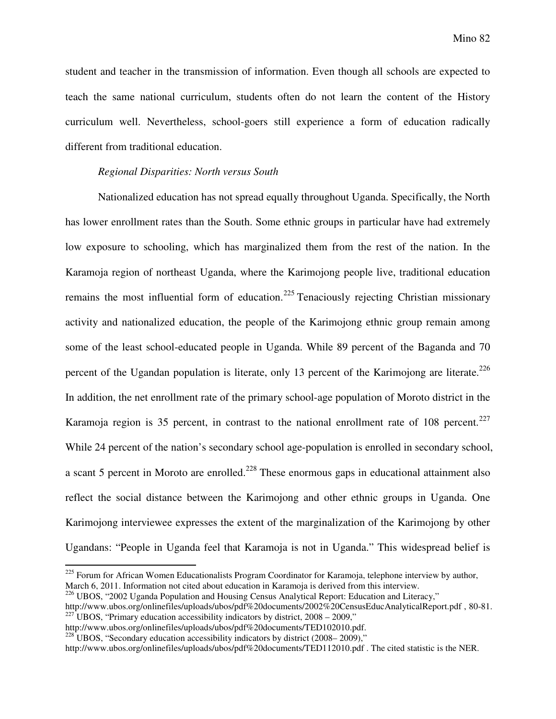student and teacher in the transmission of information. Even though all schools are expected to teach the same national curriculum, students often do not learn the content of the History curriculum well. Nevertheless, school-goers still experience a form of education radically different from traditional education.

### *Regional Disparities: North versus South*

Nationalized education has not spread equally throughout Uganda. Specifically, the North has lower enrollment rates than the South. Some ethnic groups in particular have had extremely low exposure to schooling, which has marginalized them from the rest of the nation. In the Karamoja region of northeast Uganda, where the Karimojong people live, traditional education remains the most influential form of education.<sup>225</sup> Tenaciously rejecting Christian missionary activity and nationalized education, the people of the Karimojong ethnic group remain among some of the least school-educated people in Uganda. While 89 percent of the Baganda and 70 percent of the Ugandan population is literate, only 13 percent of the Karimojong are literate.<sup>226</sup> In addition, the net enrollment rate of the primary school-age population of Moroto district in the Karamoja region is 35 percent, in contrast to the national enrollment rate of 108 percent.<sup>227</sup> While 24 percent of the nation's secondary school age-population is enrolled in secondary school, a scant 5 percent in Moroto are enrolled.<sup>228</sup> These enormous gaps in educational attainment also reflect the social distance between the Karimojong and other ethnic groups in Uganda. One Karimojong interviewee expresses the extent of the marginalization of the Karimojong by other Ugandans: "People in Uganda feel that Karamoja is not in Uganda." This widespread belief is

l

<sup>&</sup>lt;sup>225</sup> Forum for African Women Educationalists Program Coordinator for Karamoja, telephone interview by author, March 6, 2011. Information not cited about education in Karamoja is derived from this interview.

<sup>&</sup>lt;sup>226</sup> UBOS, "2002 Uganda Population and Housing Census Analytical Report: Education and Literacy,"

http://www.ubos.org/onlinefiles/uploads/ubos/pdf%20documents/2002%20CensusEducAnalyticalReport.pdf , 80-81. <sup>227</sup> UBOS, "Primary education accessibility indicators by district,  $2008 - 2009$ ,"

http://www.ubos.org/onlinefiles/uploads/ubos/pdf%20documents/TED102010.pdf.

 $228^{\circ}$  UBOS, "Secondary education accessibility indicators by district (2008–2009),"

http://www.ubos.org/onlinefiles/uploads/ubos/pdf%20documents/TED112010.pdf . The cited statistic is the NER.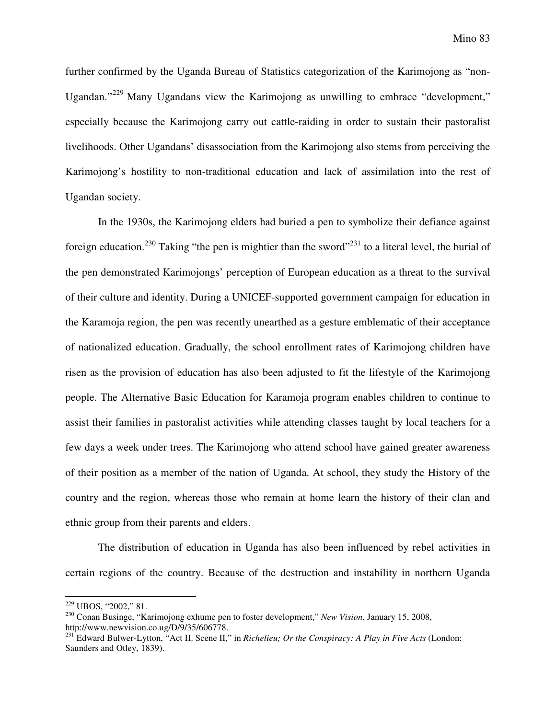further confirmed by the Uganda Bureau of Statistics categorization of the Karimojong as "non-Ugandan."<sup>229</sup> Many Ugandans view the Karimojong as unwilling to embrace "development," especially because the Karimojong carry out cattle-raiding in order to sustain their pastoralist livelihoods. Other Ugandans' disassociation from the Karimojong also stems from perceiving the Karimojong's hostility to non-traditional education and lack of assimilation into the rest of Ugandan society.

In the 1930s, the Karimojong elders had buried a pen to symbolize their defiance against foreign education.<sup>230</sup> Taking "the pen is mightier than the sword"<sup>231</sup> to a literal level, the burial of the pen demonstrated Karimojongs' perception of European education as a threat to the survival of their culture and identity. During a UNICEF-supported government campaign for education in the Karamoja region, the pen was recently unearthed as a gesture emblematic of their acceptance of nationalized education. Gradually, the school enrollment rates of Karimojong children have risen as the provision of education has also been adjusted to fit the lifestyle of the Karimojong people. The Alternative Basic Education for Karamoja program enables children to continue to assist their families in pastoralist activities while attending classes taught by local teachers for a few days a week under trees. The Karimojong who attend school have gained greater awareness of their position as a member of the nation of Uganda. At school, they study the History of the country and the region, whereas those who remain at home learn the history of their clan and ethnic group from their parents and elders.

The distribution of education in Uganda has also been influenced by rebel activities in certain regions of the country. Because of the destruction and instability in northern Uganda

<sup>229</sup> UBOS, "2002," 81.

<sup>230</sup> Conan Businge, "Karimojong exhume pen to foster development," *New Vision*, January 15, 2008, http://www.newvision.co.ug/D/9/35/606778.

<sup>231</sup> Edward Bulwer-Lytton, "Act II. Scene II," in *Richelieu; Or the Conspiracy: A Play in Five Acts* (London: Saunders and Otley, 1839).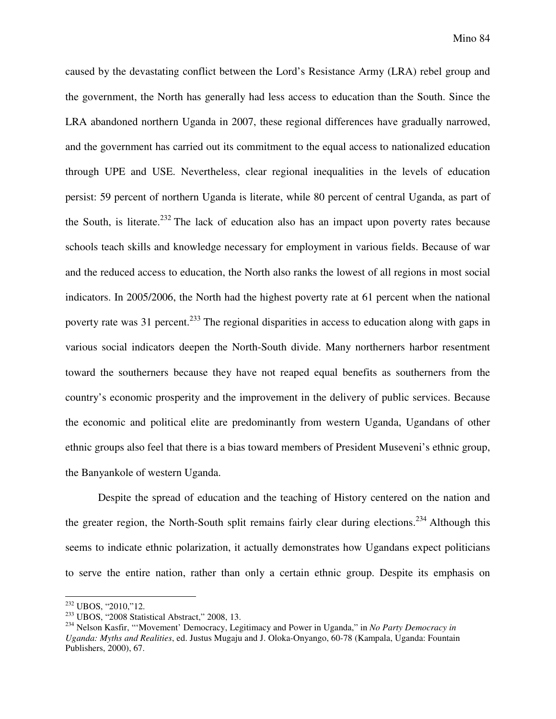caused by the devastating conflict between the Lord's Resistance Army (LRA) rebel group and the government, the North has generally had less access to education than the South. Since the LRA abandoned northern Uganda in 2007, these regional differences have gradually narrowed, and the government has carried out its commitment to the equal access to nationalized education through UPE and USE. Nevertheless, clear regional inequalities in the levels of education persist: 59 percent of northern Uganda is literate, while 80 percent of central Uganda, as part of the South, is literate.<sup>232</sup> The lack of education also has an impact upon poverty rates because schools teach skills and knowledge necessary for employment in various fields. Because of war and the reduced access to education, the North also ranks the lowest of all regions in most social indicators. In 2005/2006, the North had the highest poverty rate at 61 percent when the national poverty rate was 31 percent.<sup>233</sup> The regional disparities in access to education along with gaps in various social indicators deepen the North-South divide. Many northerners harbor resentment toward the southerners because they have not reaped equal benefits as southerners from the country's economic prosperity and the improvement in the delivery of public services. Because the economic and political elite are predominantly from western Uganda, Ugandans of other ethnic groups also feel that there is a bias toward members of President Museveni's ethnic group, the Banyankole of western Uganda.

Despite the spread of education and the teaching of History centered on the nation and the greater region, the North-South split remains fairly clear during elections.<sup>234</sup> Although this seems to indicate ethnic polarization, it actually demonstrates how Ugandans expect politicians to serve the entire nation, rather than only a certain ethnic group. Despite its emphasis on

<sup>&</sup>lt;sup>232</sup> UBOS, "2010,"12.

<sup>233</sup> UBOS, "2008 Statistical Abstract," 2008, 13.

<sup>234</sup> Nelson Kasfir, "'Movement' Democracy, Legitimacy and Power in Uganda," in *No Party Democracy in Uganda: Myths and Realities*, ed. Justus Mugaju and J. Oloka-Onyango, 60-78 (Kampala, Uganda: Fountain Publishers, 2000), 67.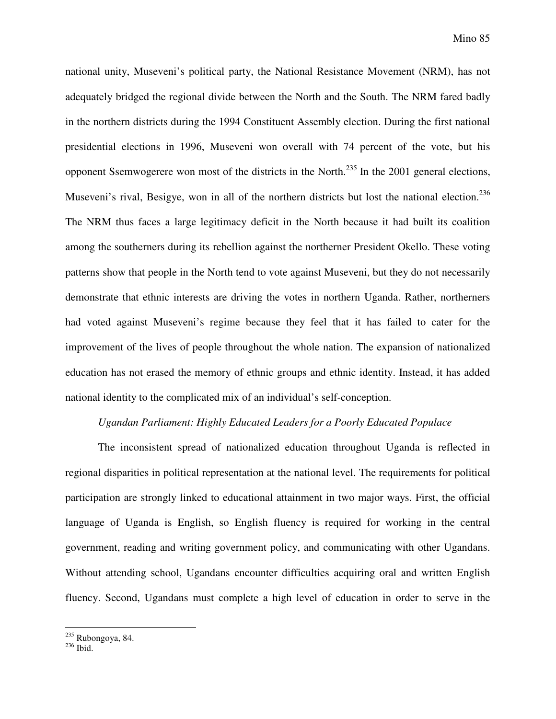national unity, Museveni's political party, the National Resistance Movement (NRM), has not adequately bridged the regional divide between the North and the South. The NRM fared badly in the northern districts during the 1994 Constituent Assembly election. During the first national presidential elections in 1996, Museveni won overall with 74 percent of the vote, but his opponent Ssemwogerere won most of the districts in the North.<sup>235</sup> In the 2001 general elections, Museveni's rival, Besigye, won in all of the northern districts but lost the national election.<sup>236</sup> The NRM thus faces a large legitimacy deficit in the North because it had built its coalition among the southerners during its rebellion against the northerner President Okello. These voting patterns show that people in the North tend to vote against Museveni, but they do not necessarily demonstrate that ethnic interests are driving the votes in northern Uganda. Rather, northerners had voted against Museveni's regime because they feel that it has failed to cater for the improvement of the lives of people throughout the whole nation. The expansion of nationalized education has not erased the memory of ethnic groups and ethnic identity. Instead, it has added national identity to the complicated mix of an individual's self-conception.

### *Ugandan Parliament: Highly Educated Leaders for a Poorly Educated Populace*

The inconsistent spread of nationalized education throughout Uganda is reflected in regional disparities in political representation at the national level. The requirements for political participation are strongly linked to educational attainment in two major ways. First, the official language of Uganda is English, so English fluency is required for working in the central government, reading and writing government policy, and communicating with other Ugandans. Without attending school, Ugandans encounter difficulties acquiring oral and written English fluency. Second, Ugandans must complete a high level of education in order to serve in the

 $235$  Rubongoya, 84.

<sup>236</sup> Ibid.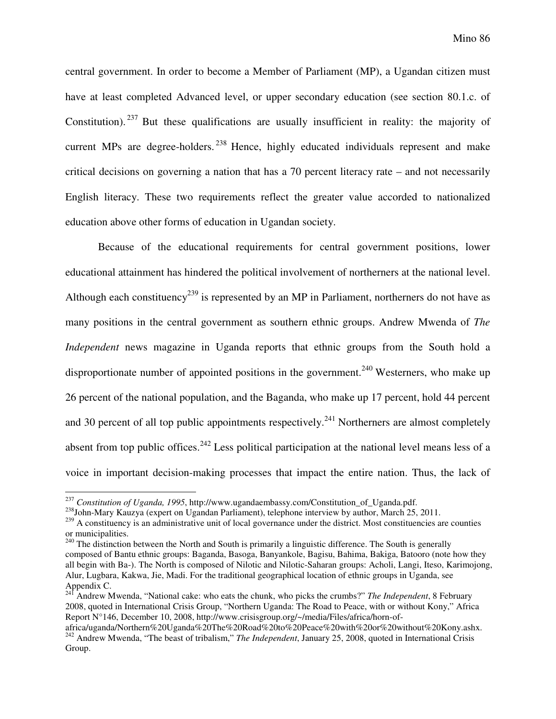central government. In order to become a Member of Parliament (MP), a Ugandan citizen must have at least completed Advanced level, or upper secondary education (see section 80.1.c. of Constitution). <sup>237</sup> But these qualifications are usually insufficient in reality: the majority of current MPs are degree-holders.<sup>238</sup> Hence, highly educated individuals represent and make critical decisions on governing a nation that has a 70 percent literacy rate – and not necessarily English literacy. These two requirements reflect the greater value accorded to nationalized education above other forms of education in Ugandan society.

Because of the educational requirements for central government positions, lower educational attainment has hindered the political involvement of northerners at the national level. Although each constituency<sup>239</sup> is represented by an MP in Parliament, northerners do not have as many positions in the central government as southern ethnic groups. Andrew Mwenda of *The Independent* news magazine in Uganda reports that ethnic groups from the South hold a disproportionate number of appointed positions in the government.<sup>240</sup> Westerners, who make up 26 percent of the national population, and the Baganda, who make up 17 percent, hold 44 percent and 30 percent of all top public appointments respectively.<sup>241</sup> Northerners are almost completely absent from top public offices.<sup>242</sup> Less political participation at the national level means less of a voice in important decision-making processes that impact the entire nation. Thus, the lack of

<sup>237</sup> *Constitution of Uganda, 1995*, http://www.ugandaembassy.com/Constitution\_of\_Uganda.pdf.

<sup>&</sup>lt;sup>238</sup>John-Mary Kauzya (expert on Ugandan Parliament), telephone interview by author, March 25, 2011.

<sup>&</sup>lt;sup>239</sup> A constituency is an administrative unit of local governance under the district. Most constituencies are counties or municipalities.

 $240$  The distinction between the North and South is primarily a linguistic difference. The South is generally composed of Bantu ethnic groups: Baganda, Basoga, Banyankole, Bagisu, Bahima, Bakiga, Batooro (note how they all begin with Ba-). The North is composed of Nilotic and Nilotic-Saharan groups: Acholi, Langi, Iteso, Karimojong, Alur, Lugbara, Kakwa, Jie, Madi. For the traditional geographical location of ethnic groups in Uganda, see Appendix C.

<sup>241</sup> Andrew Mwenda, "National cake: who eats the chunk, who picks the crumbs?" *The Independent*, 8 February 2008, quoted in International Crisis Group, "Northern Uganda: The Road to Peace, with or without Kony," Africa Report N°146, December 10, 2008, http://www.crisisgroup.org/~/media/Files/africa/horn-of-

africa/uganda/Northern%20Uganda%20The%20Road%20to%20Peace%20with%20or%20without%20Kony.ashx. <sup>242</sup> Andrew Mwenda, "The beast of tribalism," *The Independent*, January 25, 2008, quoted in International Crisis Group.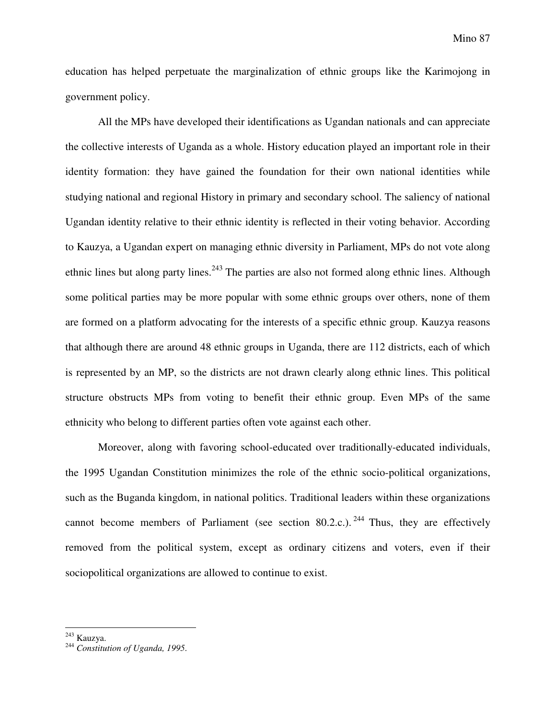education has helped perpetuate the marginalization of ethnic groups like the Karimojong in government policy.

All the MPs have developed their identifications as Ugandan nationals and can appreciate the collective interests of Uganda as a whole. History education played an important role in their identity formation: they have gained the foundation for their own national identities while studying national and regional History in primary and secondary school. The saliency of national Ugandan identity relative to their ethnic identity is reflected in their voting behavior. According to Kauzya, a Ugandan expert on managing ethnic diversity in Parliament, MPs do not vote along ethnic lines but along party lines.<sup>243</sup> The parties are also not formed along ethnic lines. Although some political parties may be more popular with some ethnic groups over others, none of them are formed on a platform advocating for the interests of a specific ethnic group. Kauzya reasons that although there are around 48 ethnic groups in Uganda, there are 112 districts, each of which is represented by an MP, so the districts are not drawn clearly along ethnic lines. This political structure obstructs MPs from voting to benefit their ethnic group. Even MPs of the same ethnicity who belong to different parties often vote against each other.

Moreover, along with favoring school-educated over traditionally-educated individuals, the 1995 Ugandan Constitution minimizes the role of the ethnic socio-political organizations, such as the Buganda kingdom, in national politics. Traditional leaders within these organizations cannot become members of Parliament (see section 80.2.c.). <sup>244</sup> Thus, they are effectively removed from the political system, except as ordinary citizens and voters, even if their sociopolitical organizations are allowed to continue to exist.

<sup>243</sup> Kauzya.

<sup>244</sup> *Constitution of Uganda, 1995*.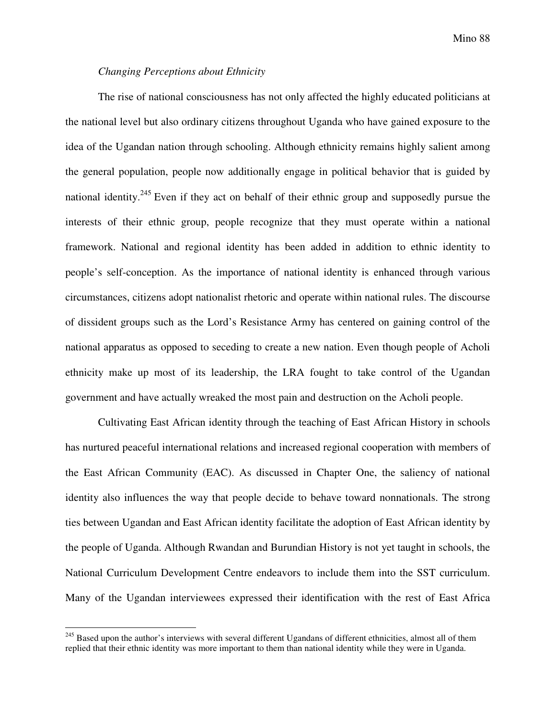# *Changing Perceptions about Ethnicity*

The rise of national consciousness has not only affected the highly educated politicians at the national level but also ordinary citizens throughout Uganda who have gained exposure to the idea of the Ugandan nation through schooling. Although ethnicity remains highly salient among the general population, people now additionally engage in political behavior that is guided by national identity.<sup>245</sup> Even if they act on behalf of their ethnic group and supposedly pursue the interests of their ethnic group, people recognize that they must operate within a national framework. National and regional identity has been added in addition to ethnic identity to people's self-conception. As the importance of national identity is enhanced through various circumstances, citizens adopt nationalist rhetoric and operate within national rules. The discourse of dissident groups such as the Lord's Resistance Army has centered on gaining control of the national apparatus as opposed to seceding to create a new nation. Even though people of Acholi ethnicity make up most of its leadership, the LRA fought to take control of the Ugandan government and have actually wreaked the most pain and destruction on the Acholi people.

Cultivating East African identity through the teaching of East African History in schools has nurtured peaceful international relations and increased regional cooperation with members of the East African Community (EAC). As discussed in Chapter One, the saliency of national identity also influences the way that people decide to behave toward nonnationals. The strong ties between Ugandan and East African identity facilitate the adoption of East African identity by the people of Uganda. Although Rwandan and Burundian History is not yet taught in schools, the National Curriculum Development Centre endeavors to include them into the SST curriculum. Many of the Ugandan interviewees expressed their identification with the rest of East Africa

<sup>&</sup>lt;sup>245</sup> Based upon the author's interviews with several different Ugandans of different ethnicities, almost all of them replied that their ethnic identity was more important to them than national identity while they were in Uganda.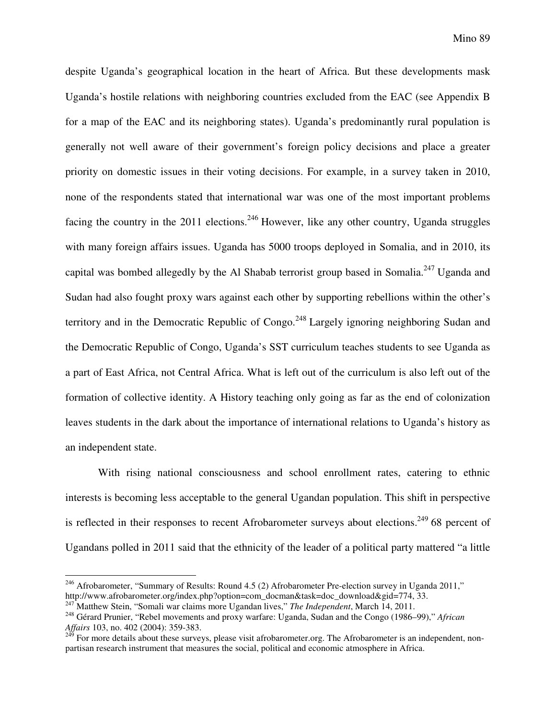despite Uganda's geographical location in the heart of Africa. But these developments mask Uganda's hostile relations with neighboring countries excluded from the EAC (see Appendix B for a map of the EAC and its neighboring states). Uganda's predominantly rural population is generally not well aware of their government's foreign policy decisions and place a greater priority on domestic issues in their voting decisions. For example, in a survey taken in 2010, none of the respondents stated that international war was one of the most important problems facing the country in the  $2011$  elections.<sup>246</sup> However, like any other country, Uganda struggles with many foreign affairs issues. Uganda has 5000 troops deployed in Somalia, and in 2010, its capital was bombed allegedly by the Al Shabab terrorist group based in Somalia.<sup>247</sup> Uganda and Sudan had also fought proxy wars against each other by supporting rebellions within the other's territory and in the Democratic Republic of Congo.<sup>248</sup> Largely ignoring neighboring Sudan and the Democratic Republic of Congo, Uganda's SST curriculum teaches students to see Uganda as a part of East Africa, not Central Africa. What is left out of the curriculum is also left out of the formation of collective identity. A History teaching only going as far as the end of colonization leaves students in the dark about the importance of international relations to Uganda's history as an independent state.

With rising national consciousness and school enrollment rates, catering to ethnic interests is becoming less acceptable to the general Ugandan population. This shift in perspective is reflected in their responses to recent Afrobarometer surveys about elections.<sup>249</sup> 68 percent of Ugandans polled in 2011 said that the ethnicity of the leader of a political party mattered "a little

<sup>&</sup>lt;sup>246</sup> Afrobarometer, "Summary of Results: Round 4.5 (2) Afrobarometer Pre-election survey in Uganda 2011," http://www.afrobarometer.org/index.php?option=com\_docman&task=doc\_download&gid=774, 33.

<sup>&</sup>lt;sup>247</sup> Matthew Stein, "Somali war claims more Ugandan lives," *The Independent*, March 14, 2011.

<sup>248</sup> Gérard Prunier, "Rebel movements and proxy warfare: Uganda, Sudan and the Congo (1986–99)," *African Affairs* 103, no. 402 (2004): 359-383.

<sup>&</sup>lt;sup>249</sup> For more details about these surveys, please visit afrobarometer.org. The Afrobarometer is an independent, nonpartisan research instrument that measures the social, political and economic atmosphere in Africa.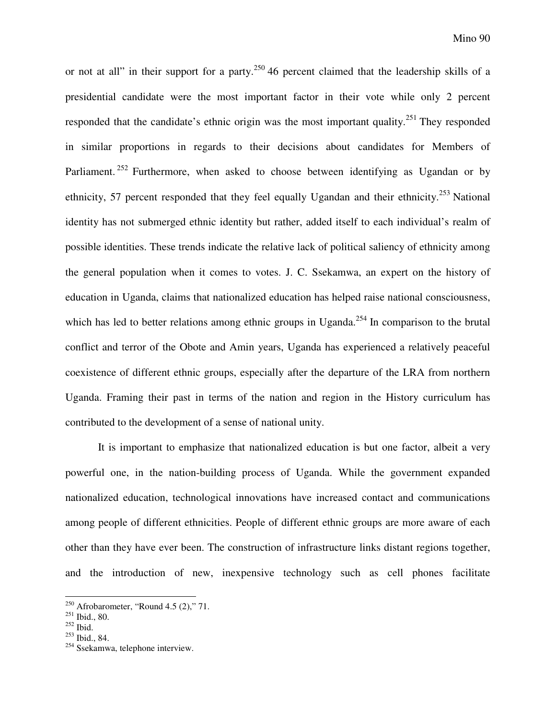or not at all" in their support for a party.<sup>250</sup> 46 percent claimed that the leadership skills of a presidential candidate were the most important factor in their vote while only 2 percent responded that the candidate's ethnic origin was the most important quality.<sup>251</sup> They responded in similar proportions in regards to their decisions about candidates for Members of Parliament.<sup>252</sup> Furthermore, when asked to choose between identifying as Ugandan or by ethnicity, 57 percent responded that they feel equally Ugandan and their ethnicity.<sup>253</sup> National identity has not submerged ethnic identity but rather, added itself to each individual's realm of possible identities. These trends indicate the relative lack of political saliency of ethnicity among the general population when it comes to votes. J. C. Ssekamwa, an expert on the history of education in Uganda, claims that nationalized education has helped raise national consciousness, which has led to better relations among ethnic groups in Uganda.<sup>254</sup> In comparison to the brutal conflict and terror of the Obote and Amin years, Uganda has experienced a relatively peaceful coexistence of different ethnic groups, especially after the departure of the LRA from northern Uganda. Framing their past in terms of the nation and region in the History curriculum has contributed to the development of a sense of national unity.

It is important to emphasize that nationalized education is but one factor, albeit a very powerful one, in the nation-building process of Uganda. While the government expanded nationalized education, technological innovations have increased contact and communications among people of different ethnicities. People of different ethnic groups are more aware of each other than they have ever been. The construction of infrastructure links distant regions together, and the introduction of new, inexpensive technology such as cell phones facilitate

<sup>&</sup>lt;sup>250</sup> Afrobarometer, "Round 4.5  $(2)$ ," 71.

<sup>251</sup> Ibid., 80.

 $^{252}$  Ibid.

<sup>253</sup> Ibid., 84.

<sup>&</sup>lt;sup>254</sup> Ssekamwa, telephone interview.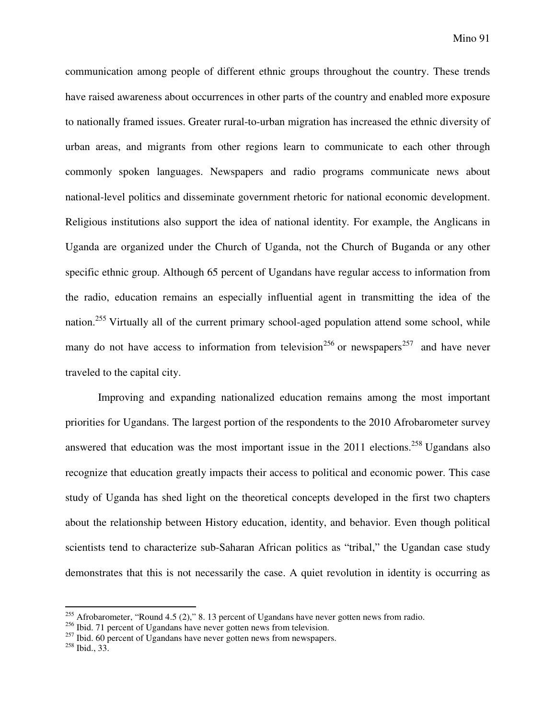communication among people of different ethnic groups throughout the country. These trends have raised awareness about occurrences in other parts of the country and enabled more exposure to nationally framed issues. Greater rural-to-urban migration has increased the ethnic diversity of urban areas, and migrants from other regions learn to communicate to each other through commonly spoken languages. Newspapers and radio programs communicate news about national-level politics and disseminate government rhetoric for national economic development. Religious institutions also support the idea of national identity. For example, the Anglicans in Uganda are organized under the Church of Uganda, not the Church of Buganda or any other specific ethnic group. Although 65 percent of Ugandans have regular access to information from the radio, education remains an especially influential agent in transmitting the idea of the nation.<sup>255</sup> Virtually all of the current primary school-aged population attend some school, while many do not have access to information from television<sup>256</sup> or newspapers<sup>257</sup> and have never traveled to the capital city.

Improving and expanding nationalized education remains among the most important priorities for Ugandans. The largest portion of the respondents to the 2010 Afrobarometer survey answered that education was the most important issue in the  $2011$  elections.<sup>258</sup> Ugandans also recognize that education greatly impacts their access to political and economic power. This case study of Uganda has shed light on the theoretical concepts developed in the first two chapters about the relationship between History education, identity, and behavior. Even though political scientists tend to characterize sub-Saharan African politics as "tribal," the Ugandan case study demonstrates that this is not necessarily the case. A quiet revolution in identity is occurring as

<sup>&</sup>lt;sup>255</sup> Afrobarometer, "Round 4.5 (2)," 8. 13 percent of Ugandans have never gotten news from radio.

<sup>&</sup>lt;sup>256</sup> Ibid. 71 percent of Ugandans have never gotten news from television.

<sup>&</sup>lt;sup>257</sup> Ibid. 60 percent of Ugandans have never gotten news from newspapers.

<sup>258</sup> Ibid., 33.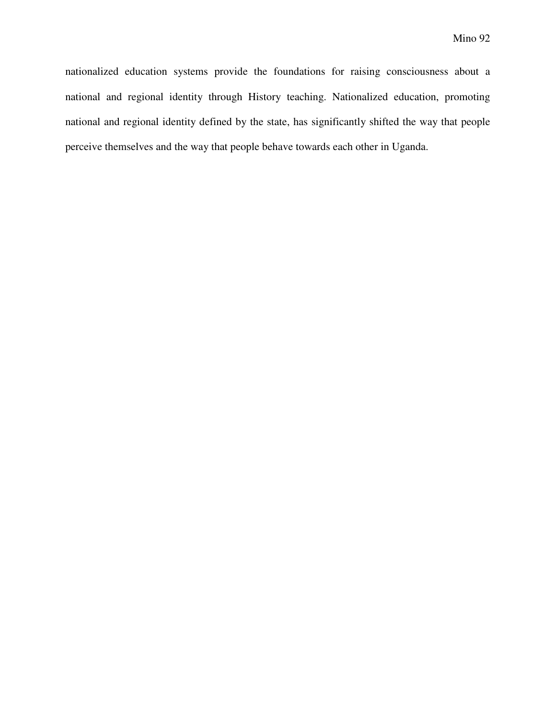nationalized education systems provide the foundations for raising consciousness about a national and regional identity through History teaching. Nationalized education, promoting national and regional identity defined by the state, has significantly shifted the way that people perceive themselves and the way that people behave towards each other in Uganda.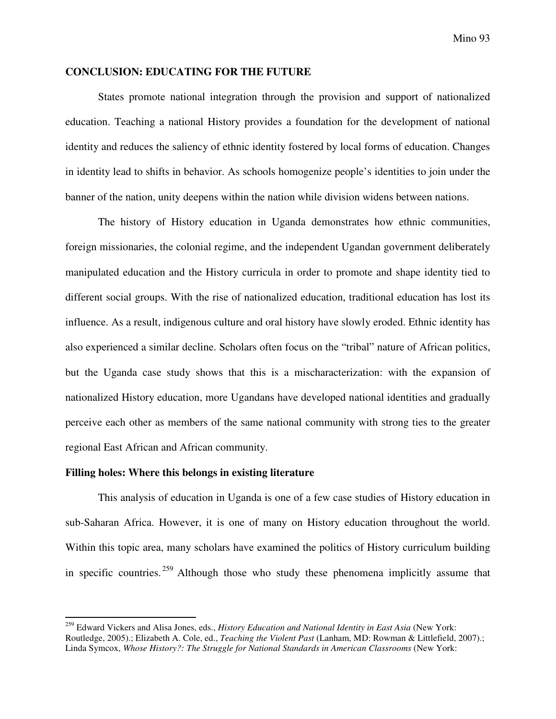# **CONCLUSION: EDUCATING FOR THE FUTURE**

States promote national integration through the provision and support of nationalized education. Teaching a national History provides a foundation for the development of national identity and reduces the saliency of ethnic identity fostered by local forms of education. Changes in identity lead to shifts in behavior. As schools homogenize people's identities to join under the banner of the nation, unity deepens within the nation while division widens between nations.

The history of History education in Uganda demonstrates how ethnic communities, foreign missionaries, the colonial regime, and the independent Ugandan government deliberately manipulated education and the History curricula in order to promote and shape identity tied to different social groups. With the rise of nationalized education, traditional education has lost its influence. As a result, indigenous culture and oral history have slowly eroded. Ethnic identity has also experienced a similar decline. Scholars often focus on the "tribal" nature of African politics, but the Uganda case study shows that this is a mischaracterization: with the expansion of nationalized History education, more Ugandans have developed national identities and gradually perceive each other as members of the same national community with strong ties to the greater regional East African and African community.

#### **Filling holes: Where this belongs in existing literature**

l

This analysis of education in Uganda is one of a few case studies of History education in sub-Saharan Africa. However, it is one of many on History education throughout the world. Within this topic area, many scholars have examined the politics of History curriculum building in specific countries.  $259$  Although those who study these phenomena implicitly assume that

<sup>259</sup> Edward Vickers and Alisa Jones, eds., *History Education and National Identity in East Asia* (New York: Routledge, 2005).; Elizabeth A. Cole, ed., *Teaching the Violent Past* (Lanham, MD: Rowman & Littlefield, 2007).; Linda Symcox, *Whose History?: The Struggle for National Standards in American Classrooms* (New York: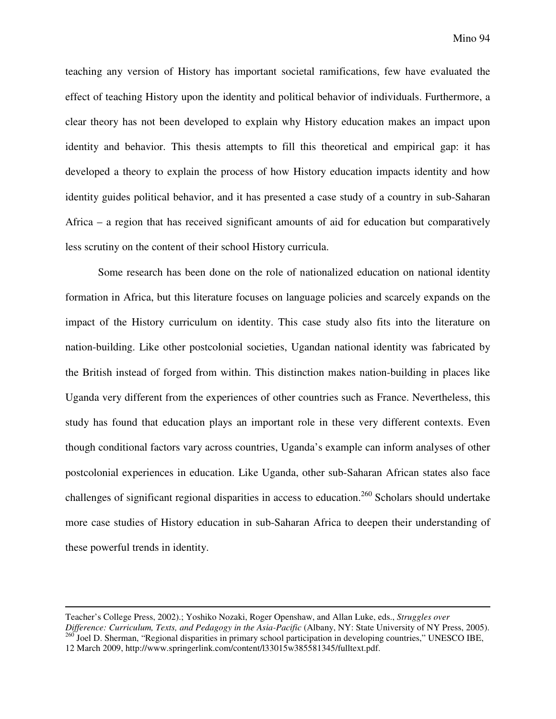teaching any version of History has important societal ramifications, few have evaluated the effect of teaching History upon the identity and political behavior of individuals. Furthermore, a clear theory has not been developed to explain why History education makes an impact upon identity and behavior. This thesis attempts to fill this theoretical and empirical gap: it has developed a theory to explain the process of how History education impacts identity and how identity guides political behavior, and it has presented a case study of a country in sub-Saharan Africa – a region that has received significant amounts of aid for education but comparatively less scrutiny on the content of their school History curricula.

Some research has been done on the role of nationalized education on national identity formation in Africa, but this literature focuses on language policies and scarcely expands on the impact of the History curriculum on identity. This case study also fits into the literature on nation-building. Like other postcolonial societies, Ugandan national identity was fabricated by the British instead of forged from within. This distinction makes nation-building in places like Uganda very different from the experiences of other countries such as France. Nevertheless, this study has found that education plays an important role in these very different contexts. Even though conditional factors vary across countries, Uganda's example can inform analyses of other postcolonial experiences in education. Like Uganda, other sub-Saharan African states also face challenges of significant regional disparities in access to education.<sup>260</sup> Scholars should undertake more case studies of History education in sub-Saharan Africa to deepen their understanding of these powerful trends in identity.

Teacher's College Press, 2002).; Yoshiko Nozaki, Roger Openshaw, and Allan Luke, eds., *Struggles over Difference: Curriculum, Texts, and Pedagogy in the Asia-Pacific* (Albany, NY: State University of NY Press, 2005). <sup>260</sup> Joel D. Sherman, "Regional disparities in primary school participation in developing countries," UNESCO IBE, 12 March 2009, http://www.springerlink.com/content/l33015w385581345/fulltext.pdf.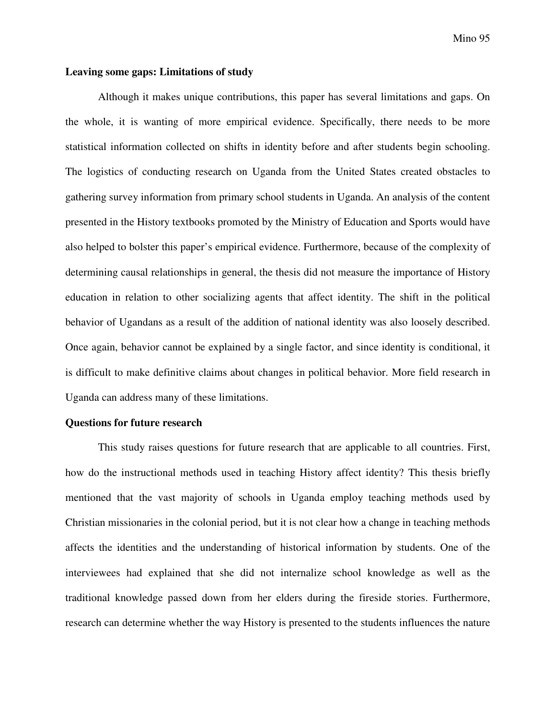# **Leaving some gaps: Limitations of study**

Although it makes unique contributions, this paper has several limitations and gaps. On the whole, it is wanting of more empirical evidence. Specifically, there needs to be more statistical information collected on shifts in identity before and after students begin schooling. The logistics of conducting research on Uganda from the United States created obstacles to gathering survey information from primary school students in Uganda. An analysis of the content presented in the History textbooks promoted by the Ministry of Education and Sports would have also helped to bolster this paper's empirical evidence. Furthermore, because of the complexity of determining causal relationships in general, the thesis did not measure the importance of History education in relation to other socializing agents that affect identity. The shift in the political behavior of Ugandans as a result of the addition of national identity was also loosely described. Once again, behavior cannot be explained by a single factor, and since identity is conditional, it is difficult to make definitive claims about changes in political behavior. More field research in Uganda can address many of these limitations.

### **Questions for future research**

This study raises questions for future research that are applicable to all countries. First, how do the instructional methods used in teaching History affect identity? This thesis briefly mentioned that the vast majority of schools in Uganda employ teaching methods used by Christian missionaries in the colonial period, but it is not clear how a change in teaching methods affects the identities and the understanding of historical information by students. One of the interviewees had explained that she did not internalize school knowledge as well as the traditional knowledge passed down from her elders during the fireside stories. Furthermore, research can determine whether the way History is presented to the students influences the nature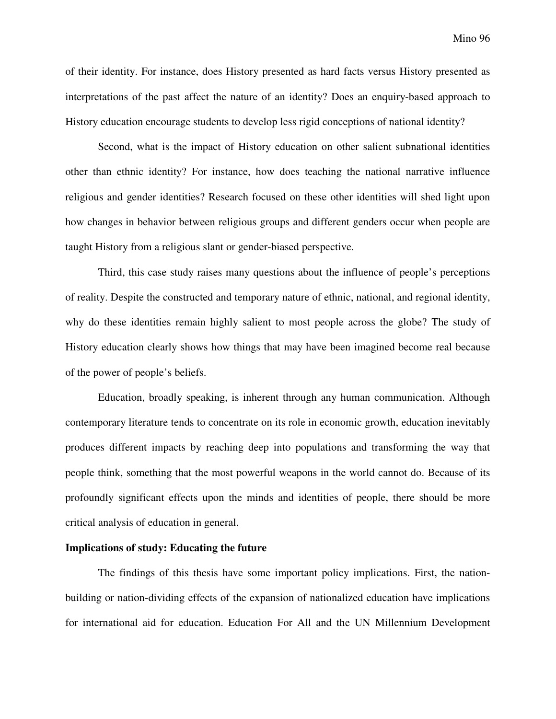of their identity. For instance, does History presented as hard facts versus History presented as interpretations of the past affect the nature of an identity? Does an enquiry-based approach to History education encourage students to develop less rigid conceptions of national identity?

Second, what is the impact of History education on other salient subnational identities other than ethnic identity? For instance, how does teaching the national narrative influence religious and gender identities? Research focused on these other identities will shed light upon how changes in behavior between religious groups and different genders occur when people are taught History from a religious slant or gender-biased perspective.

Third, this case study raises many questions about the influence of people's perceptions of reality. Despite the constructed and temporary nature of ethnic, national, and regional identity, why do these identities remain highly salient to most people across the globe? The study of History education clearly shows how things that may have been imagined become real because of the power of people's beliefs.

Education, broadly speaking, is inherent through any human communication. Although contemporary literature tends to concentrate on its role in economic growth, education inevitably produces different impacts by reaching deep into populations and transforming the way that people think, something that the most powerful weapons in the world cannot do. Because of its profoundly significant effects upon the minds and identities of people, there should be more critical analysis of education in general.

# **Implications of study: Educating the future**

The findings of this thesis have some important policy implications. First, the nationbuilding or nation-dividing effects of the expansion of nationalized education have implications for international aid for education. Education For All and the UN Millennium Development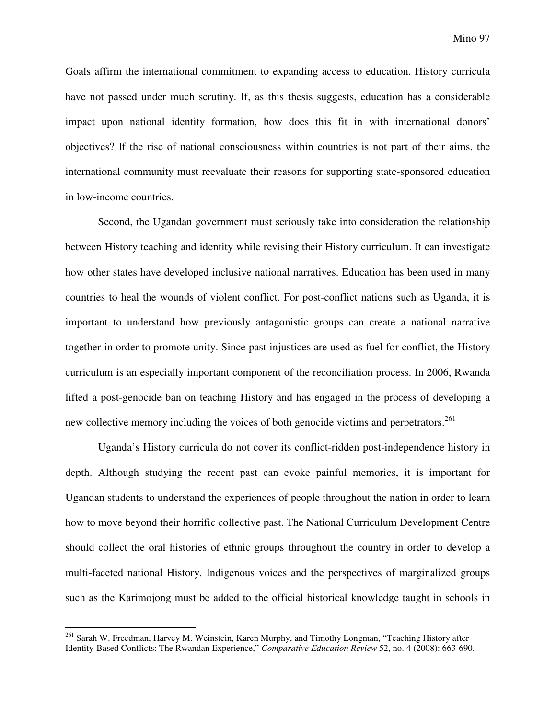Goals affirm the international commitment to expanding access to education. History curricula have not passed under much scrutiny. If, as this thesis suggests, education has a considerable impact upon national identity formation, how does this fit in with international donors' objectives? If the rise of national consciousness within countries is not part of their aims, the international community must reevaluate their reasons for supporting state-sponsored education in low-income countries.

Second, the Ugandan government must seriously take into consideration the relationship between History teaching and identity while revising their History curriculum. It can investigate how other states have developed inclusive national narratives. Education has been used in many countries to heal the wounds of violent conflict. For post-conflict nations such as Uganda, it is important to understand how previously antagonistic groups can create a national narrative together in order to promote unity. Since past injustices are used as fuel for conflict, the History curriculum is an especially important component of the reconciliation process. In 2006, Rwanda lifted a post-genocide ban on teaching History and has engaged in the process of developing a new collective memory including the voices of both genocide victims and perpetrators.<sup>261</sup>

Uganda's History curricula do not cover its conflict-ridden post-independence history in depth. Although studying the recent past can evoke painful memories, it is important for Ugandan students to understand the experiences of people throughout the nation in order to learn how to move beyond their horrific collective past. The National Curriculum Development Centre should collect the oral histories of ethnic groups throughout the country in order to develop a multi-faceted national History. Indigenous voices and the perspectives of marginalized groups such as the Karimojong must be added to the official historical knowledge taught in schools in

<sup>&</sup>lt;sup>261</sup> Sarah W. Freedman, Harvey M. Weinstein, Karen Murphy, and Timothy Longman, "Teaching History after Identity-Based Conflicts: The Rwandan Experience," *Comparative Education Review* 52, no. 4 (2008): 663-690.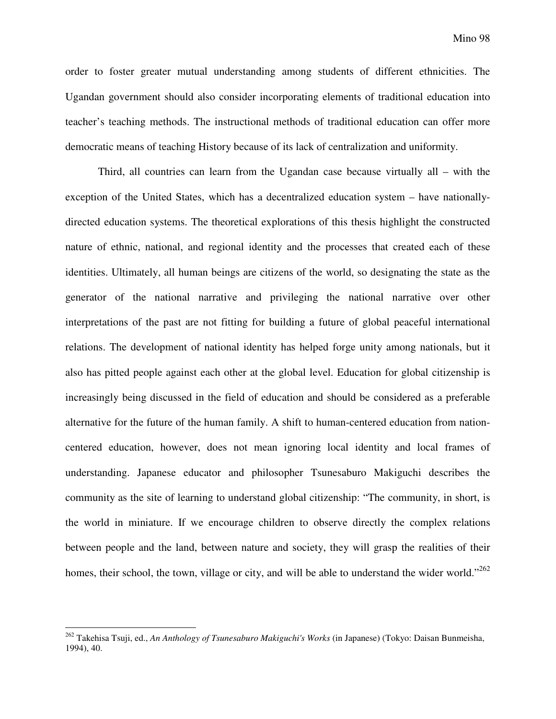order to foster greater mutual understanding among students of different ethnicities. The Ugandan government should also consider incorporating elements of traditional education into teacher's teaching methods. The instructional methods of traditional education can offer more democratic means of teaching History because of its lack of centralization and uniformity.

Third, all countries can learn from the Ugandan case because virtually all – with the exception of the United States, which has a decentralized education system – have nationallydirected education systems. The theoretical explorations of this thesis highlight the constructed nature of ethnic, national, and regional identity and the processes that created each of these identities. Ultimately, all human beings are citizens of the world, so designating the state as the generator of the national narrative and privileging the national narrative over other interpretations of the past are not fitting for building a future of global peaceful international relations. The development of national identity has helped forge unity among nationals, but it also has pitted people against each other at the global level. Education for global citizenship is increasingly being discussed in the field of education and should be considered as a preferable alternative for the future of the human family. A shift to human-centered education from nationcentered education, however, does not mean ignoring local identity and local frames of understanding. Japanese educator and philosopher Tsunesaburo Makiguchi describes the community as the site of learning to understand global citizenship: "The community, in short, is the world in miniature. If we encourage children to observe directly the complex relations between people and the land, between nature and society, they will grasp the realities of their homes, their school, the town, village or city, and will be able to understand the wider world."<sup>262</sup>

<sup>262</sup> Takehisa Tsuji, ed., *An Anthology of Tsunesaburo Makiguchi's Works* (in Japanese) (Tokyo: Daisan Bunmeisha, 1994), 40.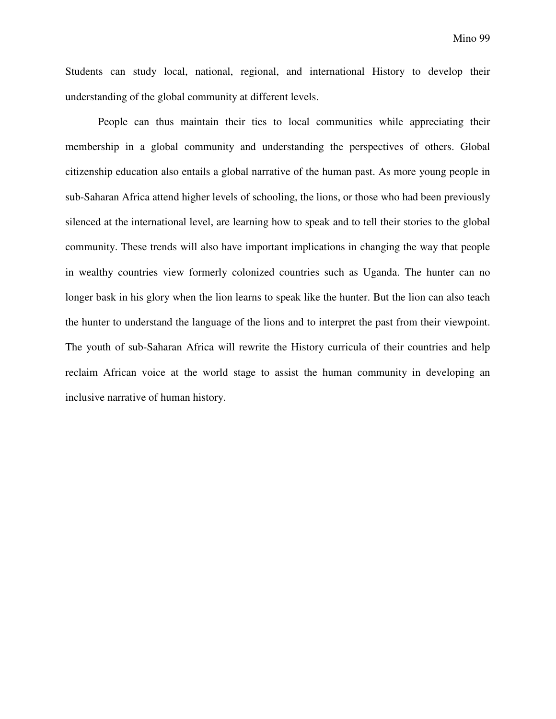Students can study local, national, regional, and international History to develop their understanding of the global community at different levels.

People can thus maintain their ties to local communities while appreciating their membership in a global community and understanding the perspectives of others. Global citizenship education also entails a global narrative of the human past. As more young people in sub-Saharan Africa attend higher levels of schooling, the lions, or those who had been previously silenced at the international level, are learning how to speak and to tell their stories to the global community. These trends will also have important implications in changing the way that people in wealthy countries view formerly colonized countries such as Uganda. The hunter can no longer bask in his glory when the lion learns to speak like the hunter. But the lion can also teach the hunter to understand the language of the lions and to interpret the past from their viewpoint. The youth of sub-Saharan Africa will rewrite the History curricula of their countries and help reclaim African voice at the world stage to assist the human community in developing an inclusive narrative of human history.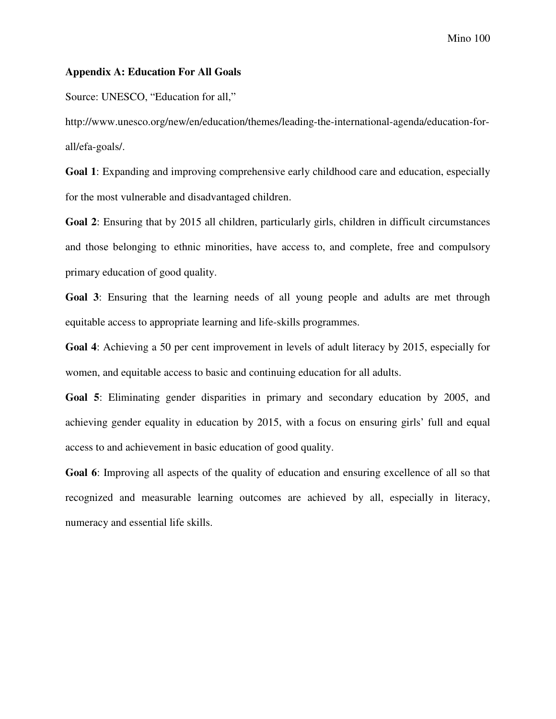## **Appendix A: Education For All Goals**

Source: UNESCO, "Education for all,"

http://www.unesco.org/new/en/education/themes/leading-the-international-agenda/education-forall/efa-goals/.

**Goal 1**: Expanding and improving comprehensive early childhood care and education, especially for the most vulnerable and disadvantaged children.

**Goal 2**: Ensuring that by 2015 all children, particularly girls, children in difficult circumstances and those belonging to ethnic minorities, have access to, and complete, free and compulsory primary education of good quality.

**Goal 3**: Ensuring that the learning needs of all young people and adults are met through equitable access to appropriate learning and life-skills programmes.

**Goal 4**: Achieving a 50 per cent improvement in levels of adult literacy by 2015, especially for women, and equitable access to basic and continuing education for all adults.

**Goal 5**: Eliminating gender disparities in primary and secondary education by 2005, and achieving gender equality in education by 2015, with a focus on ensuring girls' full and equal access to and achievement in basic education of good quality.

**Goal 6**: Improving all aspects of the quality of education and ensuring excellence of all so that recognized and measurable learning outcomes are achieved by all, especially in literacy, numeracy and essential life skills.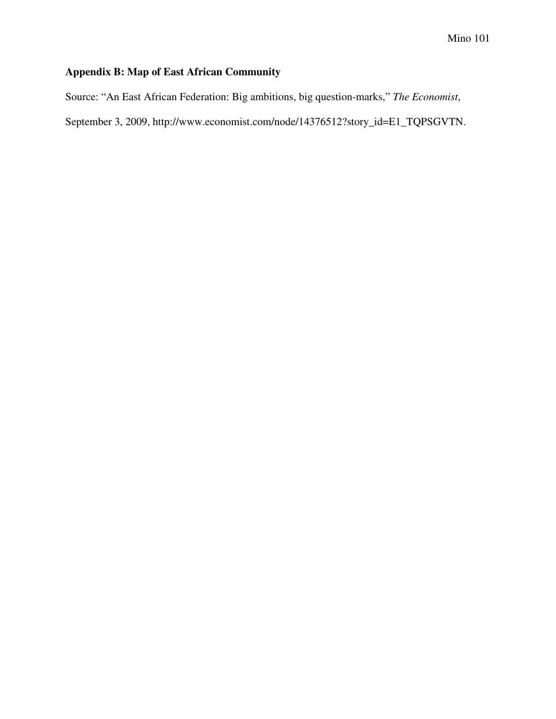# **Appendix B: Map of East African Community**

Source: "An East African Federation: Big ambitions, big question-marks," *The Economist*, September 3, 2009, http://www.economist.com/node/14376512?story\_id=E1\_TQPSGVTN.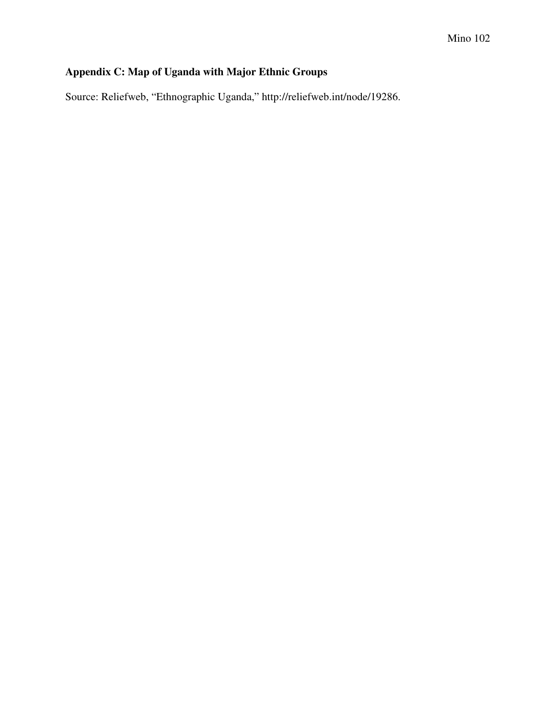# **Appendix C: Map of Uganda with Major Ethnic Groups**

Source: Reliefweb, "Ethnographic Uganda," http://reliefweb.int/node/19286.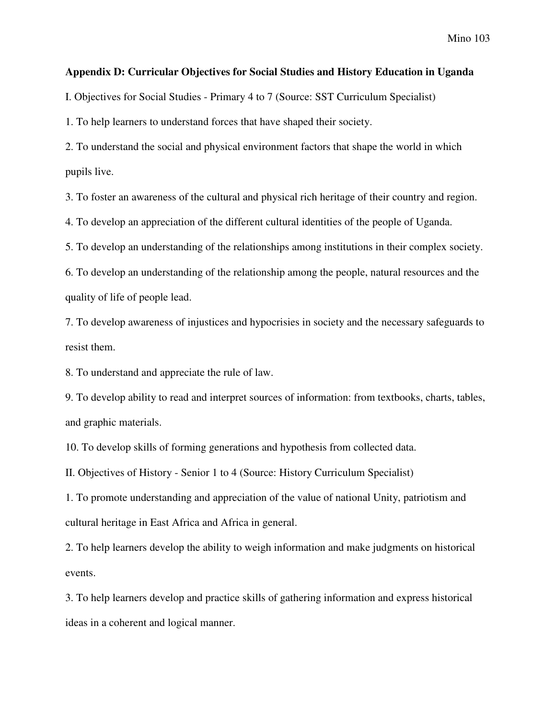Mino 103

# **Appendix D: Curricular Objectives for Social Studies and History Education in Uganda**

I. Objectives for Social Studies - Primary 4 to 7 (Source: SST Curriculum Specialist)

1. To help learners to understand forces that have shaped their society.

2. To understand the social and physical environment factors that shape the world in which pupils live.

3. To foster an awareness of the cultural and physical rich heritage of their country and region.

4. To develop an appreciation of the different cultural identities of the people of Uganda.

5. To develop an understanding of the relationships among institutions in their complex society.

6. To develop an understanding of the relationship among the people, natural resources and the quality of life of people lead.

7. To develop awareness of injustices and hypocrisies in society and the necessary safeguards to resist them.

8. To understand and appreciate the rule of law.

9. To develop ability to read and interpret sources of information: from textbooks, charts, tables, and graphic materials.

10. To develop skills of forming generations and hypothesis from collected data.

II. Objectives of History - Senior 1 to 4 (Source: History Curriculum Specialist)

1. To promote understanding and appreciation of the value of national Unity, patriotism and cultural heritage in East Africa and Africa in general.

2. To help learners develop the ability to weigh information and make judgments on historical events.

3. To help learners develop and practice skills of gathering information and express historical ideas in a coherent and logical manner.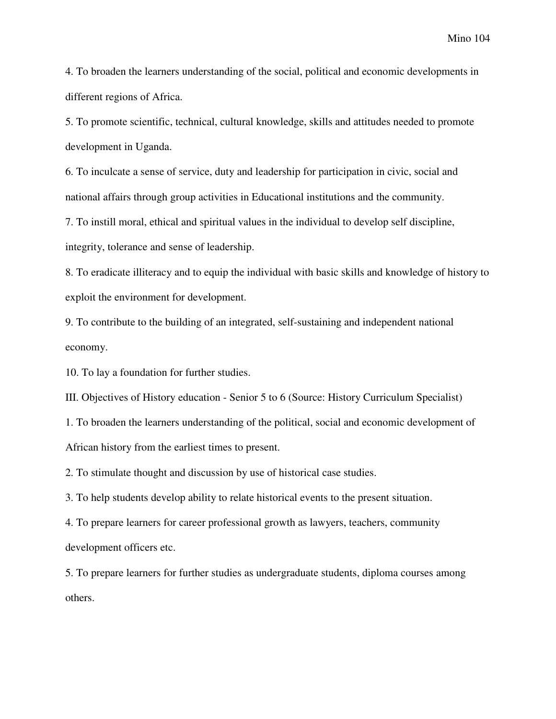4. To broaden the learners understanding of the social, political and economic developments in different regions of Africa.

5. To promote scientific, technical, cultural knowledge, skills and attitudes needed to promote development in Uganda.

6. To inculcate a sense of service, duty and leadership for participation in civic, social and national affairs through group activities in Educational institutions and the community.

7. To instill moral, ethical and spiritual values in the individual to develop self discipline, integrity, tolerance and sense of leadership.

8. To eradicate illiteracy and to equip the individual with basic skills and knowledge of history to exploit the environment for development.

9. To contribute to the building of an integrated, self-sustaining and independent national economy.

10. To lay a foundation for further studies.

III. Objectives of History education - Senior 5 to 6 (Source: History Curriculum Specialist)

1. To broaden the learners understanding of the political, social and economic development of African history from the earliest times to present.

2. To stimulate thought and discussion by use of historical case studies.

3. To help students develop ability to relate historical events to the present situation.

4. To prepare learners for career professional growth as lawyers, teachers, community development officers etc.

5. To prepare learners for further studies as undergraduate students, diploma courses among others.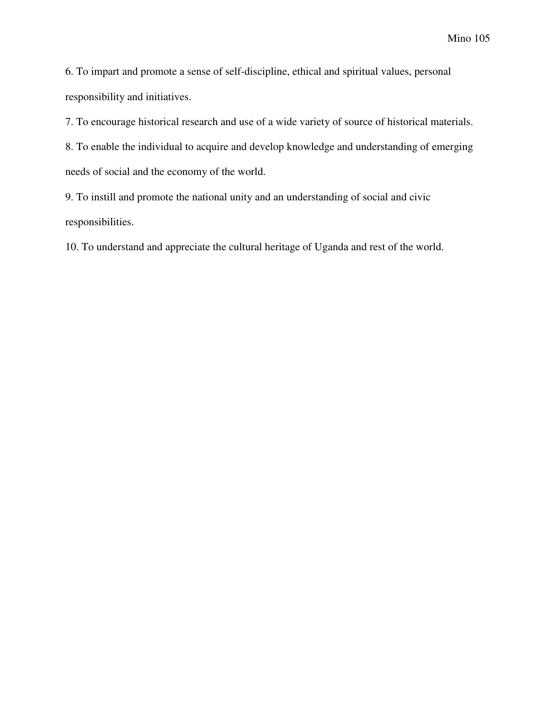6. To impart and promote a sense of self-discipline, ethical and spiritual values, personal responsibility and initiatives.

7. To encourage historical research and use of a wide variety of source of historical materials.

8. To enable the individual to acquire and develop knowledge and understanding of emerging needs of social and the economy of the world.

9. To instill and promote the national unity and an understanding of social and civic responsibilities.

10. To understand and appreciate the cultural heritage of Uganda and rest of the world.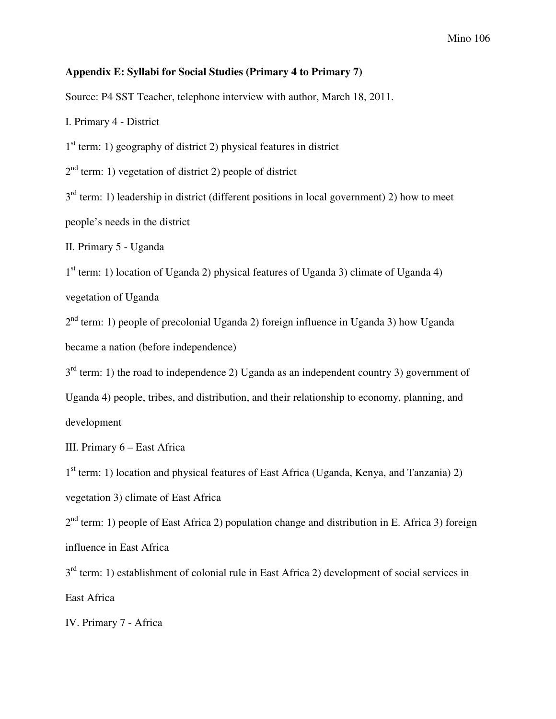# **Appendix E: Syllabi for Social Studies (Primary 4 to Primary 7)**

Source: P4 SST Teacher, telephone interview with author, March 18, 2011.

I. Primary 4 - District

1<sup>st</sup> term: 1) geography of district 2) physical features in district

 $2<sup>nd</sup>$  term: 1) vegetation of district 2) people of district

 $3<sup>rd</sup>$  term: 1) leadership in district (different positions in local government) 2) how to meet people's needs in the district

II. Primary 5 - Uganda

1<sup>st</sup> term: 1) location of Uganda 2) physical features of Uganda 3) climate of Uganda 4) vegetation of Uganda

 $2<sup>nd</sup>$  term: 1) people of precolonial Uganda 2) foreign influence in Uganda 3) how Uganda became a nation (before independence)

 $3<sup>rd</sup>$  term: 1) the road to independence 2) Uganda as an independent country 3) government of Uganda 4) people, tribes, and distribution, and their relationship to economy, planning, and development

III. Primary 6 – East Africa

1<sup>st</sup> term: 1) location and physical features of East Africa (Uganda, Kenya, and Tanzania) 2) vegetation 3) climate of East Africa

 $2<sup>nd</sup>$  term: 1) people of East Africa 2) population change and distribution in E. Africa 3) foreign influence in East Africa

 $3<sup>rd</sup>$  term: 1) establishment of colonial rule in East Africa 2) development of social services in East Africa

IV. Primary 7 - Africa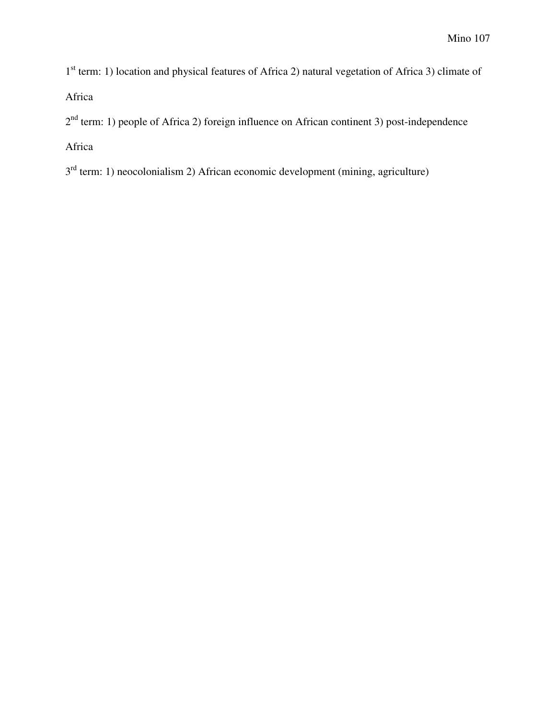1<sup>st</sup> term: 1) location and physical features of Africa 2) natural vegetation of Africa 3) climate of Africa

 $2<sup>nd</sup>$  term: 1) people of Africa 2) foreign influence on African continent 3) post-independence

Africa

 $3<sup>rd</sup>$  term: 1) neocolonialism 2) African economic development (mining, agriculture)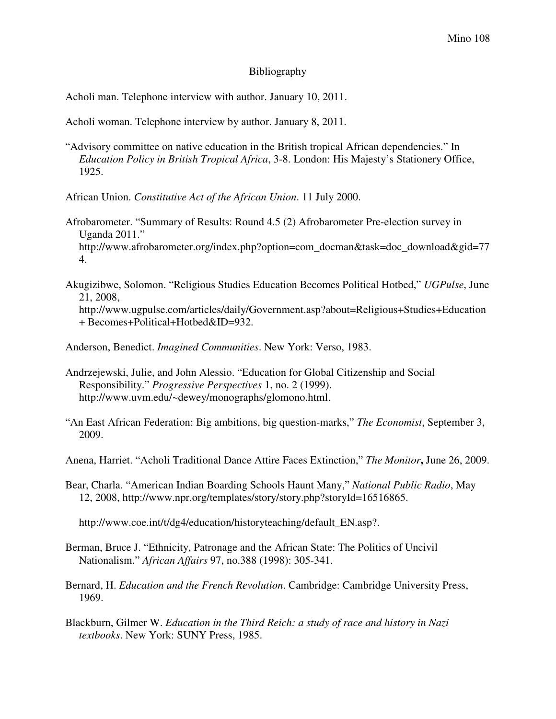## Bibliography

Acholi man. Telephone interview with author. January 10, 2011.

Acholi woman. Telephone interview by author. January 8, 2011.

- "Advisory committee on native education in the British tropical African dependencies." In *Education Policy in British Tropical Africa*, 3-8. London: His Majesty's Stationery Office, 1925.
- African Union. *Constitutive Act of the African Union*. 11 July 2000.
- Afrobarometer. "Summary of Results: Round 4.5 (2) Afrobarometer Pre-election survey in Uganda 2011."

http://www.afrobarometer.org/index.php?option=com\_docman&task=doc\_download&gid=77 4.

Akugizibwe, Solomon. "Religious Studies Education Becomes Political Hotbed," *UGPulse*, June 21, 2008,

 http://www.ugpulse.com/articles/daily/Government.asp?about=Religious+Studies+Education + Becomes+Political+Hotbed&ID=932.

- Anderson, Benedict. *Imagined Communities*. New York: Verso, 1983.
- Andrzejewski, Julie, and John Alessio. "Education for Global Citizenship and Social Responsibility." *Progressive Perspectives* 1, no. 2 (1999). http://www.uvm.edu/~dewey/monographs/glomono.html.
- "An East African Federation: Big ambitions, big question-marks," *The Economist*, September 3, 2009.

Anena, Harriet. "Acholi Traditional Dance Attire Faces Extinction," *The Monitor***,** June 26, 2009.

Bear, Charla. "American Indian Boarding Schools Haunt Many," *National Public Radio*, May 12, 2008, http://www.npr.org/templates/story/story.php?storyId=16516865.

http://www.coe.int/t/dg4/education/historyteaching/default\_EN.asp?.

- Berman, Bruce J. "Ethnicity, Patronage and the African State: The Politics of Uncivil Nationalism." *African Affairs* 97, no.388 (1998): 305-341.
- Bernard, H. *Education and the French Revolution*. Cambridge: Cambridge University Press, 1969.
- Blackburn, Gilmer W. *Education in the Third Reich: a study of race and history in Nazi textbooks*. New York: SUNY Press, 1985.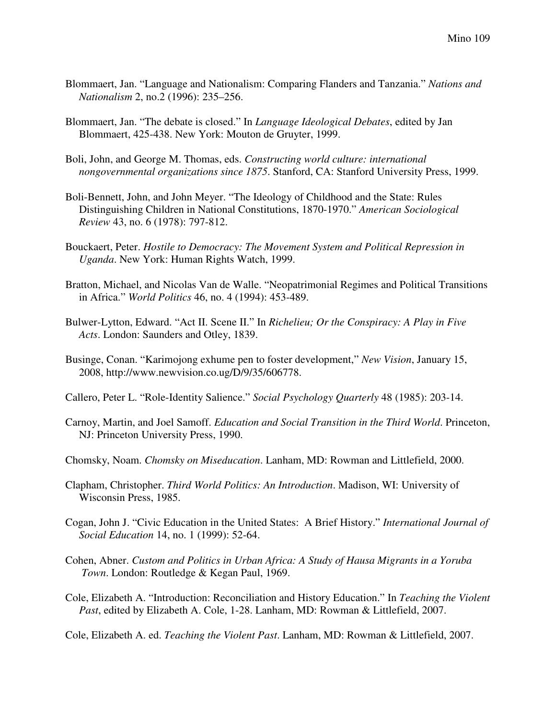- Blommaert, Jan. "Language and Nationalism: Comparing Flanders and Tanzania." *Nations and Nationalism* 2, no.2 (1996): 235–256.
- Blommaert, Jan. "The debate is closed." In *Language Ideological Debates*, edited by Jan Blommaert, 425-438. New York: Mouton de Gruyter, 1999.
- Boli, John, and George M. Thomas, eds. *Constructing world culture: international nongovernmental organizations since 1875*. Stanford, CA: Stanford University Press, 1999.
- Boli-Bennett, John, and John Meyer. "The Ideology of Childhood and the State: Rules Distinguishing Children in National Constitutions, 1870-1970." *American Sociological Review* 43, no. 6 (1978): 797-812.
- Bouckaert, Peter. *Hostile to Democracy: The Movement System and Political Repression in Uganda*. New York: Human Rights Watch, 1999.
- Bratton, Michael, and Nicolas Van de Walle. "Neopatrimonial Regimes and Political Transitions in Africa." *World Politics* 46, no. 4 (1994): 453-489.
- Bulwer-Lytton, Edward. "Act II. Scene II." In *Richelieu; Or the Conspiracy: A Play in Five Acts*. London: Saunders and Otley, 1839.
- Businge, Conan. "Karimojong exhume pen to foster development," *New Vision*, January 15, 2008, http://www.newvision.co.ug/D/9/35/606778.
- Callero, Peter L. "Role-Identity Salience." *Social Psychology Quarterly* 48 (1985): 203-14.
- Carnoy, Martin, and Joel Samoff. *Education and Social Transition in the Third World*. Princeton, NJ: Princeton University Press, 1990.
- Chomsky, Noam. *Chomsky on Miseducation*. Lanham, MD: Rowman and Littlefield, 2000.
- Clapham, Christopher. *Third World Politics: An Introduction*. Madison, WI: University of Wisconsin Press, 1985.
- Cogan, John J. "Civic Education in the United States: A Brief History." *International Journal of Social Education* 14, no. 1 (1999): 52-64.
- Cohen, Abner. *Custom and Politics in Urban Africa: A Study of Hausa Migrants in a Yoruba Town*. London: Routledge & Kegan Paul, 1969.
- Cole, Elizabeth A. "Introduction: Reconciliation and History Education." In *Teaching the Violent Past*, edited by Elizabeth A. Cole, 1-28. Lanham, MD: Rowman & Littlefield, 2007.
- Cole, Elizabeth A. ed. *Teaching the Violent Past*. Lanham, MD: Rowman & Littlefield, 2007.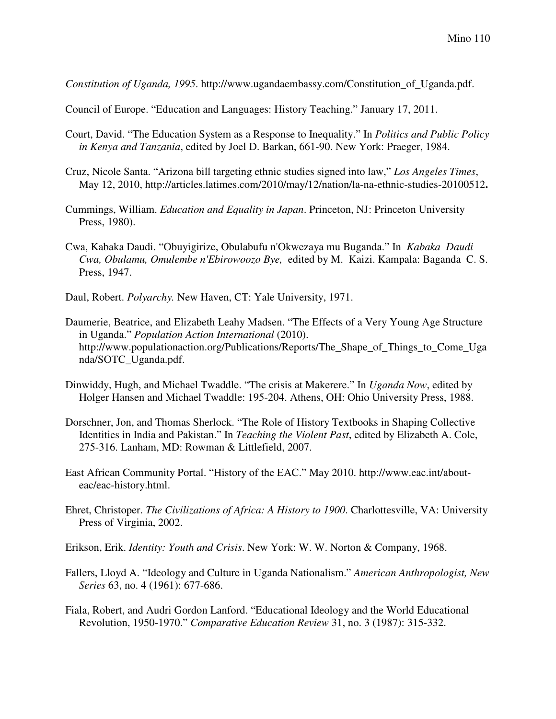*Constitution of Uganda, 1995*. http://www.ugandaembassy.com/Constitution\_of\_Uganda.pdf.

Council of Europe. "Education and Languages: History Teaching." January 17, 2011.

- Court, David. "The Education System as a Response to Inequality." In *Politics and Public Policy in Kenya and Tanzania*, edited by Joel D. Barkan, 661-90. New York: Praeger, 1984.
- Cruz, Nicole Santa. "Arizona bill targeting ethnic studies signed into law," *Los Angeles Times*, May 12, 2010, http://articles.latimes.com/2010/may/12/nation/la-na-ethnic-studies-20100512**.**
- Cummings, William. *Education and Equality in Japan*. Princeton, NJ: Princeton University Press, 1980).
- Cwa, Kabaka Daudi. "Obuyigirize, Obulabufu n'Okwezaya mu Buganda." In *Kabaka Daudi Cwa, Obulamu, Omulembe n'Ebirowoozo Bye,* edited by M. Kaizi. Kampala: Baganda C. S. Press, 1947.
- Daul, Robert. *Polyarchy.* New Haven, CT: Yale University, 1971.
- Daumerie, Beatrice, and Elizabeth Leahy Madsen. "The Effects of a Very Young Age Structure in Uganda." *Population Action International* (2010). http://www.populationaction.org/Publications/Reports/The Shape of Things to Come Uga nda/SOTC\_Uganda.pdf.
- Dinwiddy, Hugh, and Michael Twaddle. "The crisis at Makerere." In *Uganda Now*, edited by Holger Hansen and Michael Twaddle: 195-204. Athens, OH: Ohio University Press, 1988.
- Dorschner, Jon, and Thomas Sherlock. "The Role of History Textbooks in Shaping Collective Identities in India and Pakistan." In *Teaching the Violent Past*, edited by Elizabeth A. Cole, 275-316. Lanham, MD: Rowman & Littlefield, 2007.
- East African Community Portal. "History of the EAC." May 2010. http://www.eac.int/about eac/eac-history.html.
- Ehret, Christoper. *The Civilizations of Africa: A History to 1900*. Charlottesville, VA: University Press of Virginia, 2002.
- Erikson, Erik. *Identity: Youth and Crisis*. New York: W. W. Norton & Company, 1968.
- Fallers, Lloyd A. "Ideology and Culture in Uganda Nationalism." *American Anthropologist, New Series* 63, no. 4 (1961): 677-686.
- Fiala, Robert, and Audri Gordon Lanford. "Educational Ideology and the World Educational Revolution, 1950-1970." *Comparative Education Review* 31, no. 3 (1987): 315-332.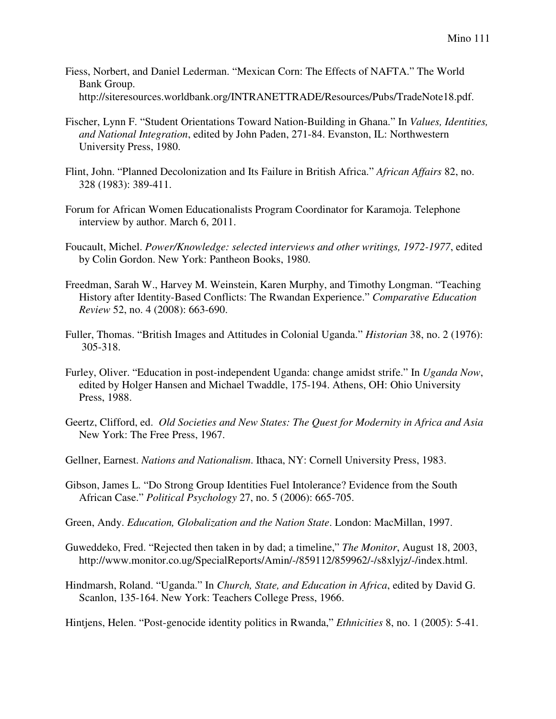- Fiess, Norbert, and Daniel Lederman. "Mexican Corn: The Effects of NAFTA." The World Bank Group. http://siteresources.worldbank.org/INTRANETTRADE/Resources/Pubs/TradeNote18.pdf.
- Fischer, Lynn F. "Student Orientations Toward Nation-Building in Ghana." In *Values, Identities, and National Integration*, edited by John Paden, 271-84. Evanston, IL: Northwestern University Press, 1980.
- Flint, John. "Planned Decolonization and Its Failure in British Africa." *African Affairs* 82, no. 328 (1983): 389-411.
- Forum for African Women Educationalists Program Coordinator for Karamoja. Telephone interview by author. March 6, 2011.
- Foucault, Michel. *Power/Knowledge: selected interviews and other writings, 1972-1977*, edited by Colin Gordon. New York: Pantheon Books, 1980.
- Freedman, Sarah W., Harvey M. Weinstein, Karen Murphy, and Timothy Longman. "Teaching History after Identity-Based Conflicts: The Rwandan Experience." *Comparative Education Review* 52, no. 4 (2008): 663-690.
- Fuller, Thomas. "British Images and Attitudes in Colonial Uganda." *Historian* 38, no. 2 (1976): 305-318.
- Furley, Oliver. "Education in post-independent Uganda: change amidst strife." In *Uganda Now*, edited by Holger Hansen and Michael Twaddle, 175-194. Athens, OH: Ohio University Press, 1988.
- Geertz, Clifford, ed. *Old Societies and New States: The Quest for Modernity in Africa and Asia* New York: The Free Press, 1967.
- Gellner, Earnest. *Nations and Nationalism*. Ithaca, NY: Cornell University Press, 1983.
- Gibson, James L. "Do Strong Group Identities Fuel Intolerance? Evidence from the South African Case." *Political Psychology* 27, no. 5 (2006): 665-705.
- Green, Andy. *Education, Globalization and the Nation State*. London: MacMillan, 1997.
- Guweddeko, Fred. "Rejected then taken in by dad; a timeline," *The Monitor*, August 18, 2003, http://www.monitor.co.ug/SpecialReports/Amin/-/859112/859962/-/s8xlyjz/-/index.html.
- Hindmarsh, Roland. "Uganda." In *Church, State, and Education in Africa*, edited by David G. Scanlon, 135-164. New York: Teachers College Press, 1966.

Hintjens, Helen. "Post-genocide identity politics in Rwanda," *Ethnicities* 8, no. 1 (2005): 5-41.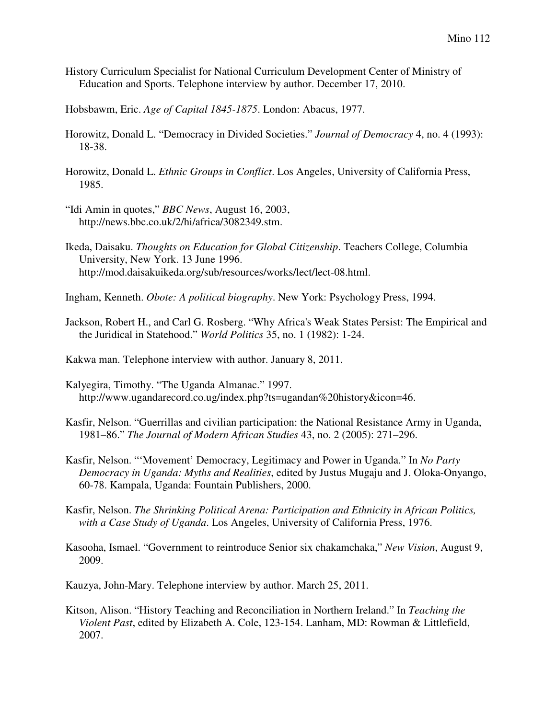- History Curriculum Specialist for National Curriculum Development Center of Ministry of Education and Sports. Telephone interview by author. December 17, 2010.
- Hobsbawm, Eric. *Age of Capital 1845-1875*. London: Abacus, 1977.
- Horowitz, Donald L. "Democracy in Divided Societies." *Journal of Democracy* 4, no. 4 (1993): 18-38.
- Horowitz, Donald L. *Ethnic Groups in Conflict*. Los Angeles, University of California Press, 1985.
- "Idi Amin in quotes," *BBC News*, August 16, 2003, http://news.bbc.co.uk/2/hi/africa/3082349.stm.
- Ikeda, Daisaku. *Thoughts on Education for Global Citizenship*. Teachers College, Columbia University, New York. 13 June 1996. http://mod.daisakuikeda.org/sub/resources/works/lect/lect-08.html.
- Ingham, Kenneth. *Obote: A political biography*. New York: Psychology Press, 1994.
- Jackson, Robert H., and Carl G. Rosberg. "Why Africa's Weak States Persist: The Empirical and the Juridical in Statehood." *World Politics* 35, no. 1 (1982): 1-24.
- Kakwa man. Telephone interview with author. January 8, 2011.
- Kalyegira, Timothy. "The Uganda Almanac." 1997. http://www.ugandarecord.co.ug/index.php?ts=ugandan%20history&icon=46.
- Kasfir, Nelson. "Guerrillas and civilian participation: the National Resistance Army in Uganda, 1981–86." *The Journal of Modern African Studies* 43, no. 2 (2005): 271–296.
- Kasfir, Nelson. "'Movement' Democracy, Legitimacy and Power in Uganda." In *No Party Democracy in Uganda: Myths and Realities*, edited by Justus Mugaju and J. Oloka-Onyango, 60-78. Kampala, Uganda: Fountain Publishers, 2000.
- Kasfir, Nelson. *The Shrinking Political Arena: Participation and Ethnicity in African Politics, with a Case Study of Uganda*. Los Angeles, University of California Press, 1976.
- Kasooha, Ismael. "Government to reintroduce Senior six chakamchaka," *New Vision*, August 9, 2009.

Kauzya, John-Mary. Telephone interview by author. March 25, 2011.

Kitson, Alison. "History Teaching and Reconciliation in Northern Ireland." In *Teaching the Violent Past*, edited by Elizabeth A. Cole, 123-154. Lanham, MD: Rowman & Littlefield, 2007.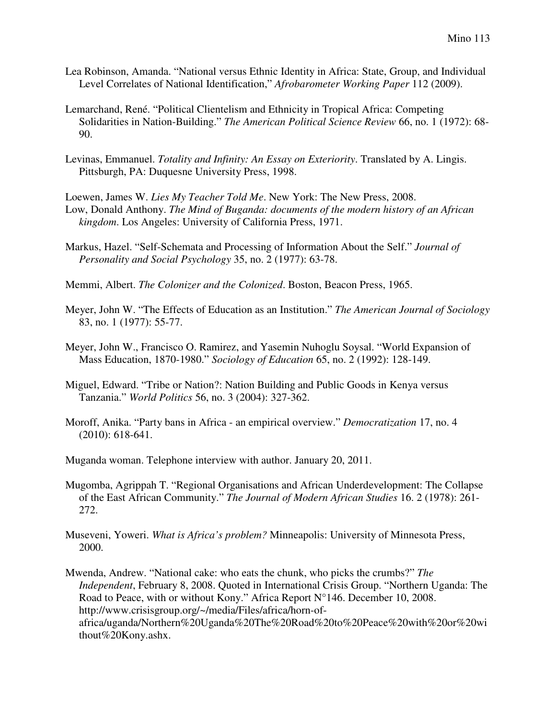- Lea Robinson, Amanda. "National versus Ethnic Identity in Africa: State, Group, and Individual Level Correlates of National Identification," *Afrobarometer Working Paper* 112 (2009).
- Lemarchand, René. "Political Clientelism and Ethnicity in Tropical Africa: Competing Solidarities in Nation-Building." *The American Political Science Review* 66, no. 1 (1972): 68- 90.
- Levinas, Emmanuel. *Totality and Infinity: An Essay on Exteriority*. Translated by A. Lingis. Pittsburgh, PA: Duquesne University Press, 1998.

Loewen, James W. *Lies My Teacher Told Me*. New York: The New Press, 2008.

- Low, Donald Anthony. *The Mind of Buganda: documents of the modern history of an African kingdom*. Los Angeles: University of California Press, 1971.
- Markus, Hazel. "Self-Schemata and Processing of Information About the Self." *Journal of Personality and Social Psychology* 35, no. 2 (1977): 63-78.
- Memmi, Albert. *The Colonizer and the Colonized*. Boston, Beacon Press, 1965.
- Meyer, John W. "The Effects of Education as an Institution." *The American Journal of Sociology* 83, no. 1 (1977): 55-77.
- Meyer, John W., Francisco O. Ramirez, and Yasemin Nuhoglu Soysal. "World Expansion of Mass Education, 1870-1980." *Sociology of Education* 65, no. 2 (1992): 128-149.
- Miguel, Edward. "Tribe or Nation?: Nation Building and Public Goods in Kenya versus Tanzania." *World Politics* 56, no. 3 (2004): 327-362.
- Moroff, Anika. "Party bans in Africa an empirical overview." *Democratization* 17, no. 4 (2010): 618-641.
- Muganda woman. Telephone interview with author. January 20, 2011.
- Mugomba, Agrippah T. "Regional Organisations and African Underdevelopment: The Collapse of the East African Community." *The Journal of Modern African Studies* 16. 2 (1978): 261- 272.
- Museveni, Yoweri. *What is Africa's problem?* Minneapolis: University of Minnesota Press, 2000.
- Mwenda, Andrew. "National cake: who eats the chunk, who picks the crumbs?" *The Independent*, February 8, 2008. Quoted in International Crisis Group. "Northern Uganda: The Road to Peace, with or without Kony." Africa Report N°146. December 10, 2008. http://www.crisisgroup.org/~/media/Files/africa/horn-of africa/uganda/Northern%20Uganda%20The%20Road%20to%20Peace%20with%20or%20wi thout%20Kony.ashx.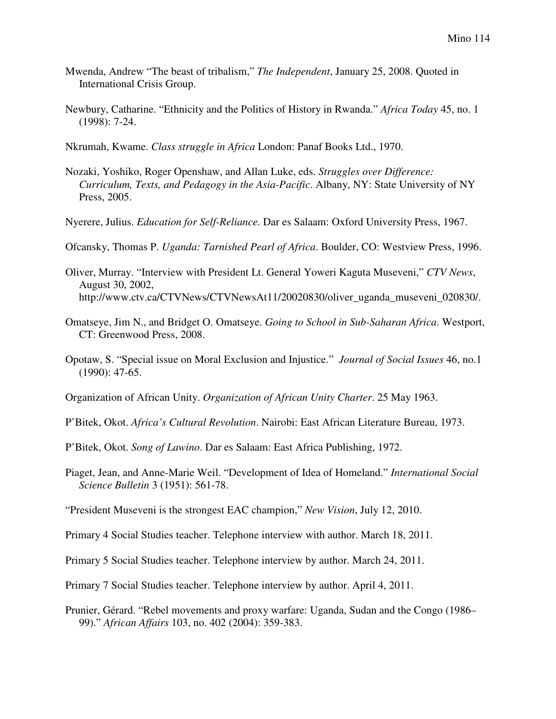- Mwenda, Andrew "The beast of tribalism," *The Independent*, January 25, 2008. Quoted in International Crisis Group.
- Newbury, Catharine. "Ethnicity and the Politics of History in Rwanda." *Africa Today* 45, no. 1 (1998): 7-24.
- Nkrumah, Kwame. *Class struggle in Africa* London: Panaf Books Ltd., 1970.
- Nozaki, Yoshiko, Roger Openshaw, and Allan Luke, eds. *Struggles over Difference: Curriculum, Texts, and Pedagogy in the Asia-Pacific*. Albany, NY: State University of NY Press, 2005.
- Nyerere, Julius. *Education for Self-Reliance*. Dar es Salaam: Oxford University Press, 1967.
- Ofcansky, Thomas P. *Uganda: Tarnished Pearl of Africa*. Boulder, CO: Westview Press, 1996.
- Oliver, Murray. "Interview with President Lt. General Yoweri Kaguta Museveni," *CTV News*, August 30, 2002, http://www.ctv.ca/CTVNews/CTVNewsAt11/20020830/oliver\_uganda\_museveni\_020830/.
- Omatseye, Jim N., and Bridget O. Omatseye. *Going to School in Sub-Saharan Africa*. Westport, CT: Greenwood Press, 2008.
- Opotaw, S. "Special issue on Moral Exclusion and Injustice." *Journal of Social Issues* 46, no.1 (1990): 47-65.
- Organization of African Unity. *Organization of African Unity Charter*. 25 May 1963.
- P'Bitek, Okot. *Africa's Cultural Revolution*. Nairobi: East African Literature Bureau, 1973.
- P'Bitek, Okot. *Song of Lawino*. Dar es Salaam: East Africa Publishing, 1972.
- Piaget, Jean, and Anne-Marie Weil. "Development of Idea of Homeland." *International Social Science Bulletin* 3 (1951): 561-78.
- "President Museveni is the strongest EAC champion," *New Vision*, July 12, 2010.
- Primary 4 Social Studies teacher. Telephone interview with author. March 18, 2011.
- Primary 5 Social Studies teacher. Telephone interview by author. March 24, 2011.
- Primary 7 Social Studies teacher. Telephone interview by author. April 4, 2011.
- Prunier, Gérard. "Rebel movements and proxy warfare: Uganda, Sudan and the Congo (1986– 99)." *African Affairs* 103, no. 402 (2004): 359-383.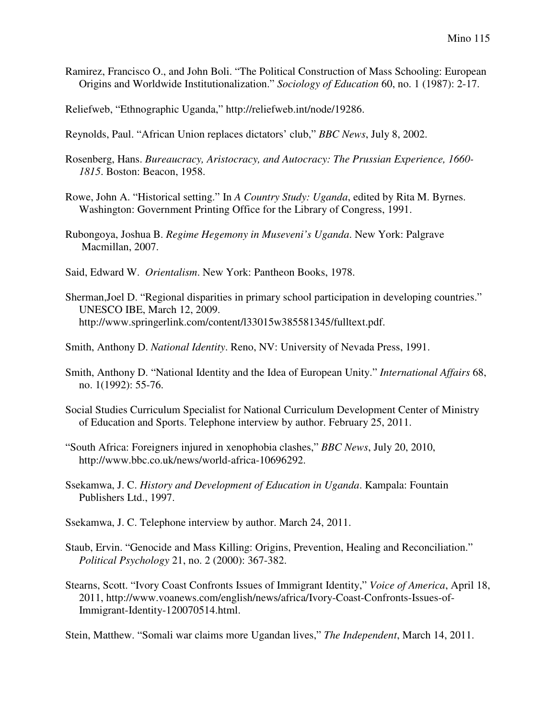- Ramirez, Francisco O., and John Boli. "The Political Construction of Mass Schooling: European Origins and Worldwide Institutionalization." *Sociology of Education* 60, no. 1 (1987): 2-17.
- Reliefweb, "Ethnographic Uganda," http://reliefweb.int/node/19286.
- Reynolds, Paul. "African Union replaces dictators' club," *BBC News*, July 8, 2002.
- Rosenberg, Hans. *Bureaucracy, Aristocracy, and Autocracy: The Prussian Experience, 1660- 1815*. Boston: Beacon, 1958.
- Rowe, John A. "Historical setting." In *A Country Study: Uganda*, edited by Rita M. Byrnes. Washington: Government Printing Office for the Library of Congress, 1991.
- Rubongoya, Joshua B. *Regime Hegemony in Museveni's Uganda*. New York: Palgrave Macmillan, 2007.
- Said, Edward W. *Orientalism*. New York: Pantheon Books, 1978.
- Sherman,Joel D. "Regional disparities in primary school participation in developing countries." UNESCO IBE, March 12, 2009. http://www.springerlink.com/content/l33015w385581345/fulltext.pdf.
- Smith, Anthony D. *National Identity*. Reno, NV: University of Nevada Press, 1991.
- Smith, Anthony D. "National Identity and the Idea of European Unity." *International Affairs* 68, no. 1(1992): 55-76.
- Social Studies Curriculum Specialist for National Curriculum Development Center of Ministry of Education and Sports. Telephone interview by author. February 25, 2011.
- "South Africa: Foreigners injured in xenophobia clashes," *BBC News*, July 20, 2010, http://www.bbc.co.uk/news/world-africa-10696292.
- Ssekamwa, J. C. *History and Development of Education in Uganda*. Kampala: Fountain Publishers Ltd., 1997.
- Ssekamwa, J. C. Telephone interview by author. March 24, 2011.
- Staub, Ervin. "Genocide and Mass Killing: Origins, Prevention, Healing and Reconciliation." *Political Psychology* 21, no. 2 (2000): 367-382.
- Stearns, Scott. "Ivory Coast Confronts Issues of Immigrant Identity," *Voice of America*, April 18, 2011, http://www.voanews.com/english/news/africa/Ivory-Coast-Confronts-Issues-of- Immigrant-Identity-120070514.html.

Stein, Matthew. "Somali war claims more Ugandan lives," *The Independent*, March 14, 2011.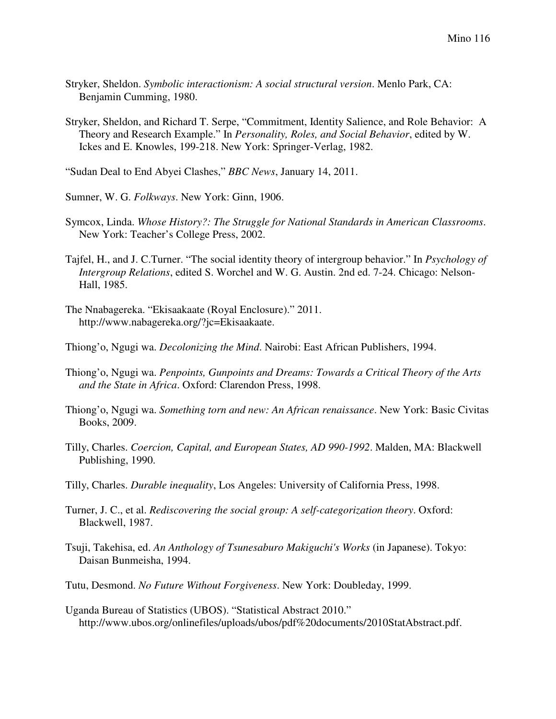- Stryker, Sheldon. *Symbolic interactionism: A social structural version*. Menlo Park, CA: Benjamin Cumming, 1980.
- Stryker, Sheldon, and Richard T. Serpe, "Commitment, Identity Salience, and Role Behavior: A Theory and Research Example." In *Personality, Roles, and Social Behavior*, edited by W. Ickes and E. Knowles, 199-218. New York: Springer-Verlag, 1982.

"Sudan Deal to End Abyei Clashes," *BBC News*, January 14, 2011.

Sumner, W. G. *Folkways*. New York: Ginn, 1906.

- Symcox, Linda. *Whose History?: The Struggle for National Standards in American Classrooms*. New York: Teacher's College Press, 2002.
- Tajfel, H., and J. C.Turner. "The social identity theory of intergroup behavior." In *Psychology of Intergroup Relations*, edited S. Worchel and W. G. Austin. 2nd ed. 7-24. Chicago: Nelson- Hall, 1985.
- The Nnabagereka. "Ekisaakaate (Royal Enclosure)." 2011. http://www.nabagereka.org/?jc=Ekisaakaate.
- Thiong'o, Ngugi wa. *Decolonizing the Mind*. Nairobi: East African Publishers, 1994.
- Thiong'o, Ngugi wa. *Penpoints, Gunpoints and Dreams: Towards a Critical Theory of the Arts and the State in Africa*. Oxford: Clarendon Press, 1998.
- Thiong'o, Ngugi wa. *Something torn and new: An African renaissance*. New York: Basic Civitas Books, 2009.
- Tilly, Charles. *Coercion, Capital, and European States, AD 990-1992*. Malden, MA: Blackwell Publishing, 1990.
- Tilly, Charles. *Durable inequality*, Los Angeles: University of California Press, 1998.
- Turner, J. C., et al. *Rediscovering the social group: A self-categorization theory*. Oxford: Blackwell, 1987.
- Tsuji, Takehisa, ed. *An Anthology of Tsunesaburo Makiguchi's Works* (in Japanese). Tokyo: Daisan Bunmeisha, 1994.
- Tutu, Desmond. *No Future Without Forgiveness*. New York: Doubleday, 1999.
- Uganda Bureau of Statistics (UBOS). "Statistical Abstract 2010." http://www.ubos.org/onlinefiles/uploads/ubos/pdf%20documents/2010StatAbstract.pdf.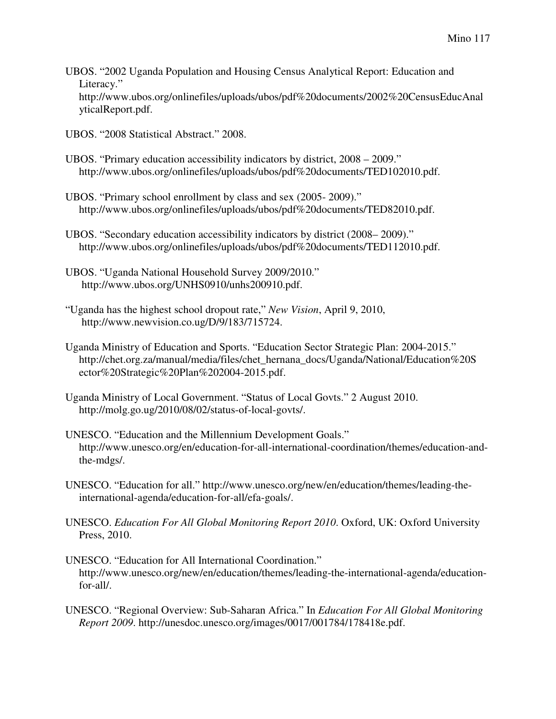- UBOS. "2002 Uganda Population and Housing Census Analytical Report: Education and Literacy." http://www.ubos.org/onlinefiles/uploads/ubos/pdf%20documents/2002%20CensusEducAnal yticalReport.pdf.
- UBOS. "2008 Statistical Abstract." 2008.
- UBOS. "Primary education accessibility indicators by district, 2008 2009." http://www.ubos.org/onlinefiles/uploads/ubos/pdf%20documents/TED102010.pdf.
- UBOS. "Primary school enrollment by class and sex (2005- 2009)." http://www.ubos.org/onlinefiles/uploads/ubos/pdf%20documents/TED82010.pdf.
- UBOS. "Secondary education accessibility indicators by district (2008– 2009)." http://www.ubos.org/onlinefiles/uploads/ubos/pdf%20documents/TED112010.pdf.
- UBOS. "Uganda National Household Survey 2009/2010." http://www.ubos.org/UNHS0910/unhs200910.pdf.
- "Uganda has the highest school dropout rate," *New Vision*, April 9, 2010, http://www.newvision.co.ug/D/9/183/715724.
- Uganda Ministry of Education and Sports. "Education Sector Strategic Plan: 2004-2015." http://chet.org.za/manual/media/files/chet\_hernana\_docs/Uganda/National/Education%20S ector%20Strategic%20Plan%202004-2015.pdf.
- Uganda Ministry of Local Government. "Status of Local Govts." 2 August 2010. http://molg.go.ug/2010/08/02/status-of-local-govts/.
- UNESCO. "Education and the Millennium Development Goals." http://www.unesco.org/en/education-for-all-international-coordination/themes/education-and the-mdgs/.
- UNESCO. "Education for all." http://www.unesco.org/new/en/education/themes/leading-the international-agenda/education-for-all/efa-goals/.
- UNESCO. *Education For All Global Monitoring Report 2010*. Oxford, UK: Oxford University Press, 2010.
- UNESCO. "Education for All International Coordination." http://www.unesco.org/new/en/education/themes/leading-the-international-agenda/education for-all/.
- UNESCO. "Regional Overview: Sub-Saharan Africa." In *Education For All Global Monitoring Report 2009*. http://unesdoc.unesco.org/images/0017/001784/178418e.pdf.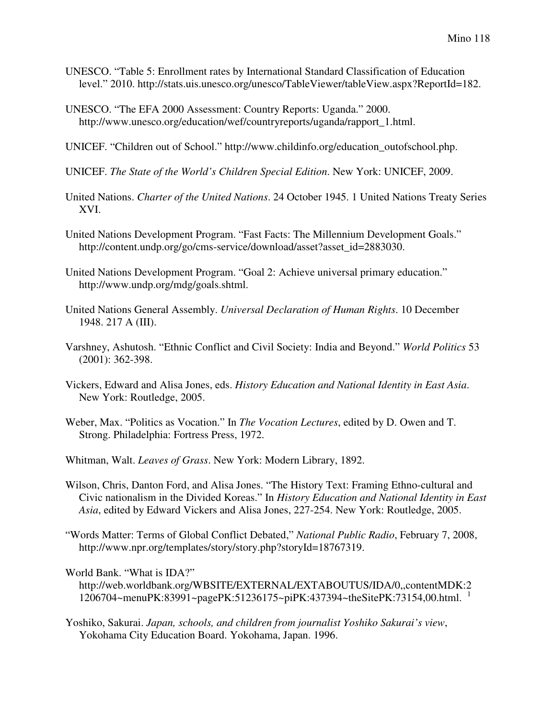- UNESCO. "Table 5: Enrollment rates by International Standard Classification of Education level." 2010. http://stats.uis.unesco.org/unesco/TableViewer/tableView.aspx?ReportId=182.
- UNESCO. "The EFA 2000 Assessment: Country Reports: Uganda." 2000. http://www.unesco.org/education/wef/countryreports/uganda/rapport\_1.html.
- UNICEF. "Children out of School." http://www.childinfo.org/education\_outofschool.php.
- UNICEF. *The State of the World's Children Special Edition*. New York: UNICEF, 2009.
- United Nations. *Charter of the United Nations*. 24 October 1945. 1 United Nations Treaty Series XVI.
- United Nations Development Program. "Fast Facts: The Millennium Development Goals." http://content.undp.org/go/cms-service/download/asset?asset\_id=2883030.
- United Nations Development Program. "Goal 2: Achieve universal primary education." http://www.undp.org/mdg/goals.shtml.
- United Nations General Assembly. *Universal Declaration of Human Rights*. 10 December 1948. 217 A (III).
- Varshney, Ashutosh. "Ethnic Conflict and Civil Society: India and Beyond." *World Politics* 53 (2001): 362-398.
- Vickers, Edward and Alisa Jones, eds. *History Education and National Identity in East Asia*. New York: Routledge, 2005.
- Weber, Max. "Politics as Vocation." In *The Vocation Lectures*, edited by D. Owen and T. Strong. Philadelphia: Fortress Press, 1972.
- Whitman, Walt. *Leaves of Grass*. New York: Modern Library, 1892.
- Wilson, Chris, Danton Ford, and Alisa Jones. "The History Text: Framing Ethno-cultural and Civic nationalism in the Divided Koreas." In *History Education and National Identity in East Asia*, edited by Edward Vickers and Alisa Jones, 227-254. New York: Routledge, 2005.
- "Words Matter: Terms of Global Conflict Debated," *National Public Radio*, February 7, 2008, http://www.npr.org/templates/story/story.php?storyId=18767319.
- World Bank. "What is IDA?" http://web.worldbank.org/WBSITE/EXTERNAL/EXTABOUTUS/IDA/0,,contentMDK:2 1206704~menuPK:83991~pagePK:51236175~piPK:437394~theSitePK:73154,00.html. <sup>1</sup>
- Yoshiko, Sakurai. *Japan, schools, and children from journalist Yoshiko Sakurai's view*, Yokohama City Education Board. Yokohama, Japan. 1996.